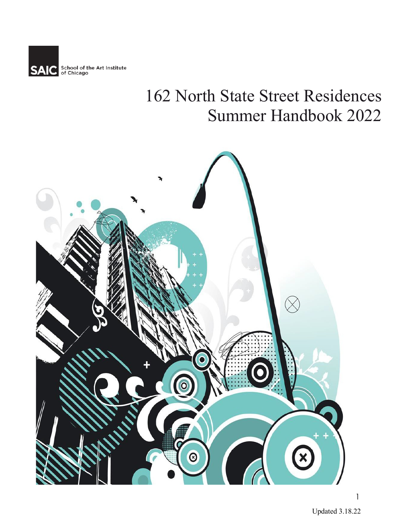

# 162 North State Street Residences Summer Handbook 2022

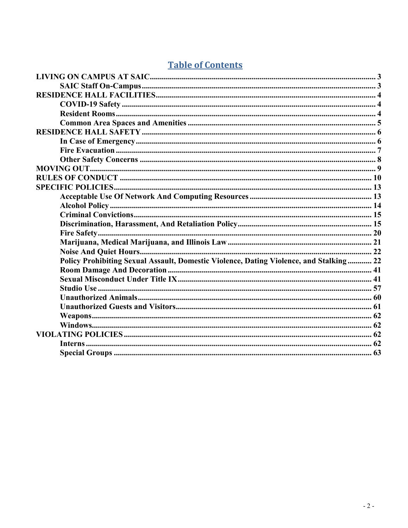# **Table of Contents**

| Policy Prohibiting Sexual Assault, Domestic Violence, Dating Violence, and Stalking 22 |  |
|----------------------------------------------------------------------------------------|--|
|                                                                                        |  |
|                                                                                        |  |
|                                                                                        |  |
|                                                                                        |  |
|                                                                                        |  |
|                                                                                        |  |
|                                                                                        |  |
|                                                                                        |  |
|                                                                                        |  |
|                                                                                        |  |
|                                                                                        |  |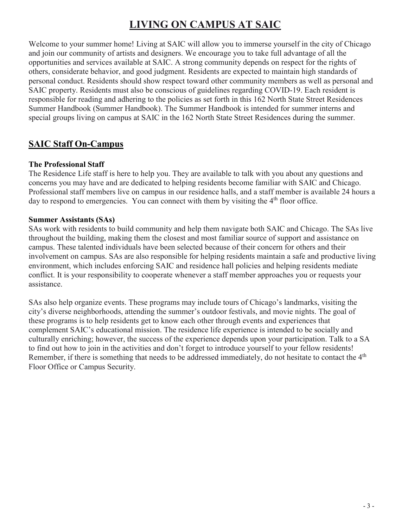# **LIVING ON CAMPUS AT SAIC**

<span id="page-2-0"></span>Welcome to your summer home! Living at SAIC will allow you to immerse yourself in the city of Chicago and join our community of artists and designers. We encourage you to take full advantage of all the opportunities and services available at SAIC. A strong community depends on respect for the rights of others, considerate behavior, and good judgment. Residents are expected to maintain high standards of personal conduct. Residents should show respect toward other community members as well as personal and SAIC property. Residents must also be conscious of guidelines regarding COVID-19. Each resident is responsible for reading and adhering to the policies as set forth in this 162 North State Street Residences Summer Handbook (Summer Handbook). The Summer Handbook is intended for summer interns and special groups living on campus at SAIC in the 162 North State Street Residences during the summer.

# <span id="page-2-1"></span>**SAIC Staff On-Campus**

#### **The Professional Staff**

The Residence Life staff is here to help you. They are available to talk with you about any questions and concerns you may have and are dedicated to helping residents become familiar with SAIC and Chicago. Professional staff members live on campus in our residence halls, and a staff member is available 24 hours a day to respond to emergencies. You can connect with them by visiting the  $4<sup>th</sup>$  floor office.

#### **Summer Assistants (SAs)**

SAs work with residents to build community and help them navigate both SAIC and Chicago. The SAs live throughout the building, making them the closest and most familiar source of support and assistance on campus. These talented individuals have been selected because of their concern for others and their involvement on campus. SAs are also responsible for helping residents maintain a safe and productive living environment, which includes enforcing SAIC and residence hall policies and helping residents mediate conflict. It is your responsibility to cooperate whenever a staff member approaches you or requests your assistance.

SAs also help organize events. These programs may include tours of Chicago's landmarks, visiting the city's diverse neighborhoods, attending the summer's outdoor festivals, and movie nights. The goal of these programs is to help residents get to know each other through events and experiences that complement SAIC's educational mission. The residence life experience is intended to be socially and culturally enriching; however, the success of the experience depends upon your participation. Talk to a SA to find out how to join in the activities and don't forget to introduce yourself to your fellow residents! Remember, if there is something that needs to be addressed immediately, do not hesitate to contact the 4<sup>th</sup> Floor Office or Campus Security.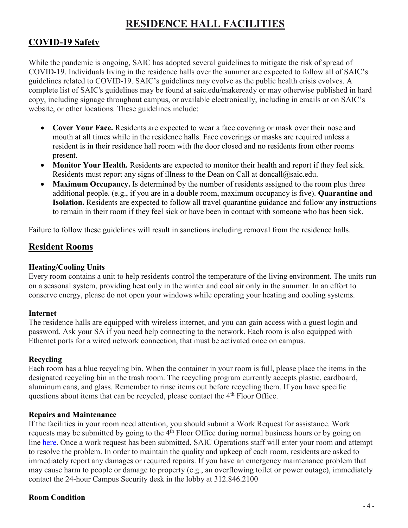# **RESIDENCE HALL FACILITIES**

# <span id="page-3-1"></span><span id="page-3-0"></span>**COVID-19 Safety**

While the pandemic is ongoing, SAIC has adopted several guidelines to mitigate the risk of spread of COVID-19. Individuals living in the residence halls over the summer are expected to follow all of SAIC's guidelines related to COVID-19. SAIC's guidelines may evolve as the public health crisis evolves. A complete list of SAIC's guidelines may be found at saic.edu/makeready or may otherwise published in hard copy, including signage throughout campus, or available electronically, including in emails or on SAIC's website, or other locations. These guidelines include:

- **Cover Your Face.** Residents are expected to wear a face covering or mask over their nose and mouth at all times while in the residence halls. Face coverings or masks are required unless a resident is in their residence hall room with the door closed and no residents from other rooms present.
- **Monitor Your Health.** Residents are expected to monitor their health and report if they feel sick. Residents must report any signs of illness to the Dean on Call at doncall  $@saic.edu$ .
- **Maximum Occupancy.** Is determined by the number of residents assigned to the room plus three additional people. (e.g., if you are in a double room, maximum occupancy is five). **Quarantine and Isolation.** Residents are expected to follow all travel quarantine guidance and follow any instructions to remain in their room if they feel sick or have been in contact with someone who has been sick.

Failure to follow these guidelines will result in sanctions including removal from the residence halls.

# <span id="page-3-2"></span>**Resident Rooms**

#### **Heating/Cooling Units**

Every room contains a unit to help residents control the temperature of the living environment. The units run on a seasonal system, providing heat only in the winter and cool air only in the summer. In an effort to conserve energy, please do not open your windows while operating your heating and cooling systems.

#### **Internet**

The residence halls are equipped with wireless internet, and you can gain access with a guest login and password. Ask your SA if you need help connecting to the network. Each room is also equipped with Ethernet ports for a wired network connection, that must be activated once on campus.

#### **Recycling**

Each room has a blue recycling bin. When the container in your room is full, please place the items in the designated recycling bin in the trash room. The recycling program currently accepts plastic, cardboard, aluminum cans, and glass. Remember to rinse items out before recycling them. If you have specific questions about items that can be recycled, please contact the 4<sup>th</sup> Floor Office.

#### **Repairs and Maintenance**

If the facilities in your room need attention, you should submit a Work Request for assistance. Work requests may be submitted by going to the 4<sup>th</sup> Floor Office during normal business hours or by going on line [here.](https://secured.360facility.net/AIC/360LoginScreen.asp?ReturnUrl=%2fAIC%2f) Once a work request has been submitted, SAIC Operations staff will enter your room and attempt to resolve the problem. In order to maintain the quality and upkeep of each room, residents are asked to immediately report any damages or required repairs. If you have an emergency maintenance problem that may cause harm to people or damage to property (e.g., an overflowing toilet or power outage), immediately contact the 24-hour Campus Security desk in the lobby at 312.846.2100

#### **Room Condition**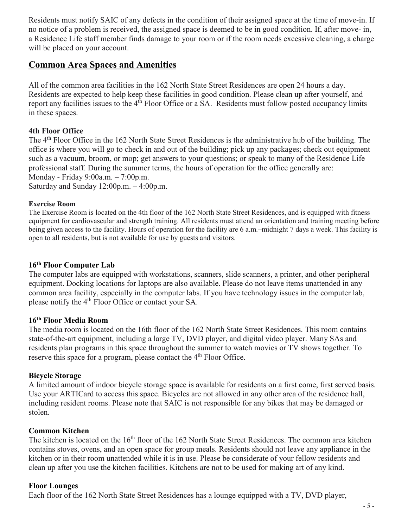Residents must notify SAIC of any defects in the condition of their assigned space at the time of move-in. If no notice of a problem is received, the assigned space is deemed to be in good condition. If, after move- in, a Residence Life staff member finds damage to your room or if the room needs excessive cleaning, a charge will be placed on your account.

#### <span id="page-4-0"></span>**Common Area Spaces and Amenities**

All of the common area facilities in the 162 North State Street Residences are open 24 hours a day. Residents are expected to help keep these facilities in good condition. Please clean up after yourself, and report any facilities issues to the  $4<sup>th</sup>$  Floor Office or a SA. Residents must follow posted occupancy limits in these spaces.

#### **4th Floor Office**

The 4<sup>th</sup> Floor Office in the 162 North State Street Residences is the administrative hub of the building. The office is where you will go to check in and out of the building; pick up any packages; check out equipment such as a vacuum, broom, or mop; get answers to your questions; or speak to many of the Residence Life professional staff. During the summer terms, the hours of operation for the office generally are: Monday - Friday 9:00a.m. – 7:00p.m. Saturday and Sunday 12:00p.m. – 4:00p.m.

#### **Exercise Room**

The Exercise Room is located on the 4th floor of the 162 North State Street Residences, and is equipped with fitness equipment for cardiovascular and strength training. All residents must attend an orientation and training meeting before being given access to the facility. Hours of operation for the facility are 6 a.m.–midnight 7 days a week. This facility is open to all residents, but is not available for use by guests and visitors.

#### **16th Floor Computer Lab**

The computer labs are equipped with workstations, scanners, slide scanners, a printer, and other peripheral equipment. Docking locations for laptops are also available. Please do not leave items unattended in any common area facility, especially in the computer labs. If you have technology issues in the computer lab, please notify the 4<sup>th</sup> Floor Office or contact your SA.

#### **16th Floor Media Room**

The media room is located on the 16th floor of the 162 North State Street Residences. This room contains state-of-the-art equipment, including a large TV, DVD player, and digital video player. Many SAs and residents plan programs in this space throughout the summer to watch movies or TV shows together. To reserve this space for a program, please contact the 4<sup>th</sup> Floor Office.

#### **Bicycle Storage**

A limited amount of indoor bicycle storage space is available for residents on a first come, first served basis. Use your ARTICard to access this space. Bicycles are not allowed in any other area of the residence hall, including resident rooms. Please note that SAIC is not responsible for any bikes that may be damaged or stolen.

#### **Common Kitchen**

The kitchen is located on the 16<sup>th</sup> floor of the 162 North State Street Residences. The common area kitchen contains stoves, ovens, and an open space for group meals. Residents should not leave any appliance in the kitchen or in their room unattended while it is in use. Please be considerate of your fellow residents and clean up after you use the kitchen facilities. Kitchens are not to be used for making art of any kind.

#### **Floor Lounges**

Each floor of the 162 North State Street Residences has a lounge equipped with a TV, DVD player,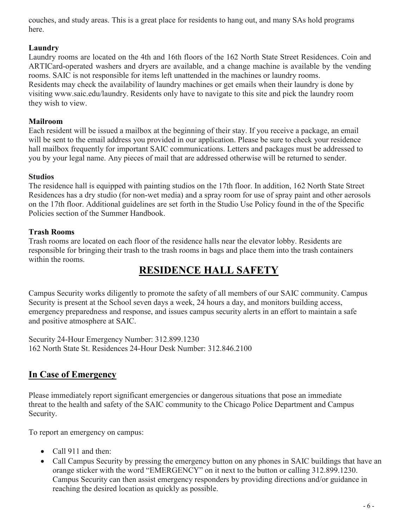couches, and study areas. This is a great place for residents to hang out, and many SAs hold programs here.

#### **Laundry**

Laundry rooms are located on the 4th and 16th floors of the 162 North State Street Residences. Coin and ARTICard-operated washers and dryers are available, and a change machine is available by the vending rooms. SAIC is not responsible for items left unattended in the machines or laundry rooms. Residents may check the availability of laundry machines or get emails when their laundry is done by visiting [www.saic.edu/laundry.](http://www.saic.edu/laundry) Residents only have to navigate to this site and pick the laundry room they wish to view.

#### **Mailroom**

Each resident will be issued a mailbox at the beginning of their stay. If you receive a package, an email will be sent to the email address you provided in our application. Please be sure to check your residence hall mailbox frequently for important SAIC communications. Letters and packages must be addressed to you by your legal name. Any pieces of mail that are addressed otherwise will be returned to sender.

#### **Studios**

The residence hall is equipped with painting studios on the 17th floor. In addition, 162 North State Street Residences has a dry studio (for non-wet media) and a spray room for use of spray paint and other aerosols on the 17th floor. Additional guidelines are set forth in the Studio Use Policy found in the of the Specific Policies section of the Summer Handbook.

#### **Trash Rooms**

Trash rooms are located on each floor of the residence halls near the elevator lobby. Residents are responsible for bringing their trash to the trash rooms in bags and place them into the trash containers within the rooms.

# **RESIDENCE HALL SAFETY**

<span id="page-5-0"></span>Campus Security works diligently to promote the safety of all members of our SAIC community. Campus Security is present at the School seven days a week, 24 hours a day, and monitors building access, emergency preparedness and response, and issues campus security alerts in an effort to maintain a safe and positive atmosphere at SAIC.

Security 24-Hour Emergency Number: 312.899.1230 162 North State St. Residences 24-Hour Desk Number: 312.846.2100

# <span id="page-5-1"></span>**In Case of Emergency**

Please immediately report significant emergencies or dangerous situations that pose an immediate threat to the health and safety of the SAIC community to the Chicago Police Department and Campus Security.

To report an emergency on campus:

- Call 911 and then:
- Call Campus Security by pressing the emergency button on any phones in SAIC buildings that have an orange sticker with the word "EMERGENCY" on it next to the button or calling 312.899.1230. Campus Security can then assist emergency responders by providing directions and/or guidance in reaching the desired location as quickly as possible.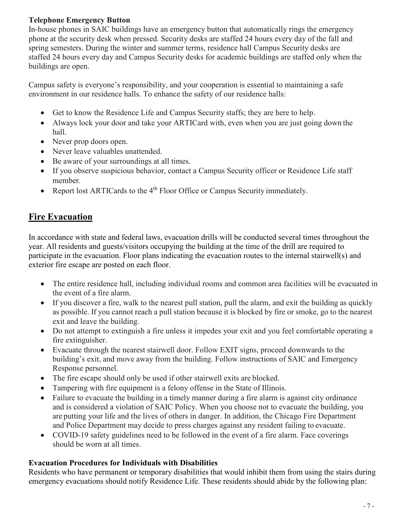#### **Telephone Emergency Button**

In-house phones in SAIC buildings have an emergency button that automatically rings the emergency phone at the security desk when pressed. Security desks are staffed 24 hours every day of the fall and spring semesters. During the winter and summer terms, residence hall Campus Security desks are staffed 24 hours every day and Campus Security desks for academic buildings are staffed only when the buildings are open.

Campus safety is everyone's responsibility, and your cooperation is essential to maintaining a safe environment in our residence halls. To enhance the safety of our residence halls:

- Get to know the Residence Life and Campus Security staffs; they are here to help.
- Always lock your door and take your ARTICard with, even when you are just going down the hall.
- Never prop doors open.
- Never leave valuables unattended.
- Be aware of your surroundings at all times.
- If you observe suspicious behavior, contact a Campus Security officer or Residence Life staff member.
- Report lost ARTICards to the 4<sup>th</sup> Floor Office or Campus Security immediately.

# <span id="page-6-0"></span>**Fire Evacuation**

In accordance with state and federal laws, evacuation drills will be conducted several times throughout the year. All residents and guests/visitors occupying the building at the time of the drill are required to participate in the evacuation. Floor plans indicating the evacuation routes to the internal stairwell(s) and exterior fire escape are posted on each floor.

- The entire residence hall, including individual rooms and common area facilities will be evacuated in the event of a fire alarm.
- If you discover a fire, walk to the nearest pull station, pull the alarm, and exit the building as quickly as possible. If you cannot reach a pull station because it is blocked by fire or smoke, go to the nearest exit and leave the building.
- Do not attempt to extinguish a fire unless it impedes your exit and you feel comfortable operating a fire extinguisher.
- Evacuate through the nearest stairwell door. Follow EXIT signs, proceed downwards to the building's exit, and move away from the building. Follow instructions of SAIC and Emergency Response personnel.
- The fire escape should only be used if other stairwell exits are blocked.
- Tampering with fire equipment is a felony offense in the State of Illinois.
- Failure to evacuate the building in a timely manner during a fire alarm is against city ordinance and is considered a violation of SAIC Policy. When you choose not to evacuate the building, you are putting your life and the lives of others in danger. In addition, the Chicago Fire Department and Police Department may decide to press charges against any resident failing to evacuate.
- COVID-19 safety guidelines need to be followed in the event of a fire alarm. Face coverings should be worn at all times.

#### **Evacuation Procedures for Individuals with Disabilities**

Residents who have permanent or temporary disabilities that would inhibit them from using the stairs during emergency evacuations should notify Residence Life. These residents should abide by the following plan: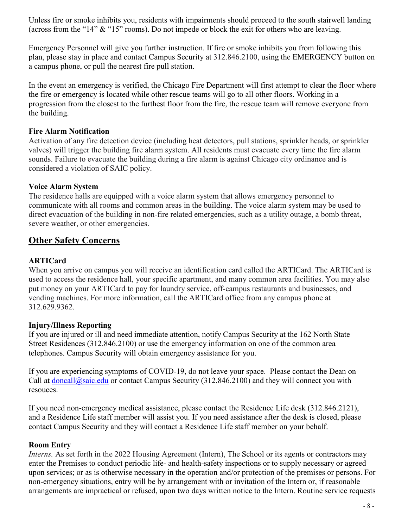Unless fire or smoke inhibits you, residents with impairments should proceed to the south stairwell landing (across from the "14" & "15" rooms). Do not impede or block the exit for others who are leaving.

Emergency Personnel will give you further instruction. If fire or smoke inhibits you from following this plan, please stay in place and contact Campus Security at 312.846.2100, using the EMERGENCY button on a campus phone, or pull the nearest fire pull station.

In the event an emergency is verified, the Chicago Fire Department will first attempt to clear the floor where the fire or emergency is located while other rescue teams will go to all other floors. Working in a progression from the closest to the furthest floor from the fire, the rescue team will remove everyone from the building.

#### **Fire Alarm Notification**

Activation of any fire detection device (including heat detectors, pull stations, sprinkler heads, or sprinkler valves) will trigger the building fire alarm system. All residents must evacuate every time the fire alarm sounds. Failure to evacuate the building during a fire alarm is against Chicago city ordinance and is considered a violation of SAIC policy.

#### **Voice Alarm System**

The residence halls are equipped with a voice alarm system that allows emergency personnel to communicate with all rooms and common areas in the building. The voice alarm system may be used to direct evacuation of the building in non-fire related emergencies, such as a utility outage, a bomb threat, severe weather, or other emergencies.

# <span id="page-7-0"></span>**Other Safety Concerns**

#### **ARTICard**

When you arrive on campus you will receive an identification card called the ARTICard. The ARTICard is used to access the residence hall, your specific apartment, and many common area facilities. You may also put money on your ARTICard to pay for laundry service, off-campus restaurants and businesses, and vending machines. For more information, call the ARTICard office from any campus phone at 312.629.9362.

#### **Injury/Illness Reporting**

If you are injured or ill and need immediate attention, notify Campus Security at the 162 North State Street Residences (312.846.2100) or use the emergency information on one of the common area telephones. Campus Security will obtain emergency assistance for you.

If you are experiencing symptoms of COVID-19, do not leave your space. Please contact the Dean on Call at [doncall@saic.edu](mailto:doncall@saic.edu) or contact Campus Security (312.846.2100) and they will connect you with resouces.

If you need non-emergency medical assistance, please contact the Residence Life desk (312.846.2121), and a Residence Life staff member will assist you. If you need assistance after the desk is closed, please contact Campus Security and they will contact a Residence Life staff member on your behalf.

#### **Room Entry**

*Interns.* As set forth in the 2022 Housing Agreement (Intern), The School or its agents or contractors may enter the Premises to conduct periodic life- and health-safety inspections or to supply necessary or agreed upon services; or as is otherwise necessary in the operation and/or protection of the premises or persons. For non-emergency situations, entry will be by arrangement with or invitation of the Intern or, if reasonable arrangements are impractical or refused, upon two days written notice to the Intern. Routine service requests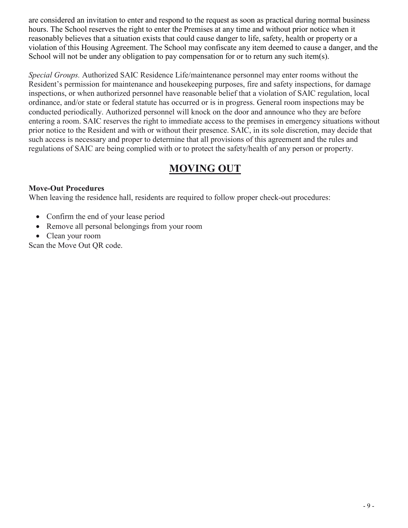are considered an invitation to enter and respond to the request as soon as practical during normal business hours. The School reserves the right to enter the Premises at any time and without prior notice when it reasonably believes that a situation exists that could cause danger to life, safety, health or property or a violation of this Housing Agreement. The School may confiscate any item deemed to cause a danger, and the School will not be under any obligation to pay compensation for or to return any such item(s).

*Special Groups.* Authorized SAIC Residence Life/maintenance personnel may enter rooms without the Resident's permission for maintenance and housekeeping purposes, fire and safety inspections, for damage inspections, or when authorized personnel have reasonable belief that a violation of SAIC regulation, local ordinance, and/or state or federal statute has occurred or is in progress. General room inspections may be conducted periodically. Authorized personnel will knock on the door and announce who they are before entering a room. SAIC reserves the right to immediate access to the premises in emergency situations without prior notice to the Resident and with or without their presence. SAIC, in its sole discretion, may decide that such access is necessary and proper to determine that all provisions of this agreement and the rules and regulations of SAIC are being complied with or to protect the safety/health of any person or property.

# **MOVING OUT**

#### <span id="page-8-0"></span>**Move-Out Procedures**

When leaving the residence hall, residents are required to follow proper check-out procedures:

- Confirm the end of your lease period
- Remove all personal belongings from your room
- Clean your room

Scan the Move Out QR code.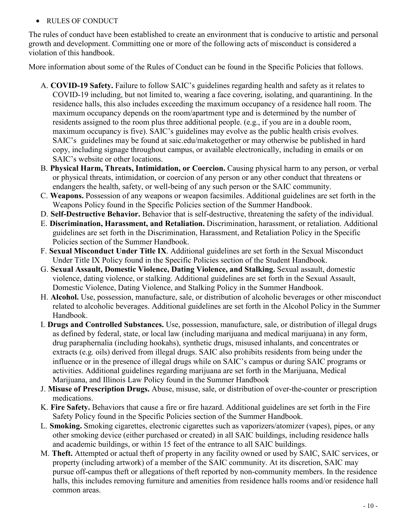#### <span id="page-9-0"></span>• RULES OF CONDUCT

The rules of conduct have been established to create an environment that is conducive to artistic and personal growth and development. Committing one or more of the following acts of misconduct is considered a violation of this handbook.

More information about some of the Rules of Conduct can be found in the Specific Policies that follows.

- A. **COVID-19 Safety.** Failure to follow SAIC's guidelines regarding health and safety as it relates to COVID-19 including, but not limited to, wearing a face covering, isolating, and quarantining. In the residence halls, this also includes exceeding the maximum occupancy of a residence hall room. The maximum occupancy depends on the room/apartment type and is determined by the number of residents assigned to the room plus three additional people. (e.g., if you are in a double room, maximum occupancy is five). SAIC's guidelines may evolve as the public health crisis evolves. SAIC's guidelines may be found at saic.edu/maketogether or may otherwise be published in hard copy, including signage throughout campus, or available electronically, including in emails or on SAIC's website or other locations.
- B. **Physical Harm, Threats, Intimidation, or Coercion.** Causing physical harm to any person, or verbal or physical threats, intimidation, or coercion of any person or any other conduct that threatens or endangers the health, safety, or well-being of any such person or the SAIC community.
- C. **Weapons.** Possession of any weapons or weapon facsimiles. Additional guidelines are set forth in the Weapons Policy found in the Specific Policies section of the Summer Handbook.
- D. **Self-Destructive Behavior.** Behavior that is self-destructive, threatening the safety of the individual.
- E. **Discrimination, Harassment, and Retaliation.** Discrimination, harassment, or retaliation. Additional guidelines are set forth in the Discrimination, Harassment, and Retaliation Policy in the Specific Policies section of the Summer Handbook.
- F. **Sexual Misconduct Under Title IX**. Additional guidelines are set forth in the Sexual Misconduct Under Title IX Policy found in the Specific Policies section of the Student Handbook.
- G. **Sexual Assault, Domestic Violence, Dating Violence, and Stalking.** Sexual assault, domestic violence, dating violence, or stalking. Additional guidelines are set forth in the Sexual Assault, Domestic Violence, Dating Violence, and Stalking Policy in the Summer Handbook.
- H. **Alcohol.** Use, possession, manufacture, sale, or distribution of alcoholic beverages or other misconduct related to alcoholic beverages. Additional guidelines are set forth in the Alcohol Policy in the Summer Handbook.
- I. **Drugs and Controlled Substances.** Use, possession, manufacture, sale, or distribution of illegal drugs as defined by federal, state, or local law (including marijuana and medical marijuana) in any form, drug paraphernalia (including hookahs), synthetic drugs, misused inhalants, and concentrates or extracts (e.g. oils) derived from illegal drugs. SAIC also prohibits residents from being under the influence or in the presence of illegal drugs while on SAIC's campus or during SAIC programs or activities. Additional guidelines regarding marijuana are set forth in the Marijuana, Medical Marijuana, and Illinois Law Policy found in the Summer Handbook
- J. **Misuse of Prescription Drugs.** Abuse, misuse, sale, or distribution of over-the-counter or prescription medications.
- K. **Fire Safety.** Behaviors that cause a fire or fire hazard. Additional guidelines are set forth in the Fire Safety Policy found in the Specific Policies section of the Summer Handbook.
- L. **Smoking.** Smoking cigarettes, electronic cigarettes such as vaporizers/atomizer (vapes), pipes, or any other smoking device (either purchased or created) in all SAIC buildings, including residence halls and academic buildings, or within 15 feet of the entrance to all SAIC buildings.
- M. **Theft.** Attempted or actual theft of property in any facility owned or used by SAIC, SAIC services, or property (including artwork) of a member of the SAIC community. At its discretion, SAIC may pursue off-campus theft or allegations of theft reported by non-community members. In the residence halls, this includes removing furniture and amenities from residence halls rooms and/or residence hall common areas.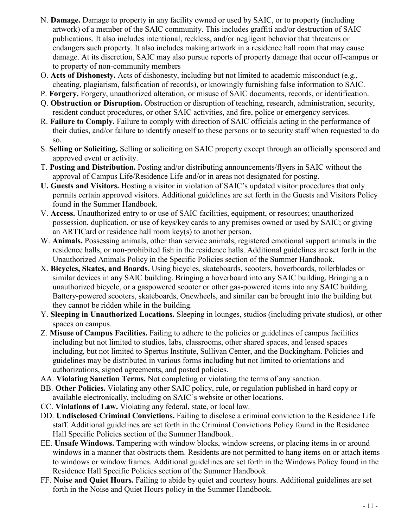- N. **Damage.** Damage to property in any facility owned or used by SAIC, or to property (including artwork) of a member of the SAIC community. This includes graffiti and/or destruction of SAIC publications. It also includes intentional, reckless, and/or negligent behavior that threatens or endangers such property. It also includes making artwork in a residence hall room that may cause damage. At its discretion, SAIC may also pursue reports of property damage that occur off-campus or to property of non-community members
- O. **Acts of Dishonesty.** Acts of dishonesty, including but not limited to academic misconduct (e.g., cheating, plagiarism, falsification of records), or knowingly furnishing false information to SAIC.
- P. **Forgery.** Forgery, unauthorized alteration, or misuse of SAIC documents, records, or identification.
- Q. **Obstruction or Disruption.** Obstruction or disruption of teaching, research, administration, security, resident conduct procedures, or other SAIC activities, and fire, police or emergency services.
- R. **Failure to Comply.** Failure to comply with direction of SAIC officials acting in the performance of their duties, and/or failure to identify oneself to these persons or to security staff when requested to do so.
- S. **Selling or Soliciting.** Selling or soliciting on SAIC property except through an officially sponsored and approved event or activity.
- T. **Posting and Distribution.** Posting and/or distributing announcements/flyers in SAIC without the approval of Campus Life/Residence Life and/or in areas not designated for posting.
- **U. Guests and Visitors.** Hosting a visitor in violation of SAIC's updated visitor procedures that only permits certain approved visitors. Additional guidelines are set forth in the Guests and Visitors Policy found in the Summer Handbook.
- V. **Access.** Unauthorized entry to or use of SAIC facilities, equipment, or resources; unauthorized possession, duplication, or use of keys/key cards to any premises owned or used by SAIC; or giving an ARTICard or residence hall room key(s) to another person.
- W. **Animals.** Possessing animals, other than service animals, registered emotional support animals in the residence halls, or non-prohibited fish in the residence halls. Additional guidelines are set forth in the Unauthorized Animals Policy in the Specific Policies section of the Summer Handbook.
- X. **Bicycles, Skates, and Boards.** Using bicycles, skateboards, scooters, hoverboards, rollerblades or similar devices in any SAIC building. Bringing a hoverboard into any SAIC building. Bringing a n unauthorized bicycle, or a gaspowered scooter or other gas-powered items into any SAIC building. Battery-powered scooters, skateboards, Onewheels, and similar can be brought into the building but they cannot be ridden while in the building.
- Y. **Sleeping in Unauthorized Locations.** Sleeping in lounges, studios (including private studios), or other spaces on campus.
- Z. **Misuse of Campus Facilities.** Failing to adhere to the policies or guidelines of campus facilities including but not limited to studios, labs, classrooms, other shared spaces, and leased spaces including, but not limited to Spertus Institute, Sullivan Center, and the Buckingham. Policies and guidelines may be distributed in various forms including but not limited to orientations and authorizations, signed agreements, and posted policies.
- AA. **Violating Sanction Terms.** Not completing or violating the terms of any sanction.
- BB. **Other Policies.** Violating any other SAIC policy, rule, or regulation published in hard copy or available electronically, including on SAIC's website or other locations.
- CC. **Violations of Law.** Violating any federal, state, or local law.
- DD. **Undisclosed Criminal Convictions.** Failing to disclose a criminal conviction to the Residence Life staff. Additional guidelines are set forth in the Criminal Convictions Policy found in the Residence Hall Specific Policies section of the Summer Handbook.
- EE. **Unsafe Windows.** Tampering with window blocks, window screens, or placing items in or around windows in a manner that obstructs them. Residents are not permitted to hang items on or attach items to windows or window frames. Additional guidelines are set forth in the Windows Policy found in the Residence Hall Specific Policies section of the Summer Handbook.
- FF. **Noise and Quiet Hours.** Failing to abide by quiet and courtesy hours. Additional guidelines are set forth in the Noise and Quiet Hours policy in the Summer Handbook.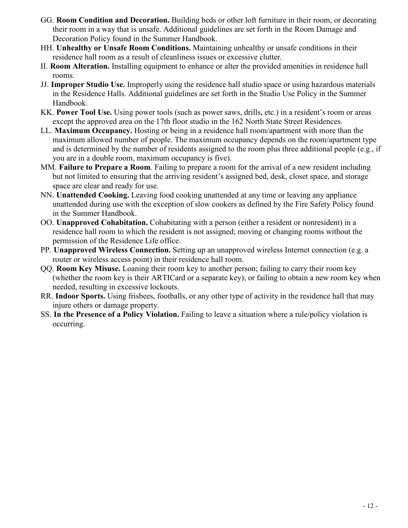- GG. **Room Condition and Decoration.** Building beds or other loft furniture in their room, or decorating their room in a way that is unsafe. Additional guidelines are set forth in the Room Damage and Decoration Policy found in the Summer Handbook.
- HH. **Unhealthy or Unsafe Room Conditions.** Maintaining unhealthy or unsafe conditions in their residence hall room as a result of cleanliness issues or excessive clutter.
- II. **Room Alteration.** Installing equipment to enhance or alter the provided amenities in residence hall rooms.
- JJ. **Improper Studio Use.** Improperly using the residence hall studio space or using hazardous materials in the Residence Halls. Additional guidelines are set forth in the Studio Use Policy in the Summer Handbook.
- KK. **Power Tool Use.** Using power tools (such as power saws, drills, etc.) in a resident's room or areas except the approved area on the 17th floor studio in the 162 North State Street Residences.
- LL. **Maximum Occupancy.** Hosting or being in a residence hall room/apartment with more than the maximum allowed number of people. The maximum occupancy depends on the room/apartment type and is determined by the number of residents assigned to the room plus three additional people (e.g., if you are in a double room, maximum occupancy is five).
- MM. **Failure to Prepare a Room**. Failing to prepare a room for the arrival of a new resident including but not limited to ensuring that the arriving resident's assigned bed, desk, closet space, and storage space are clear and ready for use.
- NN. **Unattended Cooking.** Leaving food cooking unattended at any time or leaving any appliance unattended during use with the exception of slow cookers as defined by the Fire Safety Policy found in the Summer Handbook.
- OO. **Unapproved Cohabitation.** Cohabitating with a person (either a resident or nonresident) in a residence hall room to which the resident is not assigned; moving or changing rooms without the permission of the Residence Life office.
- PP. **Unapproved Wireless Connection.** Setting up an unapproved wireless Internet connection (e.g. a router or wireless access point) in their residence hall room.
- QQ. **Room Key Misuse.** Loaning their room key to another person; failing to carry their room key (whether the room key is their ARTICard or a separate key); or failing to obtain a new room key when needed, resulting in excessive lockouts.
- RR. **Indoor Sports.** Using frisbees, footballs, or any other type of activity in the residence hall that may injure others or damage property.
- SS. **In the Presence of a Policy Violation.** Failing to leave a situation where a rule/policy violation is occurring.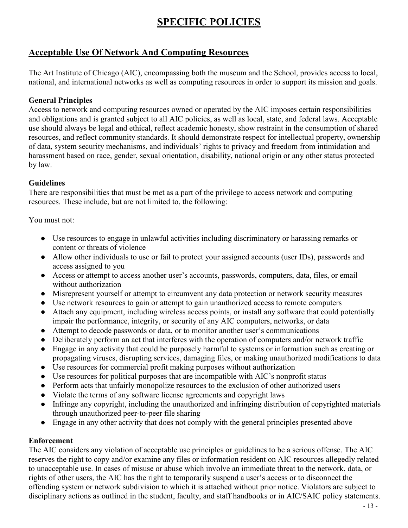# **SPECIFIC POLICIES**

# <span id="page-12-1"></span><span id="page-12-0"></span>**Acceptable Use Of Network And Computing Resources**

The Art Institute of Chicago (AIC), encompassing both the museum and the School, provides access to local, national, and international networks as well as computing resources in order to support its mission and goals.

#### **General Principles**

Access to network and computing resources owned or operated by the AIC imposes certain responsibilities and obligations and is granted subject to all AIC policies, as well as local, state, and federal laws. Acceptable use should always be legal and ethical, reflect academic honesty, show restraint in the consumption of shared resources, and reflect community standards. It should demonstrate respect for intellectual property, ownership of data, system security mechanisms, and individuals' rights to privacy and freedom from intimidation and harassment based on race, gender, sexual orientation, disability, national origin or any other status protected by law.

#### **Guidelines**

There are responsibilities that must be met as a part of the privilege to access network and computing resources. These include, but are not limited to, the following:

You must not:

- Use resources to engage in unlawful activities including discriminatory or harassing remarks or content or threats of violence
- Allow other individuals to use or fail to protect your assigned accounts (user IDs), passwords and access assigned to you
- Access or attempt to access another user's accounts, passwords, computers, data, files, or email without authorization
- Misrepresent yourself or attempt to circumvent any data protection or network security measures
- Use network resources to gain or attempt to gain unauthorized access to remote computers
- Attach any equipment, including wireless access points, or install any software that could potentially impair the performance, integrity, or security of any AIC computers, networks, or data
- Attempt to decode passwords or data, or to monitor another user's communications
- Deliberately perform an act that interferes with the operation of computers and/or network traffic
- Engage in any activity that could be purposely harmful to systems or information such as creating or propagating viruses, disrupting services, damaging files, or making unauthorized modifications to data
- Use resources for commercial profit making purposes without authorization
- Use resources for political purposes that are incompatible with AIC's nonprofit status
- Perform acts that unfairly monopolize resources to the exclusion of other authorized users
- Violate the terms of any software license agreements and copyright laws
- Infringe any copyright, including the unauthorized and infringing distribution of copyrighted materials through unauthorized peer-to-peer file sharing
- Engage in any other activity that does not comply with the general principles presented above

#### **Enforcement**

The AIC considers any violation of acceptable use principles or guidelines to be a serious offense. The AIC reserves the right to copy and/or examine any files or information resident on AIC resources allegedly related to unacceptable use. In cases of misuse or abuse which involve an immediate threat to the network, data, or rights of other users, the AIC has the right to temporarily suspend a user's access or to disconnect the offending system or network subdivision to which it is attached without prior notice. Violators are subject to disciplinary actions as outlined in the student, faculty, and staff handbooks or in AIC/SAIC policy statements.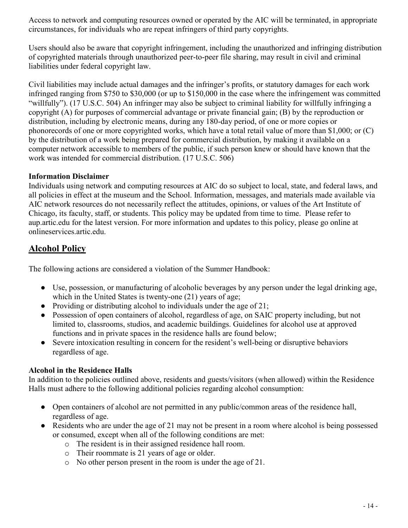Access to network and computing resources owned or operated by the AIC will be terminated, in appropriate circumstances, for individuals who are repeat infringers of third party copyrights.

Users should also be aware that copyright infringement, including the unauthorized and infringing distribution of copyrighted materials through unauthorized peer-to-peer file sharing, may result in civil and criminal liabilities under federal copyright law.

Civil liabilities may include actual damages and the infringer's profits, or statutory damages for each work infringed ranging from \$750 to \$30,000 (or up to \$150,000 in the case where the infringement was committed "willfully"). (17 U.S.C. 504) An infringer may also be subject to criminal liability for willfully infringing a copyright (A) for purposes of commercial advantage or private financial gain; (B) by the reproduction or distribution, including by electronic means, during any 180-day period, of one or more copies or phonorecords of one or more copyrighted works, which have a total retail value of more than \$1,000; or (C) by the distribution of a work being prepared for commercial distribution, by making it available on a computer network accessible to members of the public, if such person knew or should have known that the work was intended for commercial distribution. (17 U.S.C. 506)

#### **Information Disclaimer**

Individuals using network and computing resources at AIC do so subject to local, state, and federal laws, and all policies in effect at the museum and the School. Information, messages, and materials made available via AIC network resources do not necessarily reflect the attitudes, opinions, or values of the Art Institute of Chicago, its faculty, staff, or students. This policy may be updated from time to time. Please refer to aup.artic.edu for the latest version. For more information and updates to this policy, please go online at onlineservices.artic.edu.

# <span id="page-13-0"></span>**Alcohol Policy**

The following actions are considered a violation of the Summer Handbook:

- Use, possession, or manufacturing of alcoholic beverages by any person under the legal drinking age, which in the United States is twenty-one (21) years of age;
- Providing or distributing alcohol to individuals under the age of  $21$ ;
- Possession of open containers of alcohol, regardless of age, on SAIC property including, but not limited to, classrooms, studios, and academic buildings. Guidelines for alcohol use at approved functions and in private spaces in the residence halls are found below;
- Severe intoxication resulting in concern for the resident's well-being or disruptive behaviors regardless of age.

#### **Alcohol in the Residence Halls**

In addition to the policies outlined above, residents and guests/visitors (when allowed) within the Residence Halls must adhere to the following additional policies regarding alcohol consumption:

- Open containers of alcohol are not permitted in any public/common areas of the residence hall, regardless of age.
- Residents who are under the age of 21 may not be present in a room where alcohol is being possessed or consumed, except when all of the following conditions are met:
	- o The resident is in their assigned residence hall room.
	- o Their roommate is 21 years of age or older.
	- o No other person present in the room is under the age of 21.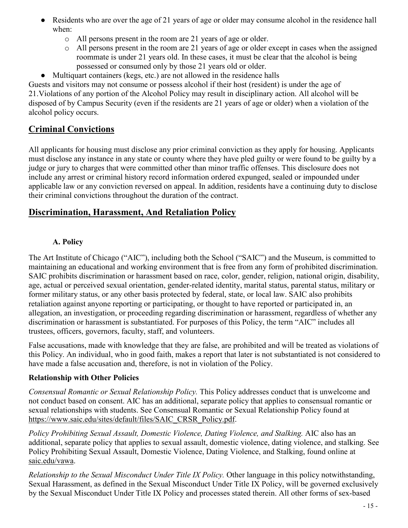- Residents who are over the age of 21 years of age or older may consume alcohol in the residence hall when:
	- o All persons present in the room are 21 years of age or older.
	- o All persons present in the room are 21 years of age or older except in cases when the assigned roommate is under 21 years old. In these cases, it must be clear that the alcohol is being possessed or consumed only by those 21 years old or older.
- Multiquart containers (kegs, etc.) are not allowed in the residence halls

Guests and visitors may not consume or possess alcohol if their host (resident) is under the age of 21.Violations of any portion of the Alcohol Policy may result in disciplinary action. All alcohol will be disposed of by Campus Security (even if the residents are 21 years of age or older) when a violation of the alcohol policy occurs.

# <span id="page-14-0"></span>**Criminal Convictions**

All applicants for housing must disclose any prior criminal conviction as they apply for housing. Applicants must disclose any instance in any state or county where they have pled guilty or were found to be guilty by a judge or jury to charges that were committed other than minor traffic offenses. This disclosure does not include any arrest or criminal history record information ordered expunged, sealed or impounded under applicable law or any conviction reversed on appeal. In addition, residents have a continuing duty to disclose their criminal convictions throughout the duration of the contract.

# <span id="page-14-1"></span>**Discrimination, Harassment, And Retaliation Policy**

#### **A. Policy**

The Art Institute of Chicago ("AIC"), including both the School ("SAIC") and the Museum, is committed to maintaining an educational and working environment that is free from any form of prohibited discrimination. SAIC prohibits discrimination or harassment based on race, color, gender, religion, national origin, disability, age, actual or perceived sexual orientation, gender-related identity, marital status, parental status, military or former military status, or any other basis protected by federal, state, or local law. SAIC also prohibits retaliation against anyone reporting or participating, or thought to have reported or participated in, an allegation, an investigation, or proceeding regarding discrimination or harassment, regardless of whether any discrimination or harassment is substantiated. For purposes of this Policy, the term "AIC" includes all trustees, officers, governors, faculty, staff, and volunteers.

False accusations, made with knowledge that they are false, are prohibited and will be treated as violations of this Policy. An individual, who in good faith, makes a report that later is not substantiated is not considered to have made a false accusation and, therefore, is not in violation of the Policy.

#### **Relationship with Other Policies**

*Consensual Romantic or Sexual Relationship Policy.* This Policy addresses conduct that is unwelcome and not conduct based on consent. AIC has an additional, separate policy that applies to consensual romantic or sexual relationships with students. See Consensual Romantic or Sexual Relationship Policy found at https://www.saic.edu/sites/default/files/SAIC\_CRSR\_Policy.pdf.

*Policy Prohibiting Sexual Assault, Domestic Violence, Dating Violence, and Stalking.* AIC also has an additional, separate policy that applies to sexual assault, domestic violence, dating violence, and stalking. See Policy Prohibiting Sexual Assault, Domestic Violence, Dating Violence, and Stalking, found online at saic.edu/vawa.

*Relationship to the Sexual Misconduct Under Title IX Policy.* Other language in this policy notwithstanding, Sexual Harassment, as defined in the Sexual Misconduct Under Title IX Policy, will be governed exclusively by the Sexual Misconduct Under Title IX Policy and processes stated therein. All other forms of sex-based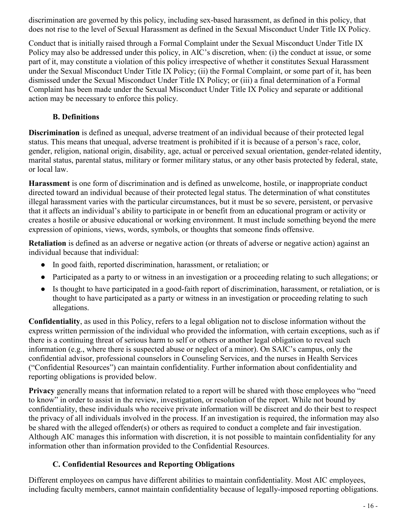discrimination are governed by this policy, including sex-based harassment, as defined in this policy, that does not rise to the level of Sexual Harassment as defined in the Sexual Misconduct Under Title IX Policy.

Conduct that is initially raised through a Formal Complaint under the Sexual Misconduct Under Title IX Policy may also be addressed under this policy, in AIC's discretion, when: (i) the conduct at issue, or some part of it, may constitute a violation of this policy irrespective of whether it constitutes Sexual Harassment under the Sexual Misconduct Under Title IX Policy; (ii) the Formal Complaint, or some part of it, has been dismissed under the Sexual Misconduct Under Title IX Policy; or (iii) a final determination of a Formal Complaint has been made under the Sexual Misconduct Under Title IX Policy and separate or additional action may be necessary to enforce this policy.

#### **B. Definitions**

**Discrimination** is defined as unequal, adverse treatment of an individual because of their protected legal status. This means that unequal, adverse treatment is prohibited if it is because of a person's race, color, gender, religion, national origin, disability, age, actual or perceived sexual orientation, gender-related identity, marital status, parental status, military or former military status, or any other basis protected by federal, state, or local law.

**Harassment** is one form of discrimination and is defined as unwelcome, hostile, or inappropriate conduct directed toward an individual because of their protected legal status. The determination of what constitutes illegal harassment varies with the particular circumstances, but it must be so severe, persistent, or pervasive that it affects an individual's ability to participate in or benefit from an educational program or activity or creates a hostile or abusive educational or working environment. It must include something beyond the mere expression of opinions, views, words, symbols, or thoughts that someone finds offensive.

**Retaliation** is defined as an adverse or negative action (or threats of adverse or negative action) against an individual because that individual:

- In good faith, reported discrimination, harassment, or retaliation; or
- Participated as a party to or witness in an investigation or a proceeding relating to such allegations; or
- Is thought to have participated in a good-faith report of discrimination, harassment, or retaliation, or is thought to have participated as a party or witness in an investigation or proceeding relating to such allegations.

**Confidentiality**, as used in this Policy, refers to a legal obligation not to disclose information without the express written permission of the individual who provided the information, with certain exceptions, such as if there is a continuing threat of serious harm to self or others or another legal obligation to reveal such information (e.g., where there is suspected abuse or neglect of a minor). On SAIC's campus, only the confidential advisor, professional counselors in Counseling Services, and the nurses in Health Services ("Confidential Resources") can maintain confidentiality. Further information about confidentiality and reporting obligations is provided below.

**Privacy** generally means that information related to a report will be shared with those employees who "need to know" in order to assist in the review, investigation, or resolution of the report. While not bound by confidentiality, these individuals who receive private information will be discreet and do their best to respect the privacy of all individuals involved in the process. If an investigation is required, the information may also be shared with the alleged offender(s) or others as required to conduct a complete and fair investigation. Although AIC manages this information with discretion, it is not possible to maintain confidentiality for any information other than information provided to the Confidential Resources.

#### **C. Confidential Resources and Reporting Obligations**

Different employees on campus have different abilities to maintain confidentiality. Most AIC employees, including faculty members, cannot maintain confidentiality because of legally-imposed reporting obligations.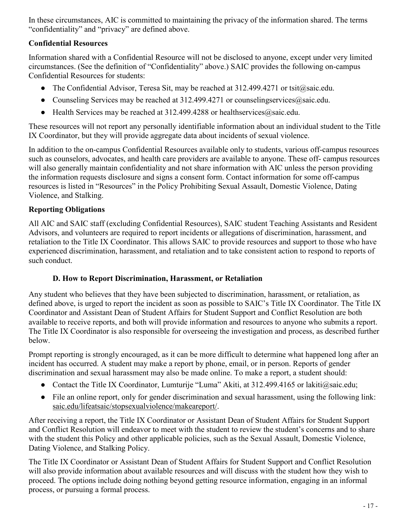In these circumstances, AIC is committed to maintaining the privacy of the information shared. The terms "confidentiality" and "privacy" are defined above.

### **Confidential Resources**

Information shared with a Confidential Resource will not be disclosed to anyone, except under very limited circumstances. (See the definition of "Confidentiality" above.) SAIC provides the following on-campus Confidential Resources for students:

- The Confidential Advisor, Teresa Sit, may be reached at 312.499.4271 or tsit@saic.edu.
- Counseling Services may be reached at 312.499.4271 or counselingservices@saic.edu.
- Health Services may be reached at  $312.499.4288$  or healthservices  $@$ saic.edu.

These resources will not report any personally identifiable information about an individual student to the Title IX Coordinator, but they will provide aggregate data about incidents of sexual violence.

In addition to the on-campus Confidential Resources available only to students, various off-campus resources such as counselors, advocates, and health care providers are available to anyone. These off- campus resources will also generally maintain confidentiality and not share information with AIC unless the person providing the information requests disclosure and signs a consent form. Contact information for some off-campus resources is listed in "Resources" in the Policy Prohibiting Sexual Assault, Domestic Violence, Dating Violence, and Stalking.

#### **Reporting Obligations**

All AIC and SAIC staff (excluding Confidential Resources), SAIC student Teaching Assistants and Resident Advisors, and volunteers are required to report incidents or allegations of discrimination, harassment, and retaliation to the Title IX Coordinator. This allows SAIC to provide resources and support to those who have experienced discrimination, harassment, and retaliation and to take consistent action to respond to reports of such conduct.

#### **D. How to Report Discrimination, Harassment, or Retaliation**

Any student who believes that they have been subjected to discrimination, harassment, or retaliation, as defined above, is urged to report the incident as soon as possible to SAIC's Title IX Coordinator. The Title IX Coordinator and Assistant Dean of Student Affairs for Student Support and Conflict Resolution are both available to receive reports, and both will provide information and resources to anyone who submits a report. The Title IX Coordinator is also responsible for overseeing the investigation and process, as described further below.

Prompt reporting is strongly encouraged, as it can be more difficult to determine what happened long after an incident has occurred. A student may make a report by phone, email, or in person. Reports of gender discrimination and sexual harassment may also be made online. To make a report, a student should:

- Contact the Title IX Coordinator, Lumturije "Luma" Akiti, at 312.499.4165 or lakiti@saic.edu;
- File an online report, only for gender discrimination and sexual harassment, using the following link: saic.edu/lifeatsaic/stopsexualviolence/makeareport/.

After receiving a report, the Title IX Coordinator or Assistant Dean of Student Affairs for Student Support and Conflict Resolution will endeavor to meet with the student to review the student's concerns and to share with the student this Policy and other applicable policies, such as the Sexual Assault, Domestic Violence, Dating Violence, and Stalking Policy.

The Title IX Coordinator or Assistant Dean of Student Affairs for Student Support and Conflict Resolution will also provide information about available resources and will discuss with the student how they wish to proceed. The options include doing nothing beyond getting resource information, engaging in an informal process, or pursuing a formal process.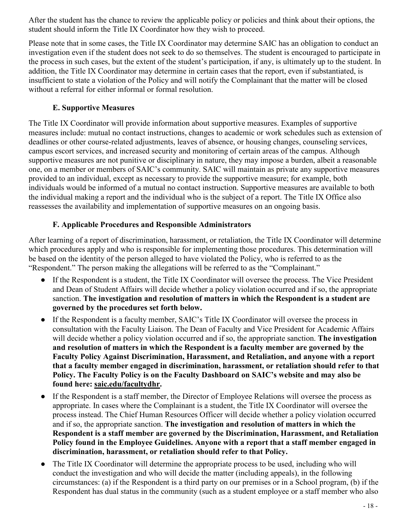After the student has the chance to review the applicable policy or policies and think about their options, the student should inform the Title IX Coordinator how they wish to proceed.

Please note that in some cases, the Title IX Coordinator may determine SAIC has an obligation to conduct an investigation even if the student does not seek to do so themselves. The student is encouraged to participate in the process in such cases, but the extent of the student's participation, if any, is ultimately up to the student. In addition, the Title IX Coordinator may determine in certain cases that the report, even if substantiated, is insufficient to state a violation of the Policy and will notify the Complainant that the matter will be closed without a referral for either informal or formal resolution.

#### **E. Supportive Measures**

The Title IX Coordinator will provide information about supportive measures. Examples of supportive measures include: mutual no contact instructions, changes to academic or work schedules such as extension of deadlines or other course-related adjustments, leaves of absence, or housing changes, counseling services, campus escort services, and increased security and monitoring of certain areas of the campus. Although supportive measures are not punitive or disciplinary in nature, they may impose a burden, albeit a reasonable one, on a member or members of SAIC's community. SAIC will maintain as private any supportive measures provided to an individual, except as necessary to provide the supportive measure; for example, both individuals would be informed of a mutual no contact instruction. Supportive measures are available to both the individual making a report and the individual who is the subject of a report. The Title IX Office also reassesses the availability and implementation of supportive measures on an ongoing basis.

#### **F. Applicable Procedures and Responsible Administrators**

After learning of a report of discrimination, harassment, or retaliation, the Title IX Coordinator will determine which procedures apply and who is responsible for implementing those procedures. This determination will be based on the identity of the person alleged to have violated the Policy, who is referred to as the "Respondent." The person making the allegations will be referred to as the "Complainant."

- If the Respondent is a student, the Title IX Coordinator will oversee the process. The Vice President and Dean of Student Affairs will decide whether a policy violation occurred and if so, the appropriate sanction. **The investigation and resolution of matters in which the Respondent is a student are governed by the procedures set forth below.**
- If the Respondent is a faculty member, SAIC's Title IX Coordinator will oversee the process in consultation with the Faculty Liaison. The Dean of Faculty and Vice President for Academic Affairs will decide whether a policy violation occurred and if so, the appropriate sanction. **The investigation and resolution of matters in which the Respondent is a faculty member are governed by the Faculty Policy Against Discrimination, Harassment, and Retaliation, and anyone with a report that a faculty member engaged in discrimination, harassment, or retaliation should refer to that Policy. The Faculty Policy is on the Faculty Dashboard on SAIC's website and may also be found here: saic.edu/facultydhr.**
- If the Respondent is a staff member, the Director of Employee Relations will oversee the process as appropriate. In cases where the Complainant is a student, the Title IX Coordinator will oversee the process instead. The Chief Human Resources Officer will decide whether a policy violation occurred and if so, the appropriate sanction. **The investigation and resolution of matters in which the Respondent is a staff member are governed by the Discrimination, Harassment, and Retaliation Policy found in the Employee Guidelines. Anyone with a report that a staff member engaged in discrimination, harassment, or retaliation should refer to that Policy.**
- The Title IX Coordinator will determine the appropriate process to be used, including who will conduct the investigation and who will decide the matter (including appeals), in the following circumstances: (a) if the Respondent is a third party on our premises or in a School program, (b) if the Respondent has dual status in the community (such as a student employee or a staff member who also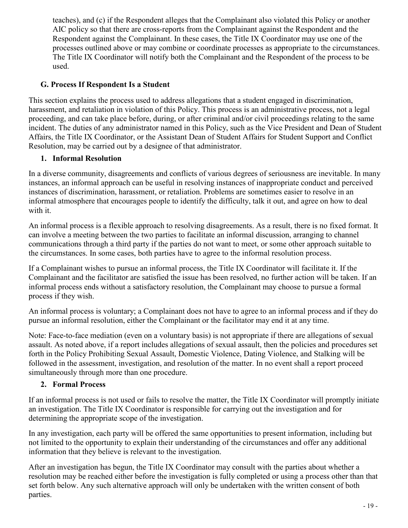teaches), and (c) if the Respondent alleges that the Complainant also violated this Policy or another AIC policy so that there are cross-reports from the Complainant against the Respondent and the Respondent against the Complainant. In these cases, the Title IX Coordinator may use one of the processes outlined above or may combine or coordinate processes as appropriate to the circumstances. The Title IX Coordinator will notify both the Complainant and the Respondent of the process to be used.

#### **G. Process If Respondent Is a Student**

This section explains the process used to address allegations that a student engaged in discrimination, harassment, and retaliation in violation of this Policy. This process is an administrative process, not a legal proceeding, and can take place before, during, or after criminal and/or civil proceedings relating to the same incident. The duties of any administrator named in this Policy, such as the Vice President and Dean of Student Affairs, the Title IX Coordinator, or the Assistant Dean of Student Affairs for Student Support and Conflict Resolution, may be carried out by a designee of that administrator.

#### **1. Informal Resolution**

In a diverse community, disagreements and conflicts of various degrees of seriousness are inevitable. In many instances, an informal approach can be useful in resolving instances of inappropriate conduct and perceived instances of discrimination, harassment, or retaliation. Problems are sometimes easier to resolve in an informal atmosphere that encourages people to identify the difficulty, talk it out, and agree on how to deal with it.

An informal process is a flexible approach to resolving disagreements. As a result, there is no fixed format. It can involve a meeting between the two parties to facilitate an informal discussion, arranging to channel communications through a third party if the parties do not want to meet, or some other approach suitable to the circumstances. In some cases, both parties have to agree to the informal resolution process.

If a Complainant wishes to pursue an informal process, the Title IX Coordinator will facilitate it. If the Complainant and the facilitator are satisfied the issue has been resolved, no further action will be taken. If an informal process ends without a satisfactory resolution, the Complainant may choose to pursue a formal process if they wish.

An informal process is voluntary; a Complainant does not have to agree to an informal process and if they do pursue an informal resolution, either the Complainant or the facilitator may end it at any time.

Note: Face-to-face mediation (even on a voluntary basis) is not appropriate if there are allegations of sexual assault. As noted above, if a report includes allegations of sexual assault, then the policies and procedures set forth in the Policy Prohibiting Sexual Assault, Domestic Violence, Dating Violence, and Stalking will be followed in the assessment, investigation, and resolution of the matter. In no event shall a report proceed simultaneously through more than one procedure.

#### **2. Formal Process**

If an informal process is not used or fails to resolve the matter, the Title IX Coordinator will promptly initiate an investigation. The Title IX Coordinator is responsible for carrying out the investigation and for determining the appropriate scope of the investigation.

In any investigation, each party will be offered the same opportunities to present information, including but not limited to the opportunity to explain their understanding of the circumstances and offer any additional information that they believe is relevant to the investigation.

After an investigation has begun, the Title IX Coordinator may consult with the parties about whether a resolution may be reached either before the investigation is fully completed or using a process other than that set forth below. Any such alternative approach will only be undertaken with the written consent of both parties.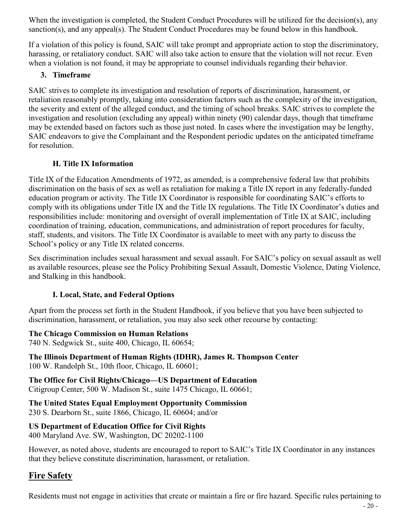When the investigation is completed, the Student Conduct Procedures will be utilized for the decision(s), any sanction(s), and any appeal(s). The Student Conduct Procedures may be found below in this handbook.

If a violation of this policy is found, SAIC will take prompt and appropriate action to stop the discriminatory, harassing, or retaliatory conduct. SAIC will also take action to ensure that the violation will not recur. Even when a violation is not found, it may be appropriate to counsel individuals regarding their behavior.

#### **3. Timeframe**

SAIC strives to complete its investigation and resolution of reports of discrimination, harassment, or retaliation reasonably promptly, taking into consideration factors such as the complexity of the investigation, the severity and extent of the alleged conduct, and the timing of school breaks. SAIC strives to complete the investigation and resolution (excluding any appeal) within ninety (90) calendar days, though that timeframe may be extended based on factors such as those just noted. In cases where the investigation may be lengthy, SAIC endeavors to give the Complainant and the Respondent periodic updates on the anticipated timeframe for resolution.

#### **H. Title IX Information**

Title IX of the Education Amendments of 1972, as amended, is a comprehensive federal law that prohibits discrimination on the basis of sex as well as retaliation for making a Title IX report in any federally-funded education program or activity. The Title IX Coordinator is responsible for coordinating SAIC's efforts to comply with its obligations under Title IX and the Title IX regulations. The Title IX Coordinator's duties and responsibilities include: monitoring and oversight of overall implementation of Title IX at SAIC, including coordination of training, education, communications, and administration of report procedures for faculty, staff, students, and visitors. The Title IX Coordinator is available to meet with any party to discuss the School's policy or any Title IX related concerns.

Sex discrimination includes sexual harassment and sexual assault. For SAIC's policy on sexual assault as well as available resources, please see the Policy Prohibiting Sexual Assault, Domestic Violence, Dating Violence, and Stalking in this handbook.

#### **I. Local, State, and Federal Options**

Apart from the process set forth in the Student Handbook, if you believe that you have been subjected to discrimination, harassment, or retaliation, you may also seek other recourse by contacting:

#### **The Chicago Commission on Human Relations**

740 N. Sedgwick St., suite 400, Chicago, IL 60654;

**The Illinois Department of Human Rights (IDHR), James R. Thompson Center** 100 W. Randolph St., 10th floor, Chicago, IL 60601;

**The Office for Civil Rights/Chicago—US Department of Education** Citigroup Center, 500 W. Madison St., suite 1475 Chicago, IL 60661;

**The United States Equal Employment Opportunity Commission** 230 S. Dearborn St., suite 1866, Chicago, IL 60604; and/or

#### **US Department of Education Office for Civil Rights**

400 Maryland Ave. SW, Washington, DC 20202-1100

However, as noted above, students are encouraged to report to SAIC's Title IX Coordinator in any instances that they believe constitute discrimination, harassment, or retaliation.

# <span id="page-19-0"></span>**Fire Safety**

Residents must not engage in activities that create or maintain a fire or fire hazard. Specific rules pertaining to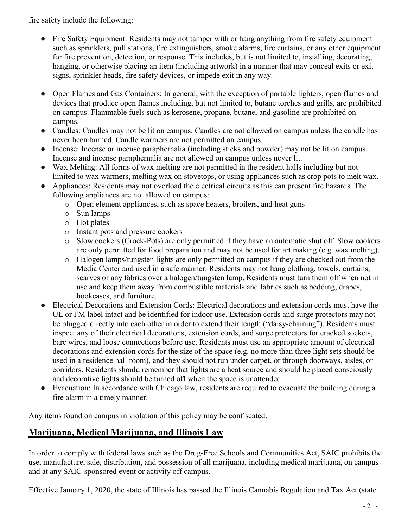fire safety include the following:

- Fire Safety Equipment: Residents may not tamper with or hang anything from fire safety equipment such as sprinklers, pull stations, fire extinguishers, smoke alarms, fire curtains, or any other equipment for fire prevention, detection, or response. This includes, but is not limited to, installing, decorating, hanging, or otherwise placing an item (including artwork) in a manner that may conceal exits or exit signs, sprinkler heads, fire safety devices, or impede exit in any way.
- Open Flames and Gas Containers: In general, with the exception of portable lighters, open flames and devices that produce open flames including, but not limited to, butane torches and grills, are prohibited on campus. Flammable fuels such as kerosene, propane, butane, and gasoline are prohibited on campus.
- Candles: Candles may not be lit on campus. Candles are not allowed on campus unless the candle has never been burned. Candle warmers are not permitted on campus.
- Incense: Incense or incense paraphernalia (including sticks and powder) may not be lit on campus. Incense and incense paraphernalia are not allowed on campus unless never lit.
- Wax Melting: All forms of wax melting are not permitted in the resident halls including but not limited to wax warmers, melting wax on stovetops, or using appliances such as crop pots to melt wax.
- Appliances: Residents may not overload the electrical circuits as this can present fire hazards. The following appliances are not allowed on campus:
	- o Open element appliances, such as space heaters, broilers, and heat guns
	- o Sun lamps
	- o Hot plates
	- o Instant pots and pressure cookers
	- o Slow cookers (Crock-Pots) are only permitted if they have an automatic shut off. Slow cookers are only permitted for food preparation and may not be used for art making (e.g. wax melting).
	- o Halogen lamps/tungsten lights are only permitted on campus if they are checked out from the Media Center and used in a safe manner. Residents may not hang clothing, towels, curtains, scarves or any fabrics over a halogen/tungsten lamp. Residents must turn them off when not in use and keep them away from combustible materials and fabrics such as bedding, drapes, bookcases, and furniture.
- Electrical Decorations and Extension Cords: Electrical decorations and extension cords must have the UL or FM label intact and be identified for indoor use. Extension cords and surge protectors may not be plugged directly into each other in order to extend their length ("daisy-chaining"). Residents must inspect any of their electrical decorations, extension cords, and surge protectors for cracked sockets, bare wires, and loose connections before use. Residents must use an appropriate amount of electrical decorations and extension cords for the size of the space (e.g. no more than three light sets should be used in a residence hall room), and they should not run under carpet, or through doorways, aisles, or corridors. Residents should remember that lights are a heat source and should be placed consciously and decorative lights should be turned off when the space is unattended.
- Evacuation: In accordance with Chicago law, residents are required to evacuate the building during a fire alarm in a timely manner.

Any items found on campus in violation of this policy may be confiscated.

# <span id="page-20-0"></span>**Marijuana, Medical Marijuana, and Illinois Law**

In order to comply with federal laws such as the Drug-Free Schools and Communities Act, SAIC prohibits the use, manufacture, sale, distribution, and possession of all marijuana, including medical marijuana, on campus and at any SAIC-sponsored event or activity off campus.

Effective January 1, 2020, the state of Illinois has passed the Illinois Cannabis Regulation and Tax Act (state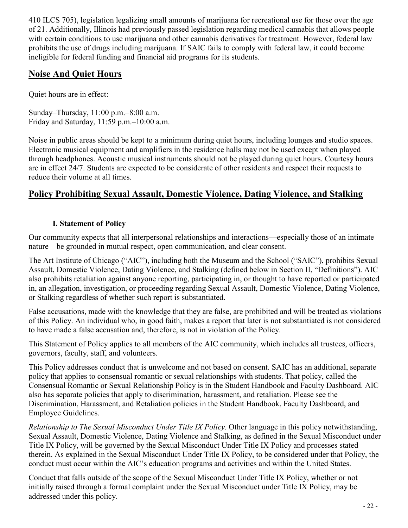410 ILCS 705), legislation legalizing small amounts of marijuana for recreational use for those over the age of 21. Additionally, Illinois had previously passed legislation regarding medical cannabis that allows people with certain conditions to use marijuana and other cannabis derivatives for treatment. However, federal law prohibits the use of drugs including marijuana. If SAIC fails to comply with federal law, it could become ineligible for federal funding and financial aid programs for its students.

# <span id="page-21-0"></span>**Noise And Quiet Hours**

Quiet hours are in effect:

Sunday–Thursday, 11:00 p.m.–8:00 a.m. Friday and Saturday, 11:59 p.m.–10:00 a.m.

Noise in public areas should be kept to a minimum during quiet hours, including lounges and studio spaces. Electronic musical equipment and amplifiers in the residence halls may not be used except when played through headphones. Acoustic musical instruments should not be played during quiet hours. Courtesy hours are in effect 24/7. Students are expected to be considerate of other residents and respect their requests to reduce their volume at all times.

# <span id="page-21-1"></span>**Policy Prohibiting Sexual Assault, Domestic Violence, Dating Violence, and Stalking**

#### **I. Statement of Policy**

Our community expects that all interpersonal relationships and interactions—especially those of an intimate nature—be grounded in mutual respect, open communication, and clear consent.

The Art Institute of Chicago ("AIC"), including both the Museum and the School ("SAIC"), prohibits Sexual Assault, Domestic Violence, Dating Violence, and Stalking (defined below in Section II, "Definitions"). AIC also prohibits retaliation against anyone reporting, participating in, or thought to have reported or participated in, an allegation, investigation, or proceeding regarding Sexual Assault, Domestic Violence, Dating Violence, or Stalking regardless of whether such report is substantiated.

False accusations, made with the knowledge that they are false, are prohibited and will be treated as violations of this Policy. An individual who, in good faith, makes a report that later is not substantiated is not considered to have made a false accusation and, therefore, is not in violation of the Policy.

This Statement of Policy applies to all members of the AIC community, which includes all trustees, officers, governors, faculty, staff, and volunteers.

This Policy addresses conduct that is unwelcome and not based on consent. SAIC has an additional, separate policy that applies to consensual romantic or sexual relationships with students. That policy, called the Consensual Romantic or Sexual Relationship Policy is in the Student Handbook and Faculty Dashboard. AIC also has separate policies that apply to discrimination, harassment, and retaliation. Please see the Discrimination, Harassment, and Retaliation policies in the Student Handbook, Faculty Dashboard, and Employee Guidelines.

*Relationship to The Sexual Misconduct Under Title IX Policy.* Other language in this policy notwithstanding, Sexual Assault, Domestic Violence, Dating Violence and Stalking, as defined in the Sexual Misconduct under Title IX Policy, will be governed by the Sexual Misconduct Under Title IX Policy and processes stated therein. As explained in the Sexual Misconduct Under Title IX Policy, to be considered under that Policy, the conduct must occur within the AIC's education programs and activities and within the United States.

Conduct that falls outside of the scope of the Sexual Misconduct Under Title IX Policy, whether or not initially raised through a formal complaint under the Sexual Misconduct under Title IX Policy, may be addressed under this policy.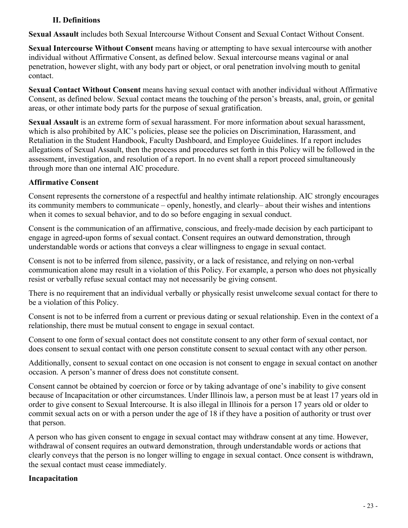#### **II. Definitions**

**Sexual Assault** includes both Sexual Intercourse Without Consent and Sexual Contact Without Consent.

**Sexual Intercourse Without Consent** means having or attempting to have sexual intercourse with another individual without Affirmative Consent, as defined below. Sexual intercourse means vaginal or anal penetration, however slight, with any body part or object, or oral penetration involving mouth to genital contact.

**Sexual Contact Without Consent** means having sexual contact with another individual without Affirmative Consent, as defined below. Sexual contact means the touching of the person's breasts, anal, groin, or genital areas, or other intimate body parts for the purpose of sexual gratification.

**Sexual Assault** is an extreme form of sexual harassment. For more information about sexual harassment, which is also prohibited by AIC's policies, please see the policies on Discrimination, Harassment, and Retaliation in the Student Handbook, Faculty Dashboard, and Employee Guidelines. If a report includes allegations of Sexual Assault, then the process and procedures set forth in this Policy will be followed in the assessment, investigation, and resolution of a report. In no event shall a report proceed simultaneously through more than one internal AIC procedure.

#### **Affirmative Consent**

Consent represents the cornerstone of a respectful and healthy intimate relationship. AIC strongly encourages its community members to communicate – openly, honestly, and clearly– about their wishes and intentions when it comes to sexual behavior, and to do so before engaging in sexual conduct.

Consent is the communication of an affirmative, conscious, and freely-made decision by each participant to engage in agreed-upon forms of sexual contact. Consent requires an outward demonstration, through understandable words or actions that conveys a clear willingness to engage in sexual contact.

Consent is not to be inferred from silence, passivity, or a lack of resistance, and relying on non-verbal communication alone may result in a violation of this Policy. For example, a person who does not physically resist or verbally refuse sexual contact may not necessarily be giving consent.

There is no requirement that an individual verbally or physically resist unwelcome sexual contact for there to be a violation of this Policy.

Consent is not to be inferred from a current or previous dating or sexual relationship. Even in the context of a relationship, there must be mutual consent to engage in sexual contact.

Consent to one form of sexual contact does not constitute consent to any other form of sexual contact, nor does consent to sexual contact with one person constitute consent to sexual contact with any other person.

Additionally, consent to sexual contact on one occasion is not consent to engage in sexual contact on another occasion. A person's manner of dress does not constitute consent.

Consent cannot be obtained by coercion or force or by taking advantage of one's inability to give consent because of Incapacitation or other circumstances. Under Illinois law, a person must be at least 17 years old in order to give consent to Sexual Intercourse. It is also illegal in Illinois for a person 17 years old or older to commit sexual acts on or with a person under the age of 18 if they have a position of authority or trust over that person.

A person who has given consent to engage in sexual contact may withdraw consent at any time. However, withdrawal of consent requires an outward demonstration, through understandable words or actions that clearly conveys that the person is no longer willing to engage in sexual contact. Once consent is withdrawn, the sexual contact must cease immediately.

# **Incapacitation**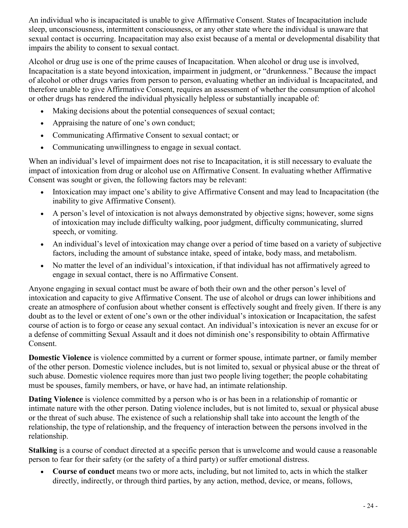An individual who is incapacitated is unable to give Affirmative Consent. States of Incapacitation include sleep, unconsciousness, intermittent consciousness, or any other state where the individual is unaware that sexual contact is occurring. Incapacitation may also exist because of a mental or developmental disability that impairs the ability to consent to sexual contact.

Alcohol or drug use is one of the prime causes of Incapacitation. When alcohol or drug use is involved, Incapacitation is a state beyond intoxication, impairment in judgment, or "drunkenness." Because the impact of alcohol or other drugs varies from person to person, evaluating whether an individual is Incapacitated, and therefore unable to give Affirmative Consent, requires an assessment of whether the consumption of alcohol or other drugs has rendered the individual physically helpless or substantially incapable of:

- Making decisions about the potential consequences of sexual contact;
- Appraising the nature of one's own conduct;
- Communicating Affirmative Consent to sexual contact; or
- Communicating unwillingness to engage in sexual contact.

When an individual's level of impairment does not rise to Incapacitation, it is still necessary to evaluate the impact of intoxication from drug or alcohol use on Affirmative Consent. In evaluating whether Affirmative Consent was sought or given, the following factors may be relevant:

- Intoxication may impact one's ability to give Affirmative Consent and may lead to Incapacitation (the inability to give Affirmative Consent).
- A person's level of intoxication is not always demonstrated by objective signs; however, some signs of intoxication may include difficulty walking, poor judgment, difficulty communicating, slurred speech, or vomiting.
- An individual's level of intoxication may change over a period of time based on a variety of subjective factors, including the amount of substance intake, speed of intake, body mass, and metabolism.
- No matter the level of an individual's intoxication, if that individual has not affirmatively agreed to engage in sexual contact, there is no Affirmative Consent.

Anyone engaging in sexual contact must be aware of both their own and the other person's level of intoxication and capacity to give Affirmative Consent. The use of alcohol or drugs can lower inhibitions and create an atmosphere of confusion about whether consent is effectively sought and freely given. If there is any doubt as to the level or extent of one's own or the other individual's intoxication or Incapacitation, the safest course of action is to forgo or cease any sexual contact. An individual's intoxication is never an excuse for or a defense of committing Sexual Assault and it does not diminish one's responsibility to obtain Affirmative Consent.

**Domestic Violence** is violence committed by a current or former spouse, intimate partner, or family member of the other person. Domestic violence includes, but is not limited to, sexual or physical abuse or the threat of such abuse. Domestic violence requires more than just two people living together; the people cohabitating must be spouses, family members, or have, or have had, an intimate relationship.

**Dating Violence** is violence committed by a person who is or has been in a relationship of romantic or intimate nature with the other person. Dating violence includes, but is not limited to, sexual or physical abuse or the threat of such abuse. The existence of such a relationship shall take into account the length of the relationship, the type of relationship, and the frequency of interaction between the persons involved in the relationship.

**Stalking** is a course of conduct directed at a specific person that is unwelcome and would cause a reasonable person to fear for their safety (or the safety of a third party) or suffer emotional distress.

• **Course of conduct** means two or more acts, including, but not limited to, acts in which the stalker directly, indirectly, or through third parties, by any action, method, device, or means, follows,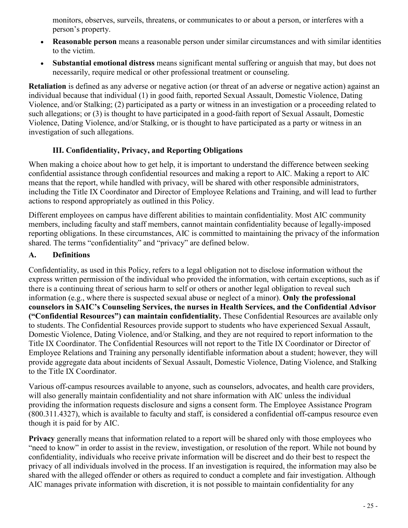monitors, observes, surveils, threatens, or communicates to or about a person, or interferes with a person's property.

- **Reasonable person** means a reasonable person under similar circumstances and with similar identities to the victim.
- **Substantial emotional distress** means significant mental suffering or anguish that may, but does not necessarily, require medical or other professional treatment or counseling.

**Retaliation** is defined as any adverse or negative action (or threat of an adverse or negative action) against an individual because that individual (1) in good faith, reported Sexual Assault, Domestic Violence, Dating Violence, and/or Stalking; (2) participated as a party or witness in an investigation or a proceeding related to such allegations; or (3) is thought to have participated in a good-faith report of Sexual Assault, Domestic Violence, Dating Violence, and/or Stalking, or is thought to have participated as a party or witness in an investigation of such allegations.

#### **III. Confidentiality, Privacy, and Reporting Obligations**

When making a choice about how to get help, it is important to understand the difference between seeking confidential assistance through confidential resources and making a report to AIC. Making a report to AIC means that the report, while handled with privacy, will be shared with other responsible administrators, including the Title IX Coordinator and Director of Employee Relations and Training, and will lead to further actions to respond appropriately as outlined in this Policy.

Different employees on campus have different abilities to maintain confidentiality. Most AIC community members, including faculty and staff members, cannot maintain confidentiality because of legally-imposed reporting obligations. In these circumstances, AIC is committed to maintaining the privacy of the information shared. The terms "confidentiality" and "privacy" are defined below.

#### **A. Definitions**

Confidentiality, as used in this Policy, refers to a legal obligation not to disclose information without the express written permission of the individual who provided the information, with certain exceptions, such as if there is a continuing threat of serious harm to self or others or another legal obligation to reveal such information (e.g., where there is suspected sexual abuse or neglect of a minor). **Only the professional counselors in SAIC's Counseling Services, the nurses in Health Services, and the Confidential Advisor ("Confidential Resources") can maintain confidentiality.** These Confidential Resources are available only to students. The Confidential Resources provide support to students who have experienced Sexual Assault, Domestic Violence, Dating Violence, and/or Stalking, and they are not required to report information to the Title IX Coordinator. The Confidential Resources will not report to the Title IX Coordinator or Director of Employee Relations and Training any personally identifiable information about a student; however, they will provide aggregate data about incidents of Sexual Assault, Domestic Violence, Dating Violence, and Stalking to the Title IX Coordinator.

Various off-campus resources available to anyone, such as counselors, advocates, and health care providers, will also generally maintain confidentiality and not share information with AIC unless the individual providing the information requests disclosure and signs a consent form. The Employee Assistance Program (800.311.4327), which is available to faculty and staff, is considered a confidential off-campus resource even though it is paid for by AIC.

**Privacy** generally means that information related to a report will be shared only with those employees who "need to know" in order to assist in the review, investigation, or resolution of the report. While not bound by confidentiality, individuals who receive private information will be discreet and do their best to respect the privacy of all individuals involved in the process. If an investigation is required, the information may also be shared with the alleged offender or others as required to conduct a complete and fair investigation. Although AIC manages private information with discretion, it is not possible to maintain confidentiality for any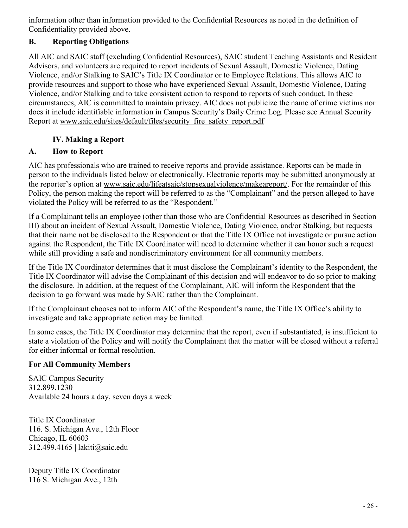information other than information provided to the Confidential Resources as noted in the definition of Confidentiality provided above.

# **B. Reporting Obligations**

All AIC and SAIC staff (excluding Confidential Resources), SAIC student Teaching Assistants and Resident Advisors, and volunteers are required to report incidents of Sexual Assault, Domestic Violence, Dating Violence, and/or Stalking to SAIC's Title IX Coordinator or to Employee Relations. This allows AIC to provide resources and support to those who have experienced Sexual Assault, Domestic Violence, Dating Violence, and/or Stalking and to take consistent action to respond to reports of such conduct. In these circumstances, AIC is committed to maintain privacy. AIC does not publicize the name of crime victims nor does it include identifiable information in Campus Security's Daily Crime Log. Please see Annual Security Report at www.saic.edu/sites/default/files/security\_fire\_safety\_report.pdf

#### **IV. Making a Report**

#### **A. How to Report**

AIC has professionals who are trained to receive reports and provide assistance. Reports can be made in person to the individuals listed below or electronically. Electronic reports may be submitted anonymously at the reporter's option at www.saic.edu/lifeatsaic/stopsexualviolence/makeareport/. For the remainder of this Policy, the person making the report will be referred to as the "Complainant" and the person alleged to have violated the Policy will be referred to as the "Respondent."

If a Complainant tells an employee (other than those who are Confidential Resources as described in Section III) about an incident of Sexual Assault, Domestic Violence, Dating Violence, and/or Stalking, but requests that their name not be disclosed to the Respondent or that the Title IX Office not investigate or pursue action against the Respondent, the Title IX Coordinator will need to determine whether it can honor such a request while still providing a safe and nondiscriminatory environment for all community members.

If the Title IX Coordinator determines that it must disclose the Complainant's identity to the Respondent, the Title IX Coordinator will advise the Complainant of this decision and will endeavor to do so prior to making the disclosure. In addition, at the request of the Complainant, AIC will inform the Respondent that the decision to go forward was made by SAIC rather than the Complainant.

If the Complainant chooses not to inform AIC of the Respondent's name, the Title IX Office's ability to investigate and take appropriate action may be limited.

In some cases, the Title IX Coordinator may determine that the report, even if substantiated, is insufficient to state a violation of the Policy and will notify the Complainant that the matter will be closed without a referral for either informal or formal resolution.

#### **For All Community Members**

SAIC Campus Security 312.899.1230 Available 24 hours a day, seven days a week

Title IX Coordinator 116. S. Michigan Ave., 12th Floor Chicago, IL 60603 312.499.4165 | lakiti@saic.edu

Deputy Title IX Coordinator 116 S. Michigan Ave., 12th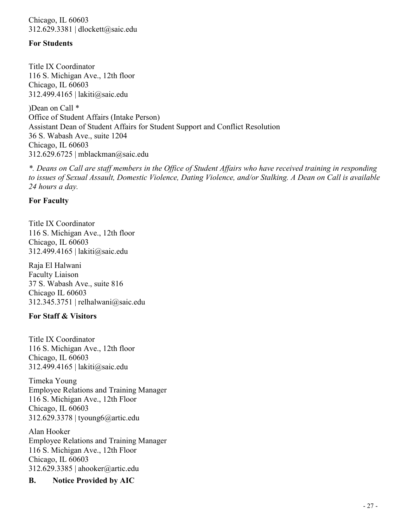Chicago, IL 60603 312.629.3381 | dlockett@saic.edu

#### **For Students**

Title IX Coordinator 116 S. Michigan Ave., 12th floor Chicago, IL 60603 312.499.4165 | lakiti@saic.edu

)Dean on Call \* Office of Student Affairs (Intake Person) Assistant Dean of Student Affairs for Student Support and Conflict Resolution 36 S. Wabash Ave., suite 1204 Chicago, IL 60603 312.629.6725 | mblackman@saic.edu

*\*. Deans on Call are staff members in the Office of Student Affairs who have received training in responding to issues of Sexual Assault, Domestic Violence, Dating Violence, and/or Stalking. A Dean on Call is available 24 hours a day.*

#### **For Faculty**

Title IX Coordinator 116 S. Michigan Ave., 12th floor Chicago, IL 60603 312.499.4165 | lakiti@saic.edu

Raja El Halwani Faculty Liaison 37 S. Wabash Ave., suite 816 Chicago IL 60603 312.345.3751 | relhalwani@saic.edu

#### **For Staff & Visitors**

Title IX Coordinator 116 S. Michigan Ave., 12th floor Chicago, IL 60603 312.499.4165 | lakiti@saic.edu

Timeka Young Employee Relations and Training Manager 116 S. Michigan Ave., 12th Floor Chicago, IL 60603 312.629.3378 | tyoung6@artic.edu

Alan Hooker Employee Relations and Training Manager 116 S. Michigan Ave., 12th Floor Chicago, IL 60603 312.629.3385 | ahooker@artic.edu

#### **B. Notice Provided by AIC**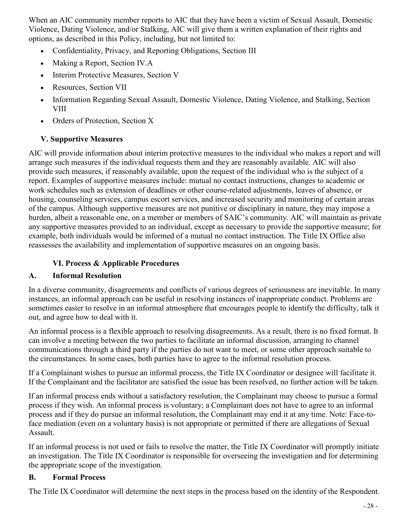When an AIC community member reports to AIC that they have been a victim of Sexual Assault, Domestic Violence, Dating Violence, and/or Stalking, AIC will give them a written explanation of their rights and options, as described in this Policy, including, but not limited to:

- Confidentiality, Privacy, and Reporting Obligations, Section III
- Making a Report, Section IV.A
- Interim Protective Measures, Section V
- Resources, Section VII
- Information Regarding Sexual Assault, Domestic Violence, Dating Violence, and Stalking, Section VIII
- Orders of Protection, Section X

#### **V. Supportive Measures**

AIC will provide information about interim protective measures to the individual who makes a report and will arrange such measures if the individual requests them and they are reasonably available. AIC will also provide such measures, if reasonably available, upon the request of the individual who is the subject of a report. Examples of supportive measures include: mutual no contact instructions, changes to academic or work schedules such as extension of deadlines or other course-related adjustments, leaves of absence, or housing, counseling services, campus escort services, and increased security and monitoring of certain areas of the campus. Although supportive measures are not punitive or disciplinary in nature, they may impose a burden, albeit a reasonable one, on a member or members of SAIC's community. AIC will maintain as private any supportive measures provided to an individual, except as necessary to provide the supportive measure; for example, both individuals would be informed of a mutual no contact instruction. The Title IX Office also reassesses the availability and implementation of supportive measures on an ongoing basis.

# **VI. Process & Applicable Procedures**

# **A. Informal Resolution**

In a diverse community, disagreements and conflicts of various degrees of seriousness are inevitable. In many instances, an informal approach can be useful in resolving instances of inappropriate conduct. Problems are sometimes easier to resolve in an informal atmosphere that encourages people to identify the difficulty, talk it out, and agree how to deal with it.

An informal process is a flexible approach to resolving disagreements. As a result, there is no fixed format. It can involve a meeting between the two parties to facilitate an informal discussion, arranging to channel communications through a third party if the parties do not want to meet, or some other approach suitable to the circumstances. In some cases, both parties have to agree to the informal resolution process.

If a Complainant wishes to pursue an informal process, the Title IX Coordinator or designee will facilitate it. If the Complainant and the facilitator are satisfied the issue has been resolved, no further action will be taken.

If an informal process ends without a satisfactory resolution, the Complainant may choose to pursue a formal process if they wish. An informal process is voluntary; a Complainant does not have to agree to an informal process and if they do pursue an informal resolution, the Complainant may end it at any time. Note: Face-toface mediation (even on a voluntary basis) is not appropriate or permitted if there are allegations of Sexual Assault.

If an informal process is not used or fails to resolve the matter, the Title IX Coordinator will promptly initiate an investigation. The Title IX Coordinator is responsible for overseeing the investigation and for determining the appropriate scope of the investigation.

#### **B. Formal Process**

The Title IX Coordinator will determine the next steps in the process based on the identity of the Respondent.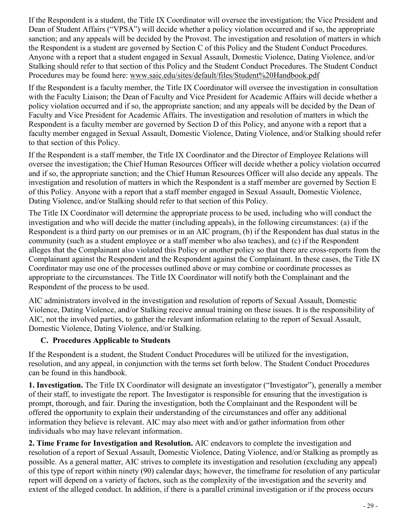If the Respondent is a student, the Title IX Coordinator will oversee the investigation; the Vice President and Dean of Student Affairs ("VPSA") will decide whether a policy violation occurred and if so, the appropriate sanction; and any appeals will be decided by the Provost. The investigation and resolution of matters in which the Respondent is a student are governed by Section C of this Policy and the Student Conduct Procedures. Anyone with a report that a student engaged in Sexual Assault, Domestic Violence, Dating Violence, and/or Stalking should refer to that section of this Policy and the Student Conduct Procedures. The Student Conduct Procedures may be found here: www.saic.edu/sites/default/files/Student%20Handbook.pdf

If the Respondent is a faculty member, the Title IX Coordinator will oversee the investigation in consultation with the Faculty Liaison; the Dean of Faculty and Vice President for Academic Affairs will decide whether a policy violation occurred and if so, the appropriate sanction; and any appeals will be decided by the Dean of Faculty and Vice President for Academic Affairs. The investigation and resolution of matters in which the Respondent is a faculty member are governed by Section D of this Policy, and anyone with a report that a faculty member engaged in Sexual Assault, Domestic Violence, Dating Violence, and/or Stalking should refer to that section of this Policy.

If the Respondent is a staff member, the Title IX Coordinator and the Director of Employee Relations will oversee the investigation; the Chief Human Resources Officer will decide whether a policy violation occurred and if so, the appropriate sanction; and the Chief Human Resources Officer will also decide any appeals. The investigation and resolution of matters in which the Respondent is a staff member are governed by Section E of this Policy. Anyone with a report that a staff member engaged in Sexual Assault, Domestic Violence, Dating Violence, and/or Stalking should refer to that section of this Policy.

The Title IX Coordinator will determine the appropriate process to be used, including who will conduct the investigation and who will decide the matter (including appeals), in the following circumstances: (a) if the Respondent is a third party on our premises or in an AIC program, (b) if the Respondent has dual status in the community (such as a student employee or a staff member who also teaches), and (c) if the Respondent alleges that the Complainant also violated this Policy or another policy so that there are cross-reports from the Complainant against the Respondent and the Respondent against the Complainant. In these cases, the Title IX Coordinator may use one of the processes outlined above or may combine or coordinate processes as appropriate to the circumstances. The Title IX Coordinator will notify both the Complainant and the Respondent of the process to be used.

AIC administrators involved in the investigation and resolution of reports of Sexual Assault, Domestic Violence, Dating Violence, and/or Stalking receive annual training on these issues. It is the responsibility of AIC, not the involved parties, to gather the relevant information relating to the report of Sexual Assault, Domestic Violence, Dating Violence, and/or Stalking.

#### **C. Procedures Applicable to Students**

If the Respondent is a student, the Student Conduct Procedures will be utilized for the investigation, resolution, and any appeal, in conjunction with the terms set forth below. The Student Conduct Procedures can be found in this handbook.

**1. Investigation.** The Title IX Coordinator will designate an investigator ("Investigator"), generally a member of their staff, to investigate the report. The Investigator is responsible for ensuring that the investigation is prompt, thorough, and fair. During the investigation, both the Complainant and the Respondent will be offered the opportunity to explain their understanding of the circumstances and offer any additional information they believe is relevant. AIC may also meet with and/or gather information from other individuals who may have relevant information.

**2. Time Frame for Investigation and Resolution.** AIC endeavors to complete the investigation and resolution of a report of Sexual Assault, Domestic Violence, Dating Violence, and/or Stalking as promptly as possible. As a general matter, AIC strives to complete its investigation and resolution (excluding any appeal) of this type of report within ninety (90) calendar days; however, the timeframe for resolution of any particular report will depend on a variety of factors, such as the complexity of the investigation and the severity and extent of the alleged conduct. In addition, if there is a parallel criminal investigation or if the process occurs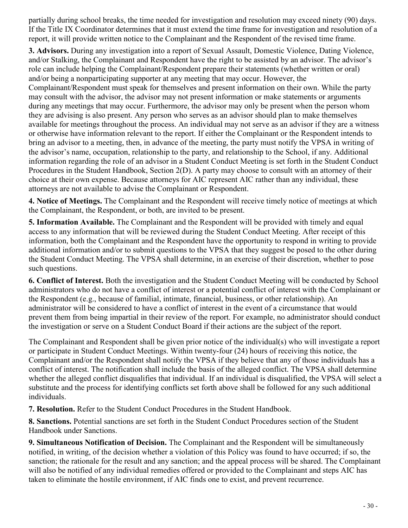partially during school breaks, the time needed for investigation and resolution may exceed ninety (90) days. If the Title IX Coordinator determines that it must extend the time frame for investigation and resolution of a report, it will provide written notice to the Complainant and the Respondent of the revised time frame.

**3. Advisors.** During any investigation into a report of Sexual Assault, Domestic Violence, Dating Violence, and/or Stalking, the Complainant and Respondent have the right to be assisted by an advisor. The advisor's role can include helping the Complainant/Respondent prepare their statements (whether written or oral) and/or being a nonparticipating supporter at any meeting that may occur. However, the Complainant/Respondent must speak for themselves and present information on their own. While the party may consult with the advisor, the advisor may not present information or make statements or arguments during any meetings that may occur. Furthermore, the advisor may only be present when the person whom they are advising is also present. Any person who serves as an advisor should plan to make themselves available for meetings throughout the process. An individual may not serve as an advisor if they are a witness or otherwise have information relevant to the report. If either the Complainant or the Respondent intends to bring an advisor to a meeting, then, in advance of the meeting, the party must notify the VPSA in writing of the advisor's name, occupation, relationship to the party, and relationship to the School, if any. Additional information regarding the role of an advisor in a Student Conduct Meeting is set forth in the Student Conduct Procedures in the Student Handbook, Section 2(D). A party may choose to consult with an attorney of their choice at their own expense. Because attorneys for AIC represent AIC rather than any individual, these attorneys are not available to advise the Complainant or Respondent.

**4. Notice of Meetings.** The Complainant and the Respondent will receive timely notice of meetings at which the Complainant, the Respondent, or both, are invited to be present.

**5. Information Available.** The Complainant and the Respondent will be provided with timely and equal access to any information that will be reviewed during the Student Conduct Meeting. After receipt of this information, both the Complainant and the Respondent have the opportunity to respond in writing to provide additional information and/or to submit questions to the VPSA that they suggest be posed to the other during the Student Conduct Meeting. The VPSA shall determine, in an exercise of their discretion, whether to pose such questions.

**6. Conflict of Interest.** Both the investigation and the Student Conduct Meeting will be conducted by School administrators who do not have a conflict of interest or a potential conflict of interest with the Complainant or the Respondent (e.g., because of familial, intimate, financial, business, or other relationship). An administrator will be considered to have a conflict of interest in the event of a circumstance that would prevent them from being impartial in their review of the report. For example, no administrator should conduct the investigation or serve on a Student Conduct Board if their actions are the subject of the report.

The Complainant and Respondent shall be given prior notice of the individual(s) who will investigate a report or participate in Student Conduct Meetings. Within twenty-four (24) hours of receiving this notice, the Complainant and/or the Respondent shall notify the VPSA if they believe that any of those individuals has a conflict of interest. The notification shall include the basis of the alleged conflict. The VPSA shall determine whether the alleged conflict disqualifies that individual. If an individual is disqualified, the VPSA will select a substitute and the process for identifying conflicts set forth above shall be followed for any such additional individuals.

**7. Resolution.** Refer to the Student Conduct Procedures in the Student Handbook.

**8. Sanctions.** Potential sanctions are set forth in the Student Conduct Procedures section of the Student Handbook under Sanctions.

**9. Simultaneous Notification of Decision.** The Complainant and the Respondent will be simultaneously notified, in writing, of the decision whether a violation of this Policy was found to have occurred; if so, the sanction; the rationale for the result and any sanction; and the appeal process will be shared. The Complainant will also be notified of any individual remedies offered or provided to the Complainant and steps AIC has taken to eliminate the hostile environment, if AIC finds one to exist, and prevent recurrence.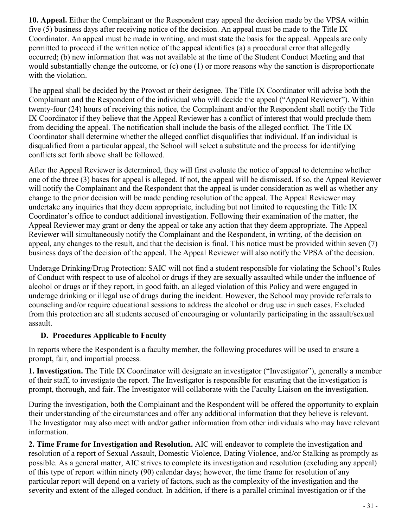**10. Appeal.** Either the Complainant or the Respondent may appeal the decision made by the VPSA within five (5) business days after receiving notice of the decision. An appeal must be made to the Title IX Coordinator. An appeal must be made in writing, and must state the basis for the appeal. Appeals are only permitted to proceed if the written notice of the appeal identifies (a) a procedural error that allegedly occurred; (b) new information that was not available at the time of the Student Conduct Meeting and that would substantially change the outcome, or (c) one (1) or more reasons why the sanction is disproportionate with the violation.

The appeal shall be decided by the Provost or their designee. The Title IX Coordinator will advise both the Complainant and the Respondent of the individual who will decide the appeal ("Appeal Reviewer"). Within twenty-four (24) hours of receiving this notice, the Complainant and/or the Respondent shall notify the Title IX Coordinator if they believe that the Appeal Reviewer has a conflict of interest that would preclude them from deciding the appeal. The notification shall include the basis of the alleged conflict. The Title IX Coordinator shall determine whether the alleged conflict disqualifies that individual. If an individual is disqualified from a particular appeal, the School will select a substitute and the process for identifying conflicts set forth above shall be followed.

After the Appeal Reviewer is determined, they will first evaluate the notice of appeal to determine whether one of the three (3) bases for appeal is alleged. If not, the appeal will be dismissed. If so, the Appeal Reviewer will notify the Complainant and the Respondent that the appeal is under consideration as well as whether any change to the prior decision will be made pending resolution of the appeal. The Appeal Reviewer may undertake any inquiries that they deem appropriate, including but not limited to requesting the Title IX Coordinator's office to conduct additional investigation. Following their examination of the matter, the Appeal Reviewer may grant or deny the appeal or take any action that they deem appropriate. The Appeal Reviewer will simultaneously notify the Complainant and the Respondent, in writing, of the decision on appeal, any changes to the result, and that the decision is final. This notice must be provided within seven (7) business days of the decision of the appeal. The Appeal Reviewer will also notify the VPSA of the decision.

Underage Drinking/Drug Protection: SAIC will not find a student responsible for violating the School's Rules of Conduct with respect to use of alcohol or drugs if they are sexually assaulted while under the influence of alcohol or drugs or if they report, in good faith, an alleged violation of this Policy and were engaged in underage drinking or illegal use of drugs during the incident. However, the School may provide referrals to counseling and/or require educational sessions to address the alcohol or drug use in such cases. Excluded from this protection are all students accused of encouraging or voluntarily participating in the assault/sexual assault.

#### **D. Procedures Applicable to Faculty**

In reports where the Respondent is a faculty member, the following procedures will be used to ensure a prompt, fair, and impartial process.

**1. Investigation.** The Title IX Coordinator will designate an investigator ("Investigator"), generally a member of their staff, to investigate the report. The Investigator is responsible for ensuring that the investigation is prompt, thorough, and fair. The Investigator will collaborate with the Faculty Liaison on the investigation.

During the investigation, both the Complainant and the Respondent will be offered the opportunity to explain their understanding of the circumstances and offer any additional information that they believe is relevant. The Investigator may also meet with and/or gather information from other individuals who may have relevant information.

**2. Time Frame for Investigation and Resolution.** AIC will endeavor to complete the investigation and resolution of a report of Sexual Assault, Domestic Violence, Dating Violence, and/or Stalking as promptly as possible. As a general matter, AIC strives to complete its investigation and resolution (excluding any appeal) of this type of report within ninety (90) calendar days; however, the time frame for resolution of any particular report will depend on a variety of factors, such as the complexity of the investigation and the severity and extent of the alleged conduct. In addition, if there is a parallel criminal investigation or if the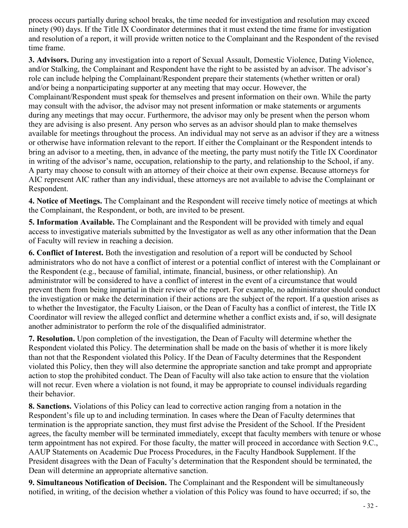process occurs partially during school breaks, the time needed for investigation and resolution may exceed ninety (90) days. If the Title IX Coordinator determines that it must extend the time frame for investigation and resolution of a report, it will provide written notice to the Complainant and the Respondent of the revised time frame.

**3. Advisors.** During any investigation into a report of Sexual Assault, Domestic Violence, Dating Violence, and/or Stalking, the Complainant and Respondent have the right to be assisted by an advisor. The advisor's role can include helping the Complainant/Respondent prepare their statements (whether written or oral) and/or being a nonparticipating supporter at any meeting that may occur. However, the Complainant/Respondent must speak for themselves and present information on their own. While the party may consult with the advisor, the advisor may not present information or make statements or arguments during any meetings that may occur. Furthermore, the advisor may only be present when the person whom they are advising is also present. Any person who serves as an advisor should plan to make themselves available for meetings throughout the process. An individual may not serve as an advisor if they are a witness or otherwise have information relevant to the report. If either the Complainant or the Respondent intends to bring an advisor to a meeting, then, in advance of the meeting, the party must notify the Title IX Coordinator in writing of the advisor's name, occupation, relationship to the party, and relationship to the School, if any. A party may choose to consult with an attorney of their choice at their own expense. Because attorneys for AIC represent AIC rather than any individual, these attorneys are not available to advise the Complainant or Respondent.

**4. Notice of Meetings.** The Complainant and the Respondent will receive timely notice of meetings at which the Complainant, the Respondent, or both, are invited to be present.

**5. Information Available.** The Complainant and the Respondent will be provided with timely and equal access to investigative materials submitted by the Investigator as well as any other information that the Dean of Faculty will review in reaching a decision.

**6. Conflict of Interest.** Both the investigation and resolution of a report will be conducted by School administrators who do not have a conflict of interest or a potential conflict of interest with the Complainant or the Respondent (e.g., because of familial, intimate, financial, business, or other relationship). An administrator will be considered to have a conflict of interest in the event of a circumstance that would prevent them from being impartial in their review of the report. For example, no administrator should conduct the investigation or make the determination if their actions are the subject of the report. If a question arises as to whether the Investigator, the Faculty Liaison, or the Dean of Faculty has a conflict of interest, the Title IX Coordinator will review the alleged conflict and determine whether a conflict exists and, if so, will designate another administrator to perform the role of the disqualified administrator.

**7. Resolution.** Upon completion of the investigation, the Dean of Faculty will determine whether the Respondent violated this Policy. The determination shall be made on the basis of whether it is more likely than not that the Respondent violated this Policy. If the Dean of Faculty determines that the Respondent violated this Policy, then they will also determine the appropriate sanction and take prompt and appropriate action to stop the prohibited conduct. The Dean of Faculty will also take action to ensure that the violation will not recur. Even where a violation is not found, it may be appropriate to counsel individuals regarding their behavior.

**8. Sanctions.** Violations of this Policy can lead to corrective action ranging from a notation in the Respondent's file up to and including termination. In cases where the Dean of Faculty determines that termination is the appropriate sanction, they must first advise the President of the School. If the President agrees, the faculty member will be terminated immediately, except that faculty members with tenure or whose term appointment has not expired. For those faculty, the matter will proceed in accordance with Section 9.C., AAUP Statements on Academic Due Process Procedures, in the Faculty Handbook Supplement. If the President disagrees with the Dean of Faculty's determination that the Respondent should be terminated, the Dean will determine an appropriate alternative sanction.

**9. Simultaneous Notification of Decision.** The Complainant and the Respondent will be simultaneously notified, in writing, of the decision whether a violation of this Policy was found to have occurred; if so, the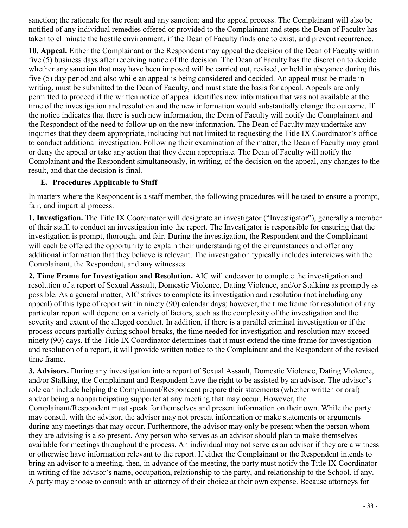sanction; the rationale for the result and any sanction; and the appeal process. The Complainant will also be notified of any individual remedies offered or provided to the Complainant and steps the Dean of Faculty has taken to eliminate the hostile environment, if the Dean of Faculty finds one to exist, and prevent recurrence.

**10. Appeal.** Either the Complainant or the Respondent may appeal the decision of the Dean of Faculty within five (5) business days after receiving notice of the decision. The Dean of Faculty has the discretion to decide whether any sanction that may have been imposed will be carried out, revised, or held in abeyance during this five (5) day period and also while an appeal is being considered and decided. An appeal must be made in writing, must be submitted to the Dean of Faculty, and must state the basis for appeal. Appeals are only permitted to proceed if the written notice of appeal identifies new information that was not available at the time of the investigation and resolution and the new information would substantially change the outcome. If the notice indicates that there is such new information, the Dean of Faculty will notify the Complainant and the Respondent of the need to follow up on the new information. The Dean of Faculty may undertake any inquiries that they deem appropriate, including but not limited to requesting the Title IX Coordinator's office to conduct additional investigation. Following their examination of the matter, the Dean of Faculty may grant or deny the appeal or take any action that they deem appropriate. The Dean of Faculty will notify the Complainant and the Respondent simultaneously, in writing, of the decision on the appeal, any changes to the result, and that the decision is final.

#### **E. Procedures Applicable to Staff**

In matters where the Respondent is a staff member, the following procedures will be used to ensure a prompt, fair, and impartial process.

**1. Investigation.** The Title IX Coordinator will designate an investigator ("Investigator"), generally a member of their staff, to conduct an investigation into the report. The Investigator is responsible for ensuring that the investigation is prompt, thorough, and fair. During the investigation, the Respondent and the Complainant will each be offered the opportunity to explain their understanding of the circumstances and offer any additional information that they believe is relevant. The investigation typically includes interviews with the Complainant, the Respondent, and any witnesses.

**2. Time Frame for Investigation and Resolution.** AIC will endeavor to complete the investigation and resolution of a report of Sexual Assault, Domestic Violence, Dating Violence, and/or Stalking as promptly as possible. As a general matter, AIC strives to complete its investigation and resolution (not including any appeal) of this type of report within ninety (90) calendar days; however, the time frame for resolution of any particular report will depend on a variety of factors, such as the complexity of the investigation and the severity and extent of the alleged conduct. In addition, if there is a parallel criminal investigation or if the process occurs partially during school breaks, the time needed for investigation and resolution may exceed ninety (90) days. If the Title IX Coordinator determines that it must extend the time frame for investigation and resolution of a report, it will provide written notice to the Complainant and the Respondent of the revised time frame.

**3. Advisors.** During any investigation into a report of Sexual Assault, Domestic Violence, Dating Violence, and/or Stalking, the Complainant and Respondent have the right to be assisted by an advisor. The advisor's role can include helping the Complainant/Respondent prepare their statements (whether written or oral) and/or being a nonparticipating supporter at any meeting that may occur. However, the Complainant/Respondent must speak for themselves and present information on their own. While the party may consult with the advisor, the advisor may not present information or make statements or arguments during any meetings that may occur. Furthermore, the advisor may only be present when the person whom they are advising is also present. Any person who serves as an advisor should plan to make themselves available for meetings throughout the process. An individual may not serve as an advisor if they are a witness or otherwise have information relevant to the report. If either the Complainant or the Respondent intends to bring an advisor to a meeting, then, in advance of the meeting, the party must notify the Title IX Coordinator in writing of the advisor's name, occupation, relationship to the party, and relationship to the School, if any. A party may choose to consult with an attorney of their choice at their own expense. Because attorneys for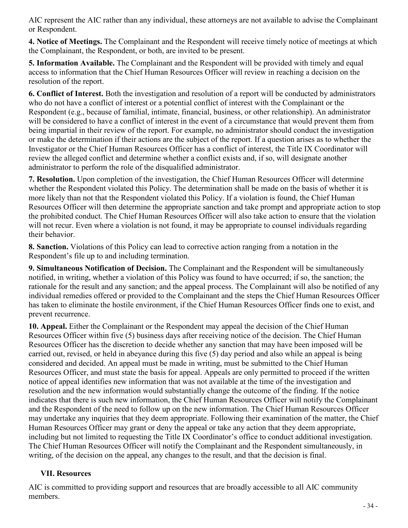AIC represent the AIC rather than any individual, these attorneys are not available to advise the Complainant or Respondent.

**4. Notice of Meetings.** The Complainant and the Respondent will receive timely notice of meetings at which the Complainant, the Respondent, or both, are invited to be present.

**5. Information Available.** The Complainant and the Respondent will be provided with timely and equal access to information that the Chief Human Resources Officer will review in reaching a decision on the resolution of the report.

**6. Conflict of Interest.** Both the investigation and resolution of a report will be conducted by administrators who do not have a conflict of interest or a potential conflict of interest with the Complainant or the Respondent (e.g., because of familial, intimate, financial, business, or other relationship). An administrator will be considered to have a conflict of interest in the event of a circumstance that would prevent them from being impartial in their review of the report. For example, no administrator should conduct the investigation or make the determination if their actions are the subject of the report. If a question arises as to whether the Investigator or the Chief Human Resources Officer has a conflict of interest, the Title IX Coordinator will review the alleged conflict and determine whether a conflict exists and, if so, will designate another administrator to perform the role of the disqualified administrator.

**7. Resolution.** Upon completion of the investigation, the Chief Human Resources Officer will determine whether the Respondent violated this Policy. The determination shall be made on the basis of whether it is more likely than not that the Respondent violated this Policy. If a violation is found, the Chief Human Resources Officer will then determine the appropriate sanction and take prompt and appropriate action to stop the prohibited conduct. The Chief Human Resources Officer will also take action to ensure that the violation will not recur. Even where a violation is not found, it may be appropriate to counsel individuals regarding their behavior.

**8. Sanction.** Violations of this Policy can lead to corrective action ranging from a notation in the Respondent's file up to and including termination.

**9. Simultaneous Notification of Decision.** The Complainant and the Respondent will be simultaneously notified, in writing, whether a violation of this Policy was found to have occurred; if so, the sanction; the rationale for the result and any sanction; and the appeal process. The Complainant will also be notified of any individual remedies offered or provided to the Complainant and the steps the Chief Human Resources Officer has taken to eliminate the hostile environment, if the Chief Human Resources Officer finds one to exist, and prevent recurrence.

**10. Appeal.** Either the Complainant or the Respondent may appeal the decision of the Chief Human Resources Officer within five (5) business days after receiving notice of the decision. The Chief Human Resources Officer has the discretion to decide whether any sanction that may have been imposed will be carried out, revised, or held in abeyance during this five (5) day period and also while an appeal is being considered and decided. An appeal must be made in writing, must be submitted to the Chief Human Resources Officer, and must state the basis for appeal. Appeals are only permitted to proceed if the written notice of appeal identifies new information that was not available at the time of the investigation and resolution and the new information would substantially change the outcome of the finding. If the notice indicates that there is such new information, the Chief Human Resources Officer will notify the Complainant and the Respondent of the need to follow up on the new information. The Chief Human Resources Officer may undertake any inquiries that they deem appropriate. Following their examination of the matter, the Chief Human Resources Officer may grant or deny the appeal or take any action that they deem appropriate, including but not limited to requesting the Title IX Coordinator's office to conduct additional investigation. The Chief Human Resources Officer will notify the Complainant and the Respondent simultaneously, in writing, of the decision on the appeal, any changes to the result, and that the decision is final.

#### **VII. Resources**

AIC is committed to providing support and resources that are broadly accessible to all AIC community members.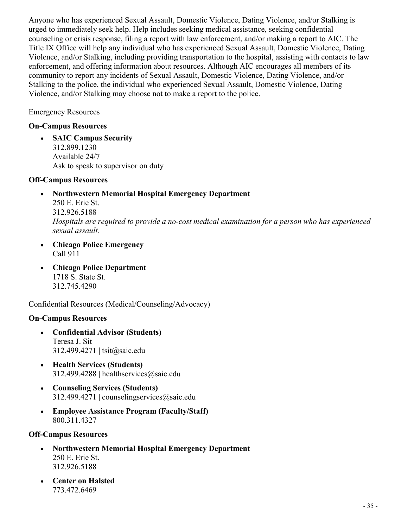Anyone who has experienced Sexual Assault, Domestic Violence, Dating Violence, and/or Stalking is urged to immediately seek help. Help includes seeking medical assistance, seeking confidential counseling or crisis response, filing a report with law enforcement, and/or making a report to AIC. The Title IX Office will help any individual who has experienced Sexual Assault, Domestic Violence, Dating Violence, and/or Stalking, including providing transportation to the hospital, assisting with contacts to law enforcement, and offering information about resources. Although AIC encourages all members of its community to report any incidents of Sexual Assault, Domestic Violence, Dating Violence, and/or Stalking to the police, the individual who experienced Sexual Assault, Domestic Violence, Dating Violence, and/or Stalking may choose not to make a report to the police.

Emergency Resources

#### **On-Campus Resources**

• **SAIC Campus Security** 312.899.1230 Available 24/7 Ask to speak to supervisor on duty

#### **Off-Campus Resources**

*sexual assault.*

- **Northwestern Memorial Hospital Emergency Department** 250 E. Erie St. 312.926.5188 *Hospitals are required to provide a no-cost medical examination for a person who has experienced*
- **Chicago Police Emergency** Call 911
- **Chicago Police Department** 1718 S. State St. 312.745.4290

Confidential Resources (Medical/Counseling/Advocacy)

#### **On-Campus Resources**

- **Confidential Advisor (Students)** Teresa J. Sit 312.499.4271 | tsit@saic.edu
- **Health Services (Students)** 312.499.4288 | healthservices@saic.edu
- **Counseling Services (Students)**  $312.499.4271$  | counselingservices $@$ saic.edu
- **Employee Assistance Program (Faculty/Staff)** 800.311.4327

#### **Off-Campus Resources**

- **Northwestern Memorial Hospital Emergency Department** 250 E. Erie St. 312.926.5188
- **Center on Halsted** 773.472.6469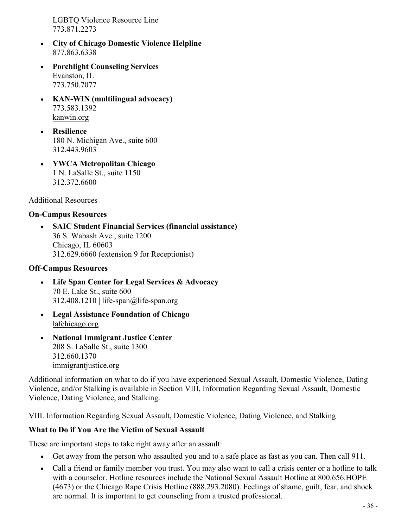LGBTQ Violence Resource Line 773.871.2273

- **City of Chicago Domestic Violence Helpline** 877.863.6338
- **Porchlight Counseling Services** Evanston, IL 773.750.7077
- **KAN-WIN (multilingual advocacy)** 773.583.1392 kanwin.org
- **Resilience** 180 N. Michigan Ave., suite 600 312.443.9603
- **YWCA Metropolitan Chicago**  1 N. LaSalle St., suite 1150 312.372.6600

Additional Resources

#### **On-Campus Resources**

• **SAIC Student Financial Services (financial assistance)**  36 S. Wabash Ave., suite 1200 Chicago, IL 60603 312.629.6660 (extension 9 for Receptionist)

#### **Off-Campus Resources**

- **Life Span Center for Legal Services & Advocacy** 70 E. Lake St., suite 600  $312.408.1210$  | life-span@life-span.org
- **Legal Assistance Foundation of Chicago** lafchicago.org
- **National Immigrant Justice Center** 208 S. LaSalle St., suite 1300 312.660.1370 immigrantjustice.org

Additional information on what to do if you have experienced Sexual Assault, Domestic Violence, Dating Violence, and/or Stalking is available in Section VIII, Information Regarding Sexual Assault, Domestic Violence, Dating Violence, and Stalking.

VIII. Information Regarding Sexual Assault, Domestic Violence, Dating Violence, and Stalking

#### **What to Do if You Are the Victim of Sexual Assault**

These are important steps to take right away after an assault:

- Get away from the person who assaulted you and to a safe place as fast as you can. Then call 911.
- Call a friend or family member you trust. You may also want to call a crisis center or a hotline to talk with a counselor. Hotline resources include the National Sexual Assault Hotline at 800.656.HOPE (4673) or the Chicago Rape Crisis Hotline (888.293.2080). Feelings of shame, guilt, fear, and shock are normal. It is important to get counseling from a trusted professional.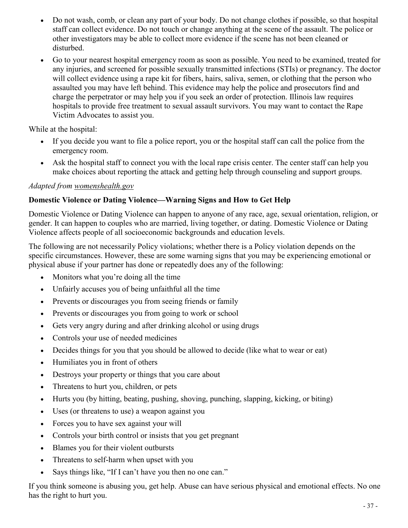- Do not wash, comb, or clean any part of your body. Do not change clothes if possible, so that hospital staff can collect evidence. Do not touch or change anything at the scene of the assault. The police or other investigators may be able to collect more evidence if the scene has not been cleaned or disturbed.
- Go to your nearest hospital emergency room as soon as possible. You need to be examined, treated for any injuries, and screened for possible sexually transmitted infections (STIs) or pregnancy. The doctor will collect evidence using a rape kit for fibers, hairs, saliva, semen, or clothing that the person who assaulted you may have left behind. This evidence may help the police and prosecutors find and charge the perpetrator or may help you if you seek an order of protection. Illinois law requires hospitals to provide free treatment to sexual assault survivors. You may want to contact the Rape Victim Advocates to assist you.

While at the hospital:

- If you decide you want to file a police report, you or the hospital staff can call the police from the emergency room.
- Ask the hospital staff to connect you with the local rape crisis center. The center staff can help you make choices about reporting the attack and getting help through counseling and support groups.

#### *Adapted from womenshealth.gov*

#### **Domestic Violence or Dating Violence—Warning Signs and How to Get Help**

Domestic Violence or Dating Violence can happen to anyone of any race, age, sexual orientation, religion, or gender. It can happen to couples who are married, living together, or dating. Domestic Violence or Dating Violence affects people of all socioeconomic backgrounds and education levels.

The following are not necessarily Policy violations; whether there is a Policy violation depends on the specific circumstances. However, these are some warning signs that you may be experiencing emotional or physical abuse if your partner has done or repeatedly does any of the following:

- Monitors what you're doing all the time
- Unfairly accuses you of being unfaithful all the time
- Prevents or discourages you from seeing friends or family
- Prevents or discourages you from going to work or school
- Gets very angry during and after drinking alcohol or using drugs
- Controls your use of needed medicines
- Decides things for you that you should be allowed to decide (like what to wear or eat)
- Humiliates you in front of others
- Destroys your property or things that you care about
- Threatens to hurt you, children, or pets
- Hurts you (by hitting, beating, pushing, shoving, punching, slapping, kicking, or biting)
- Uses (or threatens to use) a weapon against you
- Forces you to have sex against your will
- Controls your birth control or insists that you get pregnant
- Blames you for their violent outbursts
- Threatens to self-harm when upset with you
- Says things like, "If I can't have you then no one can."

If you think someone is abusing you, get help. Abuse can have serious physical and emotional effects. No one has the right to hurt you.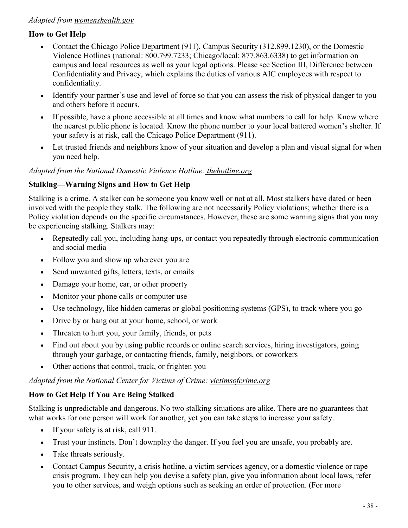#### *Adapted from womenshealth.gov*

#### **How to Get Help**

- Contact the Chicago Police Department (911), Campus Security (312.899.1230), or the Domestic Violence Hotlines (national: 800.799.7233; Chicago/local: 877.863.6338) to get information on campus and local resources as well as your legal options. Please see Section III, Difference between Confidentiality and Privacy, which explains the duties of various AIC employees with respect to confidentiality.
- Identify your partner's use and level of force so that you can assess the risk of physical danger to you and others before it occurs.
- If possible, have a phone accessible at all times and know what numbers to call for help. Know where the nearest public phone is located. Know the phone number to your local battered women's shelter. If your safety is at risk, call the Chicago Police Department (911).
- Let trusted friends and neighbors know of your situation and develop a plan and visual signal for when you need help.

#### *Adapted from the National Domestic Violence Hotline: thehotline.org*

#### **Stalking—Warning Signs and How to Get Help**

Stalking is a crime. A stalker can be someone you know well or not at all. Most stalkers have dated or been involved with the people they stalk. The following are not necessarily Policy violations; whether there is a Policy violation depends on the specific circumstances. However, these are some warning signs that you may be experiencing stalking. Stalkers may:

- Repeatedly call you, including hang-ups, or contact you repeatedly through electronic communication and social media
- Follow you and show up wherever you are
- Send unwanted gifts, letters, texts, or emails
- Damage your home, car, or other property
- Monitor your phone calls or computer use
- Use technology, like hidden cameras or global positioning systems (GPS), to track where you go
- Drive by or hang out at your home, school, or work
- Threaten to hurt you, your family, friends, or pets
- Find out about you by using public records or online search services, hiring investigators, going through your garbage, or contacting friends, family, neighbors, or coworkers
- Other actions that control, track, or frighten you

#### *Adapted from the National Center for Victims of Crime: victimsofcrime.org*

#### **How to Get Help If You Are Being Stalked**

Stalking is unpredictable and dangerous. No two stalking situations are alike. There are no guarantees that what works for one person will work for another, yet you can take steps to increase your safety.

- If your safety is at risk, call 911.
- Trust your instincts. Don't downplay the danger. If you feel you are unsafe, you probably are.
- Take threats seriously.
- Contact Campus Security, a crisis hotline, a victim services agency, or a domestic violence or rape crisis program. They can help you devise a safety plan, give you information about local laws, refer you to other services, and weigh options such as seeking an order of protection. (For more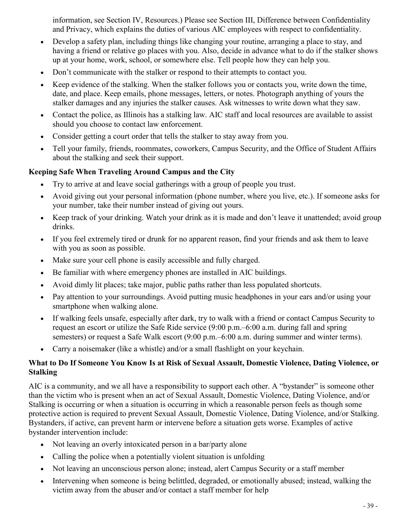information, see Section IV, Resources.) Please see Section III, Difference between Confidentiality and Privacy, which explains the duties of various AIC employees with respect to confidentiality.

- Develop a safety plan, including things like changing your routine, arranging a place to stay, and having a friend or relative go places with you. Also, decide in advance what to do if the stalker shows up at your home, work, school, or somewhere else. Tell people how they can help you.
- Don't communicate with the stalker or respond to their attempts to contact you.
- Keep evidence of the stalking. When the stalker follows you or contacts you, write down the time, date, and place. Keep emails, phone messages, letters, or notes. Photograph anything of yours the stalker damages and any injuries the stalker causes. Ask witnesses to write down what they saw.
- Contact the police, as Illinois has a stalking law. AIC staff and local resources are available to assist should you choose to contact law enforcement.
- Consider getting a court order that tells the stalker to stay away from you.
- Tell your family, friends, roommates, coworkers, Campus Security, and the Office of Student Affairs about the stalking and seek their support.

#### **Keeping Safe When Traveling Around Campus and the City**

- Try to arrive at and leave social gatherings with a group of people you trust.
- Avoid giving out your personal information (phone number, where you live, etc.). If someone asks for your number, take their number instead of giving out yours.
- Keep track of your drinking. Watch your drink as it is made and don't leave it unattended; avoid group drinks.
- If you feel extremely tired or drunk for no apparent reason, find your friends and ask them to leave with you as soon as possible.
- Make sure your cell phone is easily accessible and fully charged.
- Be familiar with where emergency phones are installed in AIC buildings.
- Avoid dimly lit places; take major, public paths rather than less populated shortcuts.
- Pay attention to your surroundings. Avoid putting music headphones in your ears and/or using your smartphone when walking alone.
- If walking feels unsafe, especially after dark, try to walk with a friend or contact Campus Security to request an escort or utilize the Safe Ride service (9:00 p.m.–6:00 a.m. during fall and spring semesters) or request a Safe Walk escort (9:00 p.m.–6:00 a.m. during summer and winter terms).
- Carry a noisemaker (like a whistle) and/or a small flashlight on your keychain.

#### **What to Do If Someone You Know Is at Risk of Sexual Assault, Domestic Violence, Dating Violence, or Stalking**

AIC is a community, and we all have a responsibility to support each other. A "bystander" is someone other than the victim who is present when an act of Sexual Assault, Domestic Violence, Dating Violence, and/or Stalking is occurring or when a situation is occurring in which a reasonable person feels as though some protective action is required to prevent Sexual Assault, Domestic Violence, Dating Violence, and/or Stalking. Bystanders, if active, can prevent harm or intervene before a situation gets worse. Examples of active bystander intervention include:

- Not leaving an overly intoxicated person in a bar/party alone
- Calling the police when a potentially violent situation is unfolding
- Not leaving an unconscious person alone; instead, alert Campus Security or a staff member
- Intervening when someone is being belittled, degraded, or emotionally abused; instead, walking the victim away from the abuser and/or contact a staff member for help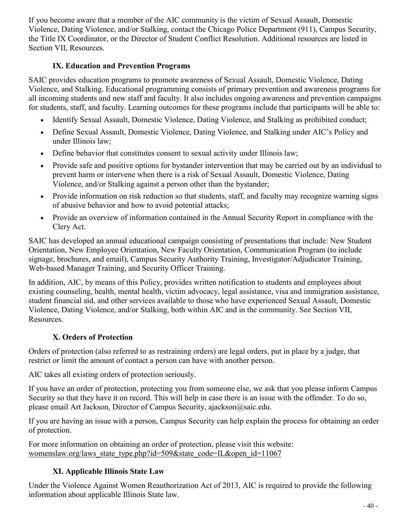If you become aware that a member of the AIC community is the victim of Sexual Assault, Domestic Violence, Dating Violence, and/or Stalking, contact the Chicago Police Department (911), Campus Security, the Title IX Coordinator, or the Director of Student Conflict Resolution. Additional resources are listed in Section VII, Resources.

#### **IX. Education and Prevention Programs**

SAIC provides education programs to promote awareness of Sexual Assault, Domestic Violence, Dating Violence, and Stalking. Educational programming consists of primary prevention and awareness programs for all incoming students and new staff and faculty. It also includes ongoing awareness and prevention campaigns for students, staff, and faculty. Learning outcomes for these programs include that participants will be able to:

- Identify Sexual Assault, Domestic Violence, Dating Violence, and Stalking as prohibited conduct;
- Define Sexual Assault, Domestic Violence, Dating Violence, and Stalking under AIC's Policy and under Illinois law;
- Define behavior that constitutes consent to sexual activity under Illinois law;
- Provide safe and positive options for bystander intervention that may be carried out by an individual to prevent harm or intervene when there is a risk of Sexual Assault, Domestic Violence, Dating Violence, and/or Stalking against a person other than the bystander;
- Provide information on risk reduction so that students, staff, and faculty may recognize warning signs of abusive behavior and how to avoid potential attacks;
- Provide an overview of information contained in the Annual Security Report in compliance with the Clery Act.

SAIC has developed an annual educational campaign consisting of presentations that include: New Student Orientation, New Employee Orientation, New Faculty Orientation, Communication Program (to include signage, brochures, and email), Campus Security Authority Training, Investigator/Adjudicator Training, Web-based Manager Training, and Security Officer Training.

In addition, AIC, by means of this Policy, provides written notification to students and employees about existing counseling, health, mental health, victim advocacy, legal assistance, visa and immigration assistance, student financial aid, and other services available to those who have experienced Sexual Assault, Domestic Violence, Dating Violence, and/or Stalking, both within AIC and in the community. See Section VII, Resources.

# **X. Orders of Protection**

Orders of protection (also referred to as restraining orders) are legal orders, put in place by a judge, that restrict or limit the amount of contact a person can have with another person.

AIC takes all existing orders of protection seriously.

If you have an order of protection, protecting you from someone else, we ask that you please inform Campus Security so that they have it on record. This will help in case there is an issue with the offender. To do so, please email Art Jackson, Director of Campus Security, ajackson@saic.edu.

If you are having an issue with a person, Campus Security can help explain the process for obtaining an order of protection.

For more information on obtaining an order of protection, please visit this website: womenslaw.org/laws state type.php?id=509&state code=IL&open id=11067

# **XI. Applicable Illinois State Law**

Under the Violence Against Women Reauthorization Act of 2013, AIC is required to provide the following information about applicable Illinois State law.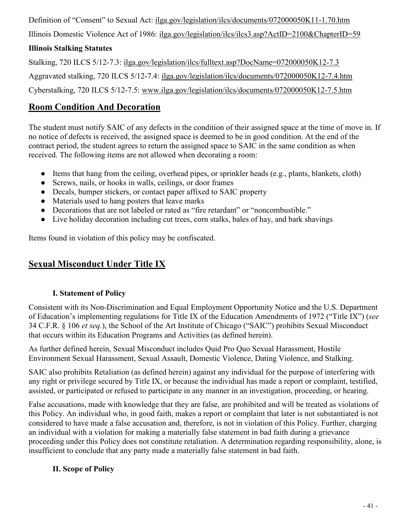Definition of "Consent" to Sexual Act: ilga.gov/legislation/ilcs/documents/072000050K11-1.70.htm

Illinois Domestic Violence Act of 1986: ilga.gov/legislation/ilcs/ilcs3.asp?ActID=2100&ChapterID=59

# **Illinois Stalking Statutes**

Stalking, 720 ILCS 5/12-7.3: ilga.gov/legislation/ilcs/fulltext.asp?DocName=072000050K12-7.3

Aggravated stalking, 720 ILCS 5/12-7.4: ilga.gov/legislation/ilcs/documents/072000050K12-7.4.htm

Cyberstalking, 720 ILCS 5/12-7.5: www.ilga.gov/legislation/ilcs/documents/072000050K12-7.5.htm

# <span id="page-40-0"></span>**Room Condition And Decoration**

The student must notify SAIC of any defects in the condition of their assigned space at the time of move in. If no notice of defects is received, the assigned space is deemed to be in good condition. At the end of the contract period, the student agrees to return the assigned space to SAIC in the same condition as when received. The following items are not allowed when decorating a room:

- $\bullet$  Items that hang from the ceiling, overhead pipes, or sprinkler heads (e.g., plants, blankets, cloth)
- Screws, nails, or hooks in walls, ceilings, or door frames
- Decals, bumper stickers, or contact paper affixed to SAIC property
- Materials used to hang posters that leave marks
- Decorations that are not labeled or rated as "fire retardant" or "noncombustible."
- Live holiday decoration including cut trees, corn stalks, bales of hay, and bark shavings

Items found in violation of this policy may be confiscated.

# <span id="page-40-1"></span>**Sexual Misconduct Under Title IX**

# **I. Statement of Policy**

Consistent with its Non-Discrimination and Equal Employment Opportunity Notice and the U.S. Department of Education's implementing regulations for Title IX of the Education Amendments of 1972 ("Title IX") (*see* 34 C.F.R. § 106 *et seq.*), the School of the Art Institute of Chicago ("SAIC") prohibits Sexual Misconduct that occurs within its Education Programs and Activities (as defined herein).

As further defined herein, Sexual Misconduct includes Quid Pro Quo Sexual Harassment, Hostile Environment Sexual Harassment, Sexual Assault, Domestic Violence, Dating Violence, and Stalking.

SAIC also prohibits Retaliation (as defined herein) against any individual for the purpose of interfering with any right or privilege secured by Title IX, or because the individual has made a report or complaint, testified, assisted, or participated or refused to participate in any manner in an investigation, proceeding, or hearing.

False accusations, made with knowledge that they are false, are prohibited and will be treated as violations of this Policy. An individual who, in good faith, makes a report or complaint that later is not substantiated is not considered to have made a false accusation and, therefore, is not in violation of this Policy. Further, charging an individual with a violation for making a materially false statement in bad faith during a grievance proceeding under this Policy does not constitute retaliation. A determination regarding responsibility, alone, is insufficient to conclude that any party made a materially false statement in bad faith.

# **II. Scope of Policy**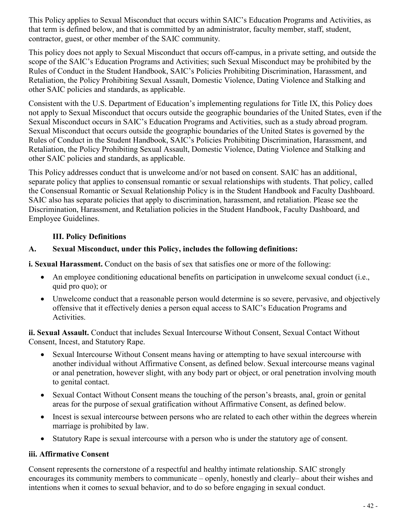This Policy applies to Sexual Misconduct that occurs within SAIC's Education Programs and Activities, as that term is defined below, and that is committed by an administrator, faculty member, staff, student, contractor, guest, or other member of the SAIC community.

This policy does not apply to Sexual Misconduct that occurs off-campus, in a private setting, and outside the scope of the SAIC's Education Programs and Activities; such Sexual Misconduct may be prohibited by the Rules of Conduct in the Student Handbook, SAIC's Policies Prohibiting Discrimination, Harassment, and Retaliation, the Policy Prohibiting Sexual Assault, Domestic Violence, Dating Violence and Stalking and other SAIC policies and standards, as applicable.

Consistent with the U.S. Department of Education's implementing regulations for Title IX, this Policy does not apply to Sexual Misconduct that occurs outside the geographic boundaries of the United States, even if the Sexual Misconduct occurs in SAIC's Education Programs and Activities, such as a study abroad program. Sexual Misconduct that occurs outside the geographic boundaries of the United States is governed by the Rules of Conduct in the Student Handbook, SAIC's Policies Prohibiting Discrimination, Harassment, and Retaliation, the Policy Prohibiting Sexual Assault, Domestic Violence, Dating Violence and Stalking and other SAIC policies and standards, as applicable.

This Policy addresses conduct that is unwelcome and/or not based on consent. SAIC has an additional, separate policy that applies to consensual romantic or sexual relationships with students. That policy, called the Consensual Romantic or Sexual Relationship Policy is in the Student Handbook and Faculty Dashboard. SAIC also has separate policies that apply to discrimination, harassment, and retaliation. Please see the Discrimination, Harassment, and Retaliation policies in the Student Handbook, Faculty Dashboard, and Employee Guidelines.

#### **III. Policy Definitions**

#### **A. Sexual Misconduct, under this Policy, includes the following definitions:**

**i. Sexual Harassment.** Conduct on the basis of sex that satisfies one or more of the following:

- An employee conditioning educational benefits on participation in unwelcome sexual conduct (i.e., quid pro quo); or
- Unwelcome conduct that a reasonable person would determine is so severe, pervasive, and objectively offensive that it effectively denies a person equal access to SAIC's Education Programs and Activities.

**ii. Sexual Assault.** Conduct that includes Sexual Intercourse Without Consent, Sexual Contact Without Consent, Incest, and Statutory Rape.

- Sexual Intercourse Without Consent means having or attempting to have sexual intercourse with another individual without Affirmative Consent, as defined below. Sexual intercourse means vaginal or anal penetration, however slight, with any body part or object, or oral penetration involving mouth to genital contact.
- Sexual Contact Without Consent means the touching of the person's breasts, anal, groin or genital areas for the purpose of sexual gratification without Affirmative Consent, as defined below.
- Incest is sexual intercourse between persons who are related to each other within the degrees wherein marriage is prohibited by law.
- Statutory Rape is sexual intercourse with a person who is under the statutory age of consent.

#### **iii. Affirmative Consent**

Consent represents the cornerstone of a respectful and healthy intimate relationship. SAIC strongly encourages its community members to communicate – openly, honestly and clearly– about their wishes and intentions when it comes to sexual behavior, and to do so before engaging in sexual conduct.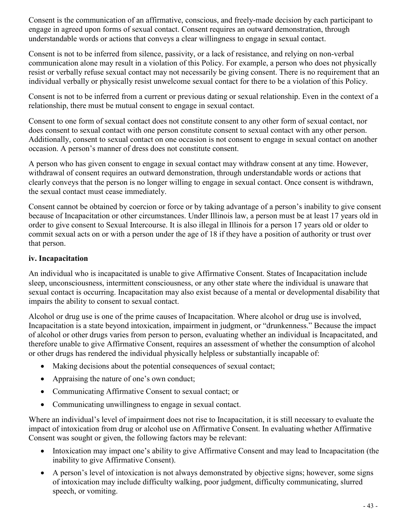Consent is the communication of an affirmative, conscious, and freely-made decision by each participant to engage in agreed upon forms of sexual contact. Consent requires an outward demonstration, through understandable words or actions that conveys a clear willingness to engage in sexual contact.

Consent is not to be inferred from silence, passivity, or a lack of resistance, and relying on non-verbal communication alone may result in a violation of this Policy. For example, a person who does not physically resist or verbally refuse sexual contact may not necessarily be giving consent. There is no requirement that an individual verbally or physically resist unwelcome sexual contact for there to be a violation of this Policy.

Consent is not to be inferred from a current or previous dating or sexual relationship. Even in the context of a relationship, there must be mutual consent to engage in sexual contact.

Consent to one form of sexual contact does not constitute consent to any other form of sexual contact, nor does consent to sexual contact with one person constitute consent to sexual contact with any other person. Additionally, consent to sexual contact on one occasion is not consent to engage in sexual contact on another occasion. A person's manner of dress does not constitute consent.

A person who has given consent to engage in sexual contact may withdraw consent at any time. However, withdrawal of consent requires an outward demonstration, through understandable words or actions that clearly conveys that the person is no longer willing to engage in sexual contact. Once consent is withdrawn, the sexual contact must cease immediately.

Consent cannot be obtained by coercion or force or by taking advantage of a person's inability to give consent because of Incapacitation or other circumstances. Under Illinois law, a person must be at least 17 years old in order to give consent to Sexual Intercourse. It is also illegal in Illinois for a person 17 years old or older to commit sexual acts on or with a person under the age of 18 if they have a position of authority or trust over that person.

#### **iv. Incapacitation**

An individual who is incapacitated is unable to give Affirmative Consent. States of Incapacitation include sleep, unconsciousness, intermittent consciousness, or any other state where the individual is unaware that sexual contact is occurring. Incapacitation may also exist because of a mental or developmental disability that impairs the ability to consent to sexual contact.

Alcohol or drug use is one of the prime causes of Incapacitation. Where alcohol or drug use is involved, Incapacitation is a state beyond intoxication, impairment in judgment, or "drunkenness." Because the impact of alcohol or other drugs varies from person to person, evaluating whether an individual is Incapacitated, and therefore unable to give Affirmative Consent, requires an assessment of whether the consumption of alcohol or other drugs has rendered the individual physically helpless or substantially incapable of:

- Making decisions about the potential consequences of sexual contact;
- Appraising the nature of one's own conduct;
- Communicating Affirmative Consent to sexual contact; or
- Communicating unwillingness to engage in sexual contact.

Where an individual's level of impairment does not rise to Incapacitation, it is still necessary to evaluate the impact of intoxication from drug or alcohol use on Affirmative Consent. In evaluating whether Affirmative Consent was sought or given, the following factors may be relevant:

- Intoxication may impact one's ability to give Affirmative Consent and may lead to Incapacitation (the inability to give Affirmative Consent).
- A person's level of intoxication is not always demonstrated by objective signs; however, some signs of intoxication may include difficulty walking, poor judgment, difficulty communicating, slurred speech, or vomiting.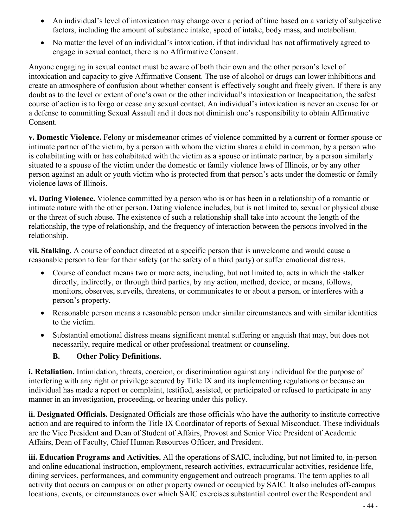- An individual's level of intoxication may change over a period of time based on a variety of subjective factors, including the amount of substance intake, speed of intake, body mass, and metabolism.
- No matter the level of an individual's intoxication, if that individual has not affirmatively agreed to engage in sexual contact, there is no Affirmative Consent.

Anyone engaging in sexual contact must be aware of both their own and the other person's level of intoxication and capacity to give Affirmative Consent. The use of alcohol or drugs can lower inhibitions and create an atmosphere of confusion about whether consent is effectively sought and freely given. If there is any doubt as to the level or extent of one's own or the other individual's intoxication or Incapacitation, the safest course of action is to forgo or cease any sexual contact. An individual's intoxication is never an excuse for or a defense to committing Sexual Assault and it does not diminish one's responsibility to obtain Affirmative Consent.

**v. Domestic Violence.** Felony or misdemeanor crimes of violence committed by a current or former spouse or intimate partner of the victim, by a person with whom the victim shares a child in common, by a person who is cohabitating with or has cohabitated with the victim as a spouse or intimate partner, by a person similarly situated to a spouse of the victim under the domestic or family violence laws of Illinois, or by any other person against an adult or youth victim who is protected from that person's acts under the domestic or family violence laws of Illinois.

**vi. Dating Violence.** Violence committed by a person who is or has been in a relationship of a romantic or intimate nature with the other person. Dating violence includes, but is not limited to, sexual or physical abuse or the threat of such abuse. The existence of such a relationship shall take into account the length of the relationship, the type of relationship, and the frequency of interaction between the persons involved in the relationship.

**vii. Stalking.** A course of conduct directed at a specific person that is unwelcome and would cause a reasonable person to fear for their safety (or the safety of a third party) or suffer emotional distress.

- Course of conduct means two or more acts, including, but not limited to, acts in which the stalker directly, indirectly, or through third parties, by any action, method, device, or means, follows, monitors, observes, surveils, threatens, or communicates to or about a person, or interferes with a person's property.
- Reasonable person means a reasonable person under similar circumstances and with similar identities to the victim.
- Substantial emotional distress means significant mental suffering or anguish that may, but does not necessarily, require medical or other professional treatment or counseling.

#### **B. Other Policy Definitions.**

**i. Retaliation.** Intimidation, threats, coercion, or discrimination against any individual for the purpose of interfering with any right or privilege secured by Title IX and its implementing regulations or because an individual has made a report or complaint, testified, assisted, or participated or refused to participate in any manner in an investigation, proceeding, or hearing under this policy.

**ii. Designated Officials.** Designated Officials are those officials who have the authority to institute corrective action and are required to inform the Title IX Coordinator of reports of Sexual Misconduct. These individuals are the Vice President and Dean of Student of Affairs, Provost and Senior Vice President of Academic Affairs, Dean of Faculty, Chief Human Resources Officer, and President.

**iii. Education Programs and Activities.** All the operations of SAIC, including, but not limited to, in-person and online educational instruction, employment, research activities, extracurricular activities, residence life, dining services, performances, and community engagement and outreach programs. The term applies to all activity that occurs on campus or on other property owned or occupied by SAIC. It also includes off-campus locations, events, or circumstances over which SAIC exercises substantial control over the Respondent and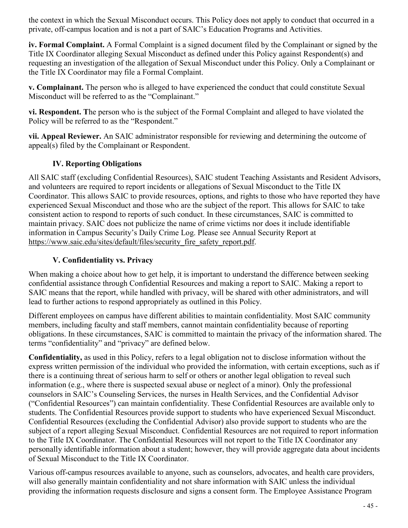the context in which the Sexual Misconduct occurs. This Policy does not apply to conduct that occurred in a private, off-campus location and is not a part of SAIC's Education Programs and Activities.

**iv. Formal Complaint.** A Formal Complaint is a signed document filed by the Complainant or signed by the Title IX Coordinator alleging Sexual Misconduct as defined under this Policy against Respondent(s) and requesting an investigation of the allegation of Sexual Misconduct under this Policy. Only a Complainant or the Title IX Coordinator may file a Formal Complaint.

**v. Complainant.** The person who is alleged to have experienced the conduct that could constitute Sexual Misconduct will be referred to as the "Complainant."

**vi. Respondent. T**he person who is the subject of the Formal Complaint and alleged to have violated the Policy will be referred to as the "Respondent."

**vii. Appeal Reviewer.** An SAIC administrator responsible for reviewing and determining the outcome of appeal(s) filed by the Complainant or Respondent.

#### **IV. Reporting Obligations**

All SAIC staff (excluding Confidential Resources), SAIC student Teaching Assistants and Resident Advisors, and volunteers are required to report incidents or allegations of Sexual Misconduct to the Title IX Coordinator. This allows SAIC to provide resources, options, and rights to those who have reported they have experienced Sexual Misconduct and those who are the subject of the report. This allows for SAIC to take consistent action to respond to reports of such conduct. In these circumstances, SAIC is committed to maintain privacy. SAIC does not publicize the name of crime victims nor does it include identifiable information in Campus Security's Daily Crime Log. Please see Annual Security Report at https://www.saic.edu/sites/default/files/security\_fire\_safety\_report.pdf.

### **V. Confidentiality vs. Privacy**

When making a choice about how to get help, it is important to understand the difference between seeking confidential assistance through Confidential Resources and making a report to SAIC. Making a report to SAIC means that the report, while handled with privacy, will be shared with other administrators, and will lead to further actions to respond appropriately as outlined in this Policy.

Different employees on campus have different abilities to maintain confidentiality. Most SAIC community members, including faculty and staff members, cannot maintain confidentiality because of reporting obligations. In these circumstances, SAIC is committed to maintain the privacy of the information shared. The terms "confidentiality" and "privacy" are defined below.

**Confidentiality,** as used in this Policy, refers to a legal obligation not to disclose information without the express written permission of the individual who provided the information, with certain exceptions, such as if there is a continuing threat of serious harm to self or others or another legal obligation to reveal such information (e.g., where there is suspected sexual abuse or neglect of a minor). Only the professional counselors in SAIC's Counseling Services, the nurses in Health Services, and the Confidential Advisor ("Confidential Resources") can maintain confidentiality. These Confidential Resources are available only to students. The Confidential Resources provide support to students who have experienced Sexual Misconduct. Confidential Resources (excluding the Confidential Advisor) also provide support to students who are the subject of a report alleging Sexual Misconduct. Confidential Resources are not required to report information to the Title IX Coordinator. The Confidential Resources will not report to the Title IX Coordinator any personally identifiable information about a student; however, they will provide aggregate data about incidents of Sexual Misconduct to the Title IX Coordinator.

Various off-campus resources available to anyone, such as counselors, advocates, and health care providers, will also generally maintain confidentiality and not share information with SAIC unless the individual providing the information requests disclosure and signs a consent form. The Employee Assistance Program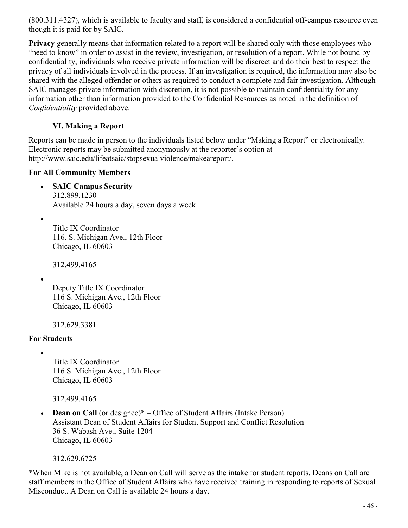(800.311.4327), which is available to faculty and staff, is considered a confidential off-campus resource even though it is paid for by SAIC.

**Privacy** generally means that information related to a report will be shared only with those employees who "need to know" in order to assist in the review, investigation, or resolution of a report. While not bound by confidentiality, individuals who receive private information will be discreet and do their best to respect the privacy of all individuals involved in the process. If an investigation is required, the information may also be shared with the alleged offender or others as required to conduct a complete and fair investigation. Although SAIC manages private information with discretion, it is not possible to maintain confidentiality for any information other than information provided to the Confidential Resources as noted in the definition of *Confidentiality* provided above.

#### **VI. Making a Report**

Reports can be made in person to the individuals listed below under "Making a Report" or electronically. Electronic reports may be submitted anonymously at the reporter's option at http://www.saic.edu/lifeatsaic/stopsexualviolence/makeareport/.

#### **For All Community Members**

- **SAIC Campus Security** 312.899.1230 Available 24 hours a day, seven days a week
- Title IX Coordinator 116. S. Michigan Ave., 12th Floor Chicago, IL 60603

312.499.4165

•

Deputy Title IX Coordinator 116 S. Michigan Ave., 12th Floor Chicago, IL 60603

312.629.3381

#### **For Students**

•

Title IX Coordinator 116 S. Michigan Ave., 12th Floor Chicago, IL 60603

312.499.4165

• **Dean on Call** (or designee)\* – Office of Student Affairs (Intake Person) Assistant Dean of Student Affairs for Student Support and Conflict Resolution 36 S. Wabash Ave., Suite 1204 Chicago, IL 60603

312.629.6725

\*When Mike is not available, a Dean on Call will serve as the intake for student reports. Deans on Call are staff members in the Office of Student Affairs who have received training in responding to reports of Sexual Misconduct. A Dean on Call is available 24 hours a day.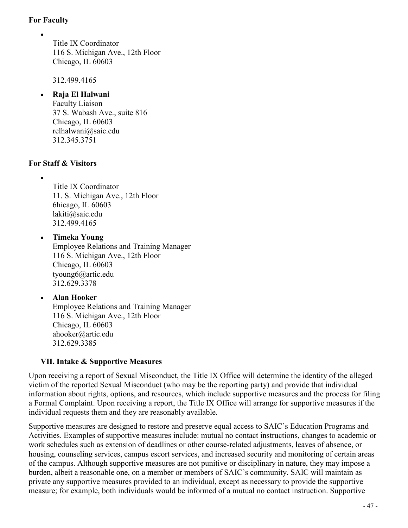#### **For Faculty**

•

Title IX Coordinator 116 S. Michigan Ave., 12th Floor Chicago, IL 60603

312.499.4165

#### • **Raja El Halwani**

Faculty Liaison 37 S. Wabash Ave., suite 816 Chicago, IL 60603 relhalwani@saic.edu 312.345.3751

#### **For Staff & Visitors**

•

Title IX Coordinator 11. S. Michigan Ave., 12th Floor 6hicago, IL 60603 lakiti@saic.edu 312.499.4165

#### • **Timeka Young** Employee Relations and Training Manager 116 S. Michigan Ave., 12th Floor Chicago, IL 60603 tyoung6@artic.edu 312.629.3378

#### • **Alan Hooker**  Employee Relations and Training Manager 116 S. Michigan Ave., 12th Floor Chicago, IL 60603 ahooker@artic.edu 312.629.3385

#### **VII. Intake & Supportive Measures**

Upon receiving a report of Sexual Misconduct, the Title IX Office will determine the identity of the alleged victim of the reported Sexual Misconduct (who may be the reporting party) and provide that individual information about rights, options, and resources, which include supportive measures and the process for filing a Formal Complaint. Upon receiving a report, the Title IX Office will arrange for supportive measures if the individual requests them and they are reasonably available.

Supportive measures are designed to restore and preserve equal access to SAIC's Education Programs and Activities. Examples of supportive measures include: mutual no contact instructions, changes to academic or work schedules such as extension of deadlines or other course-related adjustments, leaves of absence, or housing, counseling services, campus escort services, and increased security and monitoring of certain areas of the campus. Although supportive measures are not punitive or disciplinary in nature, they may impose a burden, albeit a reasonable one, on a member or members of SAIC's community. SAIC will maintain as private any supportive measures provided to an individual, except as necessary to provide the supportive measure; for example, both individuals would be informed of a mutual no contact instruction. Supportive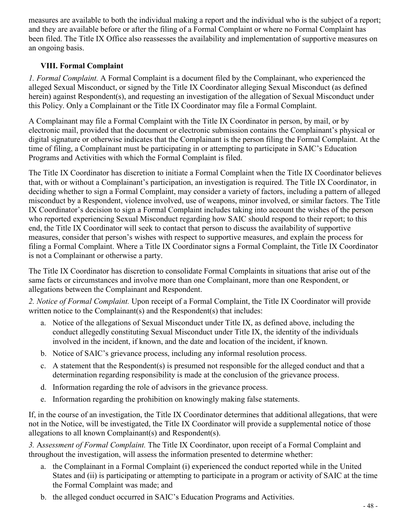measures are available to both the individual making a report and the individual who is the subject of a report; and they are available before or after the filing of a Formal Complaint or where no Formal Complaint has been filed. The Title IX Office also reassesses the availability and implementation of supportive measures on an ongoing basis.

#### **VIII. Formal Complaint**

*1. Formal Complaint.* A Formal Complaint is a document filed by the Complainant, who experienced the alleged Sexual Misconduct, or signed by the Title IX Coordinator alleging Sexual Misconduct (as defined herein) against Respondent(s), and requesting an investigation of the allegation of Sexual Misconduct under this Policy. Only a Complainant or the Title IX Coordinator may file a Formal Complaint.

A Complainant may file a Formal Complaint with the Title IX Coordinator in person, by mail, or by electronic mail, provided that the document or electronic submission contains the Complainant's physical or digital signature or otherwise indicates that the Complainant is the person filing the Formal Complaint. At the time of filing, a Complainant must be participating in or attempting to participate in SAIC's Education Programs and Activities with which the Formal Complaint is filed.

The Title IX Coordinator has discretion to initiate a Formal Complaint when the Title IX Coordinator believes that, with or without a Complainant's participation, an investigation is required. The Title IX Coordinator, in deciding whether to sign a Formal Complaint, may consider a variety of factors, including a pattern of alleged misconduct by a Respondent, violence involved, use of weapons, minor involved, or similar factors. The Title IX Coordinator's decision to sign a Formal Complaint includes taking into account the wishes of the person who reported experiencing Sexual Misconduct regarding how SAIC should respond to their report; to this end, the Title IX Coordinator will seek to contact that person to discuss the availability of supportive measures, consider that person's wishes with respect to supportive measures, and explain the process for filing a Formal Complaint. Where a Title IX Coordinator signs a Formal Complaint, the Title IX Coordinator is not a Complainant or otherwise a party.

The Title IX Coordinator has discretion to consolidate Formal Complaints in situations that arise out of the same facts or circumstances and involve more than one Complainant, more than one Respondent, or allegations between the Complainant and Respondent.

*2. Notice of Formal Complaint.* Upon receipt of a Formal Complaint, the Title IX Coordinator will provide written notice to the Complainant(s) and the Respondent(s) that includes:

- a. Notice of the allegations of Sexual Misconduct under Title IX, as defined above, including the conduct allegedly constituting Sexual Misconduct under Title IX, the identity of the individuals involved in the incident, if known, and the date and location of the incident, if known.
- b. Notice of SAIC's grievance process, including any informal resolution process.
- c. A statement that the Respondent(s) is presumed not responsible for the alleged conduct and that a determination regarding responsibility is made at the conclusion of the grievance process.
- d. Information regarding the role of advisors in the grievance process.
- e. Information regarding the prohibition on knowingly making false statements.

If, in the course of an investigation, the Title IX Coordinator determines that additional allegations, that were not in the Notice, will be investigated, the Title IX Coordinator will provide a supplemental notice of those allegations to all known Complainant(s) and Respondent(s).

*3.* A*ssessment of Formal Complaint.* The Title IX Coordinator, upon receipt of a Formal Complaint and throughout the investigation, will assess the information presented to determine whether:

- a. the Complainant in a Formal Complaint (i) experienced the conduct reported while in the United States and (ii) is participating or attempting to participate in a program or activity of SAIC at the time the Formal Complaint was made; and
- b. the alleged conduct occurred in SAIC's Education Programs and Activities.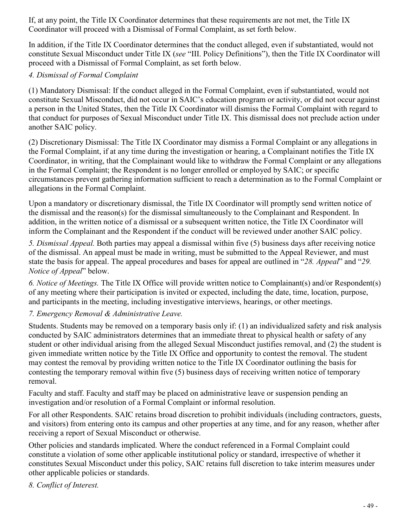If, at any point, the Title IX Coordinator determines that these requirements are not met, the Title IX Coordinator will proceed with a Dismissal of Formal Complaint, as set forth below.

In addition, if the Title IX Coordinator determines that the conduct alleged, even if substantiated, would not constitute Sexual Misconduct under Title IX (*see* "III. Policy Definitions"), then the Title IX Coordinator will proceed with a Dismissal of Formal Complaint, as set forth below.

#### *4. Dismissal of Formal Complaint*

(1) Mandatory Dismissal: If the conduct alleged in the Formal Complaint, even if substantiated, would not constitute Sexual Misconduct, did not occur in SAIC's education program or activity, or did not occur against a person in the United States, then the Title IX Coordinator will dismiss the Formal Complaint with regard to that conduct for purposes of Sexual Misconduct under Title IX. This dismissal does not preclude action under another SAIC policy.

(2) Discretionary Dismissal: The Title IX Coordinator may dismiss a Formal Complaint or any allegations in the Formal Complaint, if at any time during the investigation or hearing, a Complainant notifies the Title IX Coordinator, in writing, that the Complainant would like to withdraw the Formal Complaint or any allegations in the Formal Complaint; the Respondent is no longer enrolled or employed by SAIC; or specific circumstances prevent gathering information sufficient to reach a determination as to the Formal Complaint or allegations in the Formal Complaint.

Upon a mandatory or discretionary dismissal, the Title IX Coordinator will promptly send written notice of the dismissal and the reason(s) for the dismissal simultaneously to the Complainant and Respondent. In addition, in the written notice of a dismissal or a subsequent written notice, the Title IX Coordinator will inform the Complainant and the Respondent if the conduct will be reviewed under another SAIC policy.

*5. Dismissal Appeal.* Both parties may appeal a dismissal within five (5) business days after receiving notice of the dismissal. An appeal must be made in writing, must be submitted to the Appeal Reviewer, and must state the basis for appeal. The appeal procedures and bases for appeal are outlined in "*28. Appeal*" and "*29. Notice of Appeal*" below.

*6. Notice of Meetings.* The Title IX Office will provide written notice to Complainant(s) and/or Respondent(s) of any meeting where their participation is invited or expected, including the date, time, location, purpose, and participants in the meeting, including investigative interviews, hearings, or other meetings.

#### *7. Emergency Removal & Administrative Leave.*

Students. Students may be removed on a temporary basis only if: (1) an individualized safety and risk analysis conducted by SAIC administrators determines that an immediate threat to physical health or safety of any student or other individual arising from the alleged Sexual Misconduct justifies removal, and (2) the student is given immediate written notice by the Title IX Office and opportunity to contest the removal. The student may contest the removal by providing written notice to the Title IX Coordinator outlining the basis for contesting the temporary removal within five (5) business days of receiving written notice of temporary removal.

Faculty and staff. Faculty and staff may be placed on administrative leave or suspension pending an investigation and/or resolution of a Formal Complaint or informal resolution.

For all other Respondents. SAIC retains broad discretion to prohibit individuals (including contractors, guests, and visitors) from entering onto its campus and other properties at any time, and for any reason, whether after receiving a report of Sexual Misconduct or otherwise.

Other policies and standards implicated. Where the conduct referenced in a Formal Complaint could constitute a violation of some other applicable institutional policy or standard, irrespective of whether it constitutes Sexual Misconduct under this policy, SAIC retains full discretion to take interim measures under other applicable policies or standards.

*8. Conflict of Interest.*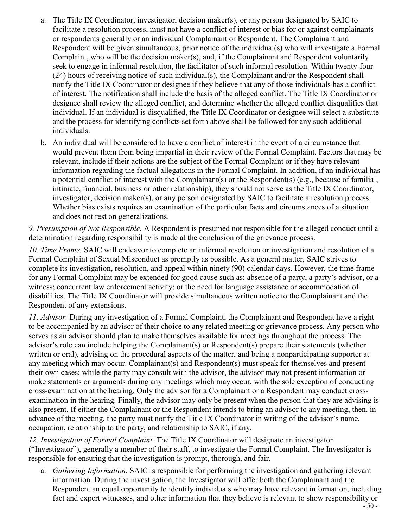- a. The Title IX Coordinator, investigator, decision maker(s), or any person designated by SAIC to facilitate a resolution process, must not have a conflict of interest or bias for or against complainants or respondents generally or an individual Complainant or Respondent. The Complainant and Respondent will be given simultaneous, prior notice of the individual(s) who will investigate a Formal Complaint, who will be the decision maker(s), and, if the Complainant and Respondent voluntarily seek to engage in informal resolution, the facilitator of such informal resolution. Within twenty-four (24) hours of receiving notice of such individual(s), the Complainant and/or the Respondent shall notify the Title IX Coordinator or designee if they believe that any of those individuals has a conflict of interest. The notification shall include the basis of the alleged conflict. The Title IX Coordinator or designee shall review the alleged conflict, and determine whether the alleged conflict disqualifies that individual. If an individual is disqualified, the Title IX Coordinator or designee will select a substitute and the process for identifying conflicts set forth above shall be followed for any such additional individuals.
- b. An individual will be considered to have a conflict of interest in the event of a circumstance that would prevent them from being impartial in their review of the Formal Complaint. Factors that may be relevant, include if their actions are the subject of the Formal Complaint or if they have relevant information regarding the factual allegations in the Formal Complaint. In addition, if an individual has a potential conflict of interest with the Complainant(s) or the Respondent(s) (e.g., because of familial, intimate, financial, business or other relationship), they should not serve as the Title IX Coordinator, investigator, decision maker(s), or any person designated by SAIC to facilitate a resolution process. Whether bias exists requires an examination of the particular facts and circumstances of a situation and does not rest on generalizations.

*9. Presumption of Not Responsible.* A Respondent is presumed not responsible for the alleged conduct until a determination regarding responsibility is made at the conclusion of the grievance process.

*10. Time Frame.* SAIC will endeavor to complete an informal resolution or investigation and resolution of a Formal Complaint of Sexual Misconduct as promptly as possible. As a general matter, SAIC strives to complete its investigation, resolution, and appeal within ninety (90) calendar days. However, the time frame for any Formal Complaint may be extended for good cause such as: absence of a party, a party's advisor, or a witness; concurrent law enforcement activity; or the need for language assistance or accommodation of disabilities. The Title IX Coordinator will provide simultaneous written notice to the Complainant and the Respondent of any extensions.

*11. Advisor.* During any investigation of a Formal Complaint, the Complainant and Respondent have a right to be accompanied by an advisor of their choice to any related meeting or grievance process. Any person who serves as an advisor should plan to make themselves available for meetings throughout the process. The advisor's role can include helping the Complainant(s) or Respondent(s) prepare their statements (whether written or oral), advising on the procedural aspects of the matter, and being a nonparticipating supporter at any meeting which may occur. Complainant(s) and Respondent(s) must speak for themselves and present their own cases; while the party may consult with the advisor, the advisor may not present information or make statements or arguments during any meetings which may occur, with the sole exception of conducting cross-examination at the hearing. Only the advisor for a Complainant or a Respondent may conduct crossexamination in the hearing. Finally, the advisor may only be present when the person that they are advising is also present. If either the Complainant or the Respondent intends to bring an advisor to any meeting, then, in advance of the meeting, the party must notify the Title IX Coordinator in writing of the advisor's name, occupation, relationship to the party, and relationship to SAIC, if any.

*12. Investigation of Formal Complaint.* The Title IX Coordinator will designate an investigator ("Investigator"), generally a member of their staff, to investigate the Formal Complaint. The Investigator is responsible for ensuring that the investigation is prompt, thorough, and fair.

a. *Gathering Information.* SAIC is responsible for performing the investigation and gathering relevant information. During the investigation, the Investigator will offer both the Complainant and the Respondent an equal opportunity to identify individuals who may have relevant information, including fact and expert witnesses, and other information that they believe is relevant to show responsibility or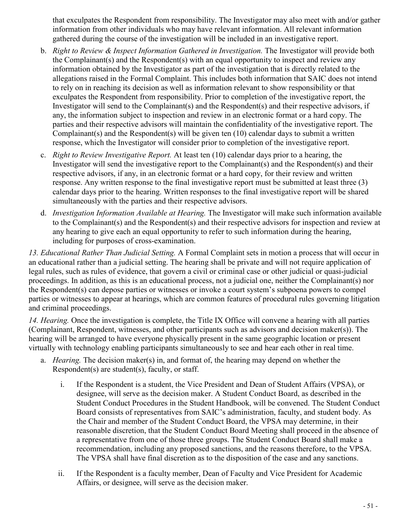that exculpates the Respondent from responsibility. The Investigator may also meet with and/or gather information from other individuals who may have relevant information. All relevant information gathered during the course of the investigation will be included in an investigative report.

- b. *Right to Review & Inspect Information Gathered in Investigation.* The Investigator will provide both the Complainant(s) and the Respondent(s) with an equal opportunity to inspect and review any information obtained by the Investigator as part of the investigation that is directly related to the allegations raised in the Formal Complaint. This includes both information that SAIC does not intend to rely on in reaching its decision as well as information relevant to show responsibility or that exculpates the Respondent from responsibility. Prior to completion of the investigative report, the Investigator will send to the Complainant(s) and the Respondent(s) and their respective advisors, if any, the information subject to inspection and review in an electronic format or a hard copy. The parties and their respective advisors will maintain the confidentiality of the investigative report. The Complainant(s) and the Respondent(s) will be given ten  $(10)$  calendar days to submit a written response, which the Investigator will consider prior to completion of the investigative report.
- c. *Right to Review Investigative Report.* At least ten (10) calendar days prior to a hearing, the Investigator will send the investigative report to the Complainant(s) and the Respondent(s) and their respective advisors, if any, in an electronic format or a hard copy, for their review and written response. Any written response to the final investigative report must be submitted at least three (3) calendar days prior to the hearing. Written responses to the final investigative report will be shared simultaneously with the parties and their respective advisors.
- d. *Investigation Information Available at Hearing.* The Investigator will make such information available to the Complainant(s) and the Respondent(s) and their respective advisors for inspection and review at any hearing to give each an equal opportunity to refer to such information during the hearing, including for purposes of cross-examination.

*13. Educational Rather Than Judicial Setting.* A Formal Complaint sets in motion a process that will occur in an educational rather than a judicial setting. The hearing shall be private and will not require application of legal rules, such as rules of evidence, that govern a civil or criminal case or other judicial or quasi-judicial proceedings. In addition, as this is an educational process, not a judicial one, neither the Complainant(s) nor the Respondent(s) can depose parties or witnesses or invoke a court system's subpoena powers to compel parties or witnesses to appear at hearings, which are common features of procedural rules governing litigation and criminal proceedings.

*14. Hearing.* Once the investigation is complete, the Title IX Office will convene a hearing with all parties (Complainant, Respondent, witnesses, and other participants such as advisors and decision maker(s)). The hearing will be arranged to have everyone physically present in the same geographic location or present virtually with technology enabling participants simultaneously to see and hear each other in real time.

- a. *Hearing.* The decision maker(s) in, and format of, the hearing may depend on whether the Respondent(s) are student(s), faculty, or staff.
	- i. If the Respondent is a student, the Vice President and Dean of Student Affairs (VPSA), or designee, will serve as the decision maker. A Student Conduct Board, as described in the Student Conduct Procedures in the Student Handbook, will be convened. The Student Conduct Board consists of representatives from SAIC's administration, faculty, and student body. As the Chair and member of the Student Conduct Board, the VPSA may determine, in their reasonable discretion, that the Student Conduct Board Meeting shall proceed in the absence of a representative from one of those three groups. The Student Conduct Board shall make a recommendation, including any proposed sanctions, and the reasons therefore, to the VPSA. The VPSA shall have final discretion as to the disposition of the case and any sanctions.
	- ii. If the Respondent is a faculty member, Dean of Faculty and Vice President for Academic Affairs, or designee, will serve as the decision maker.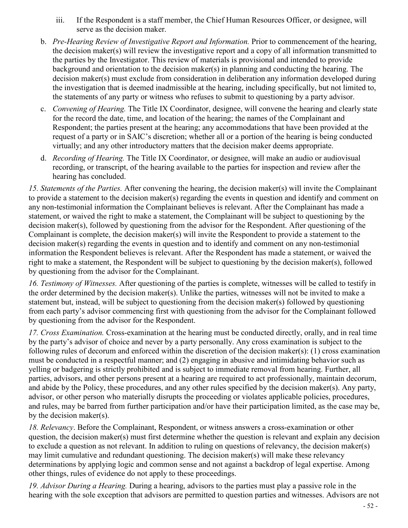- iii. If the Respondent is a staff member, the Chief Human Resources Officer, or designee, will serve as the decision maker.
- b. *Pre-Hearing Review of Investigative Report and Information.* Prior to commencement of the hearing, the decision maker(s) will review the investigative report and a copy of all information transmitted to the parties by the Investigator. This review of materials is provisional and intended to provide background and orientation to the decision maker(s) in planning and conducting the hearing. The decision maker(s) must exclude from consideration in deliberation any information developed during the investigation that is deemed inadmissible at the hearing, including specifically, but not limited to, the statements of any party or witness who refuses to submit to questioning by a party advisor.
- c. *Convening of Hearing.* The Title IX Coordinator, designee, will convene the hearing and clearly state for the record the date, time, and location of the hearing; the names of the Complainant and Respondent; the parties present at the hearing; any accommodations that have been provided at the request of a party or in SAIC's discretion; whether all or a portion of the hearing is being conducted virtually; and any other introductory matters that the decision maker deems appropriate.
- d. *Recording of Hearing.* The Title IX Coordinator, or designee, will make an audio or audiovisual recording, or transcript, of the hearing available to the parties for inspection and review after the hearing has concluded.

*15. Statements of the Parties.* After convening the hearing, the decision maker(s) will invite the Complainant to provide a statement to the decision maker(s) regarding the events in question and identify and comment on any non-testimonial information the Complainant believes is relevant. After the Complainant has made a statement, or waived the right to make a statement, the Complainant will be subject to questioning by the decision maker(s), followed by questioning from the advisor for the Respondent. After questioning of the Complainant is complete, the decision maker(s) will invite the Respondent to provide a statement to the decision maker(s) regarding the events in question and to identify and comment on any non-testimonial information the Respondent believes is relevant. After the Respondent has made a statement, or waived the right to make a statement, the Respondent will be subject to questioning by the decision maker(s), followed by questioning from the advisor for the Complainant.

*16. Testimony of Witnesses.* After questioning of the parties is complete, witnesses will be called to testify in the order determined by the decision maker(s). Unlike the parties, witnesses will not be invited to make a statement but, instead, will be subject to questioning from the decision maker(s) followed by questioning from each party's advisor commencing first with questioning from the advisor for the Complainant followed by questioning from the advisor for the Respondent.

*17. Cross Examination.* Cross-examination at the hearing must be conducted directly, orally, and in real time by the party's advisor of choice and never by a party personally. Any cross examination is subject to the following rules of decorum and enforced within the discretion of the decision maker(s): (1) cross examination must be conducted in a respectful manner; and (2) engaging in abusive and intimidating behavior such as yelling or badgering is strictly prohibited and is subject to immediate removal from hearing. Further, all parties, advisors, and other persons present at a hearing are required to act professionally, maintain decorum, and abide by the Policy, these procedures, and any other rules specified by the decision maker(s). Any party, advisor, or other person who materially disrupts the proceeding or violates applicable policies, procedures, and rules, may be barred from further participation and/or have their participation limited, as the case may be, by the decision maker(s).

*18. Relevancy*. Before the Complainant, Respondent, or witness answers a cross-examination or other question, the decision maker(s) must first determine whether the question is relevant and explain any decision to exclude a question as not relevant. In addition to ruling on questions of relevancy, the decision maker(s) may limit cumulative and redundant questioning. The decision maker(s) will make these relevancy determinations by applying logic and common sense and not against a backdrop of legal expertise. Among other things, rules of evidence do not apply to these proceedings.

*19. Advisor During a Hearing.* During a hearing, advisors to the parties must play a passive role in the hearing with the sole exception that advisors are permitted to question parties and witnesses. Advisors are not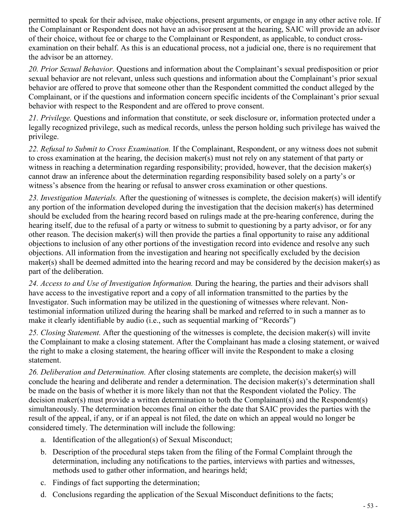permitted to speak for their advisee, make objections, present arguments, or engage in any other active role. If the Complainant or Respondent does not have an advisor present at the hearing, SAIC will provide an advisor of their choice, without fee or charge to the Complainant or Respondent, as applicable, to conduct crossexamination on their behalf. As this is an educational process, not a judicial one, there is no requirement that the advisor be an attorney.

*20. Prior Sexual Behavior.* Questions and information about the Complainant's sexual predisposition or prior sexual behavior are not relevant, unless such questions and information about the Complainant's prior sexual behavior are offered to prove that someone other than the Respondent committed the conduct alleged by the Complainant, or if the questions and information concern specific incidents of the Complainant's prior sexual behavior with respect to the Respondent and are offered to prove consent.

*21. Privilege.* Questions and information that constitute, or seek disclosure or, information protected under a legally recognized privilege, such as medical records, unless the person holding such privilege has waived the privilege.

*22. Refusal to Submit to Cross Examination.* If the Complainant, Respondent, or any witness does not submit to cross examination at the hearing, the decision maker(s) must not rely on any statement of that party or witness in reaching a determination regarding responsibility; provided, however, that the decision maker(s) cannot draw an inference about the determination regarding responsibility based solely on a party's or witness's absence from the hearing or refusal to answer cross examination or other questions.

*23. Investigation Materials.* After the questioning of witnesses is complete, the decision maker(s) will identify any portion of the information developed during the investigation that the decision maker(s) has determined should be excluded from the hearing record based on rulings made at the pre-hearing conference, during the hearing itself, due to the refusal of a party or witness to submit to questioning by a party advisor, or for any other reason. The decision maker(s) will then provide the parties a final opportunity to raise any additional objections to inclusion of any other portions of the investigation record into evidence and resolve any such objections. All information from the investigation and hearing not specifically excluded by the decision maker(s) shall be deemed admitted into the hearing record and may be considered by the decision maker(s) as part of the deliberation.

*24. Access to and Use of Investigation Information.* During the hearing, the parties and their advisors shall have access to the investigative report and a copy of all information transmitted to the parties by the Investigator. Such information may be utilized in the questioning of witnesses where relevant. Nontestimonial information utilized during the hearing shall be marked and referred to in such a manner as to make it clearly identifiable by audio (i.e., such as sequential marking of "Records")

*25. Closing Statement.* After the questioning of the witnesses is complete, the decision maker(s) will invite the Complainant to make a closing statement. After the Complainant has made a closing statement, or waived the right to make a closing statement, the hearing officer will invite the Respondent to make a closing statement.

*26. Deliberation and Determination.* After closing statements are complete, the decision maker(s) will conclude the hearing and deliberate and render a determination. The decision maker(s)'s determination shall be made on the basis of whether it is more likely than not that the Respondent violated the Policy. The decision maker(s) must provide a written determination to both the Complainant(s) and the Respondent(s) simultaneously. The determination becomes final on either the date that SAIC provides the parties with the result of the appeal, if any, or if an appeal is not filed, the date on which an appeal would no longer be considered timely. The determination will include the following:

- a. Identification of the allegation(s) of Sexual Misconduct;
- b. Description of the procedural steps taken from the filing of the Formal Complaint through the determination, including any notifications to the parties, interviews with parties and witnesses, methods used to gather other information, and hearings held;
- c. Findings of fact supporting the determination;
- d. Conclusions regarding the application of the Sexual Misconduct definitions to the facts;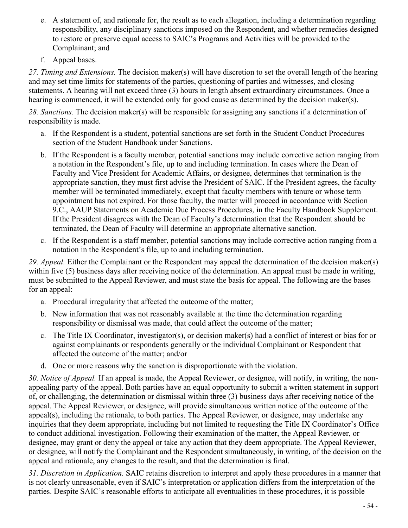- e. A statement of, and rationale for, the result as to each allegation, including a determination regarding responsibility, any disciplinary sanctions imposed on the Respondent, and whether remedies designed to restore or preserve equal access to SAIC's Programs and Activities will be provided to the Complainant; and
- f. Appeal bases.

*27. Timing and Extensions.* The decision maker(s) will have discretion to set the overall length of the hearing and may set time limits for statements of the parties, questioning of parties and witnesses, and closing statements. A hearing will not exceed three (3) hours in length absent extraordinary circumstances. Once a hearing is commenced, it will be extended only for good cause as determined by the decision maker(s).

*28. Sanctions.* The decision maker(s) will be responsible for assigning any sanctions if a determination of responsibility is made.

- a. If the Respondent is a student, potential sanctions are set forth in the Student Conduct Procedures section of the Student Handbook under Sanctions.
- b. If the Respondent is a faculty member, potential sanctions may include corrective action ranging from a notation in the Respondent's file, up to and including termination. In cases where the Dean of Faculty and Vice President for Academic Affairs, or designee, determines that termination is the appropriate sanction, they must first advise the President of SAIC. If the President agrees, the faculty member will be terminated immediately, except that faculty members with tenure or whose term appointment has not expired. For those faculty, the matter will proceed in accordance with Section 9.C., AAUP Statements on Academic Due Process Procedures, in the Faculty Handbook Supplement. If the President disagrees with the Dean of Faculty's determination that the Respondent should be terminated, the Dean of Faculty will determine an appropriate alternative sanction.
- c. If the Respondent is a staff member, potential sanctions may include corrective action ranging from a notation in the Respondent's file, up to and including termination.

*29. Appeal.* Either the Complainant or the Respondent may appeal the determination of the decision maker(s) within five (5) business days after receiving notice of the determination. An appeal must be made in writing, must be submitted to the Appeal Reviewer, and must state the basis for appeal. The following are the bases for an appeal:

- a. Procedural irregularity that affected the outcome of the matter;
- b. New information that was not reasonably available at the time the determination regarding responsibility or dismissal was made, that could affect the outcome of the matter;
- c. The Title IX Coordinator, investigator(s), or decision maker(s) had a conflict of interest or bias for or against complainants or respondents generally or the individual Complainant or Respondent that affected the outcome of the matter; and/or
- d. One or more reasons why the sanction is disproportionate with the violation.

*30. Notice of Appeal.* If an appeal is made, the Appeal Reviewer, or designee, will notify, in writing, the nonappealing party of the appeal. Both parties have an equal opportunity to submit a written statement in support of, or challenging, the determination or dismissal within three (3) business days after receiving notice of the appeal. The Appeal Reviewer, or designee, will provide simultaneous written notice of the outcome of the appeal(s), including the rationale, to both parties. The Appeal Reviewer, or designee, may undertake any inquiries that they deem appropriate, including but not limited to requesting the Title IX Coordinator's Office to conduct additional investigation. Following their examination of the matter, the Appeal Reviewer, or designee, may grant or deny the appeal or take any action that they deem appropriate. The Appeal Reviewer, or designee, will notify the Complainant and the Respondent simultaneously, in writing, of the decision on the appeal and rationale, any changes to the result, and that the determination is final.

*31. Discretion in Application.* SAIC retains discretion to interpret and apply these procedures in a manner that is not clearly unreasonable, even if SAIC's interpretation or application differs from the interpretation of the parties. Despite SAIC's reasonable efforts to anticipate all eventualities in these procedures, it is possible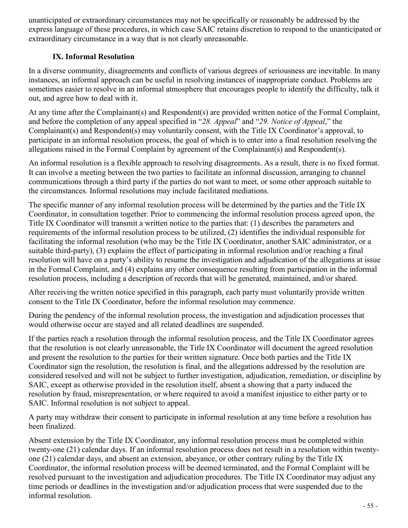unanticipated or extraordinary circumstances may not be specifically or reasonably be addressed by the express language of these procedures, in which case SAIC retains discretion to respond to the unanticipated or extraordinary circumstance in a way that is not clearly unreasonable.

#### **IX. Informal Resolution**

In a diverse community, disagreements and conflicts of various degrees of seriousness are inevitable. In many instances, an informal approach can be useful in resolving instances of inappropriate conduct. Problems are sometimes easier to resolve in an informal atmosphere that encourages people to identify the difficulty, talk it out, and agree how to deal with it.

At any time after the Complainant(s) and Respondent(s) are provided written notice of the Formal Complaint, and before the completion of any appeal specified in "*28. Appeal*" and "*29. Notice of Appeal*," the Complainant(s) and Respondent(s) may voluntarily consent, with the Title IX Coordinator's approval, to participate in an informal resolution process, the goal of which is to enter into a final resolution resolving the allegations raised in the Formal Complaint by agreement of the Complainant(s) and Respondent(s).

An informal resolution is a flexible approach to resolving disagreements. As a result, there is no fixed format. It can involve a meeting between the two parties to facilitate an informal discussion, arranging to channel communications through a third party if the parties do not want to meet, or some other approach suitable to the circumstances. Informal resolutions may include facilitated mediations.

The specific manner of any informal resolution process will be determined by the parties and the Title IX Coordinator, in consultation together. Prior to commencing the informal resolution process agreed upon, the Title IX Coordinator will transmit a written notice to the parties that: (1) describes the parameters and requirements of the informal resolution process to be utilized, (2) identifies the individual responsible for facilitating the informal resolution (who may be the Title IX Coordinator, another SAIC administrator, or a suitable third-party), (3) explains the effect of participating in informal resolution and/or reaching a final resolution will have on a party's ability to resume the investigation and adjudication of the allegations at issue in the Formal Complaint, and (4) explains any other consequence resulting from participation in the informal resolution process, including a description of records that will be generated, maintained, and/or shared.

After receiving the written notice specified in this paragraph, each party must voluntarily provide written consent to the Title IX Coordinator, before the informal resolution may commence.

During the pendency of the informal resolution process, the investigation and adjudication processes that would otherwise occur are stayed and all related deadlines are suspended.

If the parties reach a resolution through the informal resolution process, and the Title IX Coordinator agrees that the resolution is not clearly unreasonable, the Title IX Coordinator will document the agreed resolution and present the resolution to the parties for their written signature. Once both parties and the Title IX Coordinator sign the resolution, the resolution is final, and the allegations addressed by the resolution are considered resolved and will not be subject to further investigation, adjudication, remediation, or discipline by SAIC, except as otherwise provided in the resolution itself, absent a showing that a party induced the resolution by fraud, misrepresentation, or where required to avoid a manifest injustice to either party or to SAIC. Informal resolution is not subject to appeal.

A party may withdraw their consent to participate in informal resolution at any time before a resolution has been finalized.

Absent extension by the Title IX Coordinator, any informal resolution process must be completed within twenty-one (21) calendar days. If an informal resolution process does not result in a resolution within twentyone (21) calendar days, and absent an extension, abeyance, or other contrary ruling by the Title IX Coordinator, the informal resolution process will be deemed terminated, and the Formal Complaint will be resolved pursuant to the investigation and adjudication procedures. The Title IX Coordinator may adjust any time periods or deadlines in the investigation and/or adjudication process that were suspended due to the informal resolution.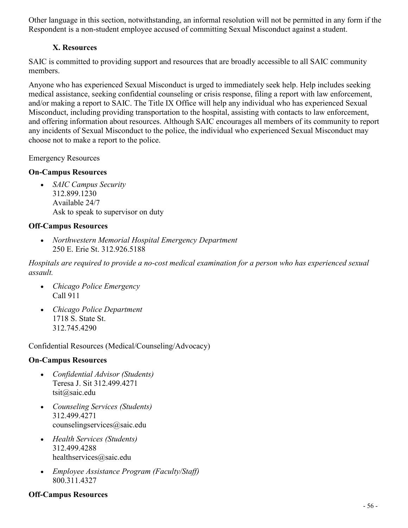Other language in this section, notwithstanding, an informal resolution will not be permitted in any form if the Respondent is a non-student employee accused of committing Sexual Misconduct against a student.

#### **X. Resources**

SAIC is committed to providing support and resources that are broadly accessible to all SAIC community members.

Anyone who has experienced Sexual Misconduct is urged to immediately seek help. Help includes seeking medical assistance, seeking confidential counseling or crisis response, filing a report with law enforcement, and/or making a report to SAIC. The Title IX Office will help any individual who has experienced Sexual Misconduct, including providing transportation to the hospital, assisting with contacts to law enforcement, and offering information about resources. Although SAIC encourages all members of its community to report any incidents of Sexual Misconduct to the police, the individual who experienced Sexual Misconduct may choose not to make a report to the police.

Emergency Resources

#### **On-Campus Resources**

• *SAIC Campus Security* 312.899.1230 Available 24/7 Ask to speak to supervisor on duty

#### **Off-Campus Resources**

• *Northwestern Memorial Hospital Emergency Department* 250 E. Erie St. 312.926.5188

*Hospitals are required to provide a no-cost medical examination for a person who has experienced sexual assault.*

- *Chicago Police Emergency* Call 911
- *Chicago Police Department* 1718 S. State St. 312.745.4290

Confidential Resources (Medical/Counseling/Advocacy)

#### **On-Campus Resources**

- *Confidential Advisor (Students)* Teresa J. Sit 312.499.4271 tsit@saic.edu
- *Counseling Services (Students)* 312.499.4271 counselingservices@saic.edu
- *Health Services (Students)* 312.499.4288 healthservices@saic.edu
- *Employee Assistance Program (Faculty/Staff)* 800.311.4327

#### **Off-Campus Resources**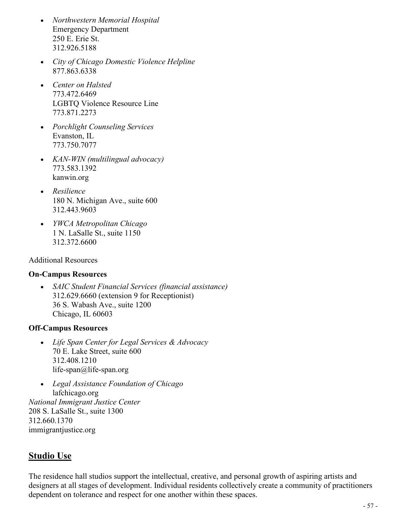- *Northwestern Memorial Hospital*  Emergency Department 250 E. Erie St. 312.926.5188
- *City of Chicago Domestic Violence Helpline* 877.863.6338
- *Center on Halsted* 773.472.6469 LGBTQ Violence Resource Line 773.871.2273
- *Porchlight Counseling Services* Evanston, IL 773.750.7077
- *KAN-WIN (multilingual advocacy)* 773.583.1392 kanwin.org
- *Resilience* 180 N. Michigan Ave., suite 600 312.443.9603
- *YWCA Metropolitan Chicago* 1 N. LaSalle St., suite 1150 312.372.6600

#### Additional Resources

#### **On-Campus Resources**

• *SAIC Student Financial Services (financial assistance)* 312.629.6660 (extension 9 for Receptionist) 36 S. Wabash Ave., suite 1200 Chicago, IL 60603

#### **Off-Campus Resources**

- *Life Span Center for Legal Services & Advocacy* 70 E. Lake Street, suite 600 312.408.1210 life-span@life-span.org
- *Legal Assistance Foundation of Chicago* lafchicago.org *National Immigrant Justice Center* 208 S. LaSalle St., suite 1300 312.660.1370 immigrantjustice.org

# <span id="page-56-0"></span>**Studio Use**

The residence hall studios support the intellectual, creative, and personal growth of aspiring artists and designers at all stages of development. Individual residents collectively create a community of practitioners dependent on tolerance and respect for one another within these spaces.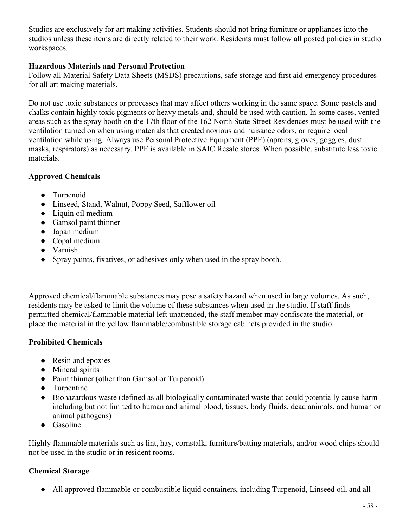Studios are exclusively for art making activities. Students should not bring furniture or appliances into the studios unless these items are directly related to their work. Residents must follow all posted policies in studio workspaces.

#### **Hazardous Materials and Personal Protection**

Follow all Material Safety Data Sheets (MSDS) precautions, safe storage and first aid emergency procedures for all art making materials.

Do not use toxic substances or processes that may affect others working in the same space. Some pastels and chalks contain highly toxic pigments or heavy metals and, should be used with caution. In some cases, vented areas such as the spray booth on the 17th floor of the 162 North State Street Residences must be used with the ventilation turned on when using materials that created noxious and nuisance odors, or require local ventilation while using. Always use Personal Protective Equipment (PPE) (aprons, gloves, goggles, dust masks, respirators) as necessary. PPE is available in SAIC Resale stores. When possible, substitute less toxic materials.

#### **Approved Chemicals**

- Turpenoid
- Linseed, Stand, Walnut, Poppy Seed, Safflower oil
- Liquin oil medium
- Gamsol paint thinner
- Japan medium
- Copal medium
- Varnish
- Spray paints, fixatives, or adhesives only when used in the spray booth.

Approved chemical/flammable substances may pose a safety hazard when used in large volumes. As such, residents may be asked to limit the volume of these substances when used in the studio. If staff finds permitted chemical/flammable material left unattended, the staff member may confiscate the material, or place the material in the yellow flammable/combustible storage cabinets provided in the studio.

#### **Prohibited Chemicals**

- Resin and epoxies
- Mineral spirits
- Paint thinner (other than Gamsol or Turpenoid)
- Turpentine
- Biohazardous waste (defined as all biologically contaminated waste that could potentially cause harm including but not limited to human and animal blood, tissues, body fluids, dead animals, and human or animal pathogens)
- Gasoline

Highly flammable materials such as lint, hay, cornstalk, furniture/batting materials, and/or wood chips should not be used in the studio or in resident rooms.

#### **Chemical Storage**

• All approved flammable or combustible liquid containers, including Turpenoid, Linseed oil, and all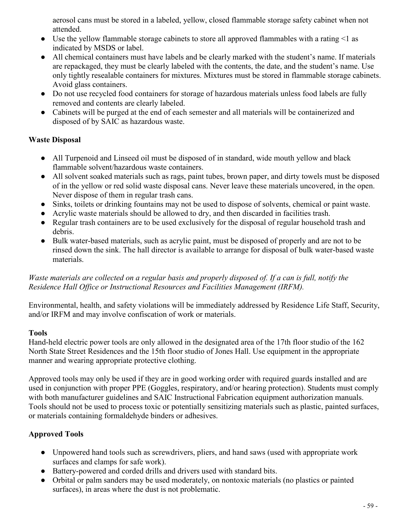aerosol cans must be stored in a labeled, yellow, closed flammable storage safety cabinet when not attended.

- Use the yellow flammable storage cabinets to store all approved flammables with a rating  $\leq 1$  as indicated by MSDS or label.
- All chemical containers must have labels and be clearly marked with the student's name. If materials are repackaged, they must be clearly labeled with the contents, the date, and the student's name. Use only tightly resealable containers for mixtures. Mixtures must be stored in flammable storage cabinets. Avoid glass containers.
- Do not use recycled food containers for storage of hazardous materials unless food labels are fully removed and contents are clearly labeled.
- Cabinets will be purged at the end of each semester and all materials will be containerized and disposed of by SAIC as hazardous waste.

#### **Waste Disposal**

- All Turpenoid and Linseed oil must be disposed of in standard, wide mouth yellow and black flammable solvent/hazardous waste containers.
- All solvent soaked materials such as rags, paint tubes, brown paper, and dirty towels must be disposed of in the yellow or red solid waste disposal cans. Never leave these materials uncovered, in the open. Never dispose of them in regular trash cans.
- Sinks, toilets or drinking fountains may not be used to dispose of solvents, chemical or paint waste.
- Acrylic waste materials should be allowed to dry, and then discarded in facilities trash.
- Regular trash containers are to be used exclusively for the disposal of regular household trash and debris.
- Bulk water-based materials, such as acrylic paint, must be disposed of properly and are not to be rinsed down the sink. The hall director is available to arrange for disposal of bulk water-based waste materials.

#### *Waste materials are collected on a regular basis and properly disposed of. If a can is full, notify the Residence Hall Office or Instructional Resources and Facilities Management (IRFM).*

Environmental, health, and safety violations will be immediately addressed by Residence Life Staff, Security, and/or IRFM and may involve confiscation of work or materials.

#### **Tools**

Hand-held electric power tools are only allowed in the designated area of the 17th floor studio of the 162 North State Street Residences and the 15th floor studio of Jones Hall. Use equipment in the appropriate manner and wearing appropriate protective clothing.

Approved tools may only be used if they are in good working order with required guards installed and are used in conjunction with proper PPE (Goggles, respiratory, and/or hearing protection). Students must comply with both manufacturer guidelines and SAIC Instructional Fabrication equipment authorization manuals. Tools should not be used to process toxic or potentially sensitizing materials such as plastic, painted surfaces, or materials containing formaldehyde binders or adhesives.

# **Approved Tools**

- Unpowered hand tools such as screwdrivers, pliers, and hand saws (used with appropriate work surfaces and clamps for safe work).
- Battery-powered and corded drills and drivers used with standard bits.
- Orbital or palm sanders may be used moderately, on nontoxic materials (no plastics or painted surfaces), in areas where the dust is not problematic.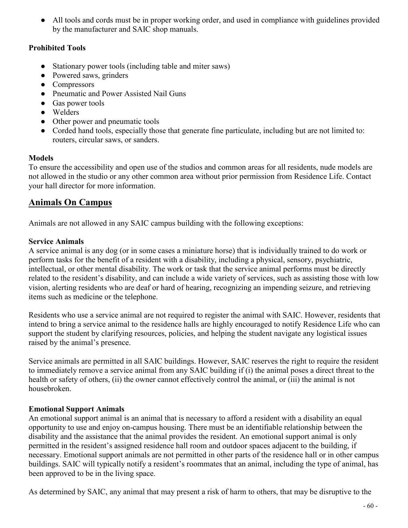• All tools and cords must be in proper working order, and used in compliance with guidelines provided by the manufacturer and SAIC shop manuals.

#### **Prohibited Tools**

- Stationary power tools (including table and miter saws)
- Powered saws, grinders
- Compressors
- Pneumatic and Power Assisted Nail Guns
- Gas power tools
- Welders
- Other power and pneumatic tools
- Corded hand tools, especially those that generate fine particulate, including but are not limited to: routers, circular saws, or sanders.

#### **Models**

To ensure the accessibility and open use of the studios and common areas for all residents, nude models are not allowed in the studio or any other common area without prior permission from Residence Life. Contact your hall director for more information.

# <span id="page-59-0"></span>**Animals On Campus**

Animals are not allowed in any SAIC campus building with the following exceptions:

#### **Service Animals**

A service animal is any dog (or in some cases a miniature horse) that is individually trained to do work or perform tasks for the benefit of a resident with a disability, including a physical, sensory, psychiatric, intellectual, or other mental disability. The work or task that the service animal performs must be directly related to the resident's disability, and can include a wide variety of services, such as assisting those with low vision, alerting residents who are deaf or hard of hearing, recognizing an impending seizure, and retrieving items such as medicine or the telephone.

Residents who use a service animal are not required to register the animal with SAIC. However, residents that intend to bring a service animal to the residence halls are highly encouraged to notify Residence Life who can support the student by clarifying resources, policies, and helping the student navigate any logistical issues raised by the animal's presence.

Service animals are permitted in all SAIC buildings. However, SAIC reserves the right to require the resident to immediately remove a service animal from any SAIC building if (i) the animal poses a direct threat to the health or safety of others, (ii) the owner cannot effectively control the animal, or (iii) the animal is not housebroken.

#### **Emotional Support Animals**

An emotional support animal is an animal that is necessary to afford a resident with a disability an equal opportunity to use and enjoy on-campus housing. There must be an identifiable relationship between the disability and the assistance that the animal provides the resident. An emotional support animal is only permitted in the resident's assigned residence hall room and outdoor spaces adjacent to the building, if necessary. Emotional support animals are not permitted in other parts of the residence hall or in other campus buildings. SAIC will typically notify a resident's roommates that an animal, including the type of animal, has been approved to be in the living space.

As determined by SAIC, any animal that may present a risk of harm to others, that may be disruptive to the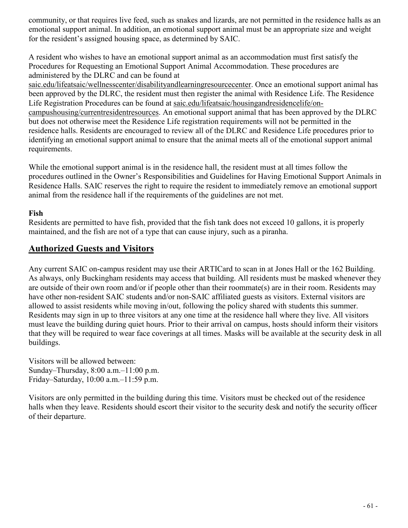community, or that requires live feed, such as snakes and lizards, are not permitted in the residence halls as an emotional support animal. In addition, an emotional support animal must be an appropriate size and weight for the resident's assigned housing space, as determined by SAIC.

A resident who wishes to have an emotional support animal as an accommodation must first satisfy the Procedures for Requesting an Emotional Support Animal Accommodation. These procedures are administered by the DLRC and can be found at

[saic.edu/lifeatsaic/wellnesscenter/disabilityandlearningresourcecenter.](http://saic.edu/lifeatsaic/wellnesscenter/disabilityandlearningresourcecenter) Once an emotional support animal has been approved by the DLRC, the resident must then register the animal with Residence Life. The Residence Life Registration Procedures can be found at [saic.edu/lifeatsaic/housingandresidencelife/on](http://saic.edu/lifeatsaic/housingandresidencelife/on-campushousing/currentresidentresources)[campushousing/currentresidentresources.](http://saic.edu/lifeatsaic/housingandresidencelife/on-campushousing/currentresidentresources) An emotional support animal that has been approved by the DLRC but does not otherwise meet the Residence Life registration requirements will not be permitted in the residence halls. Residents are encouraged to review all of the DLRC and Residence Life procedures prior to identifying an emotional support animal to ensure that the animal meets all of the emotional support animal requirements.

While the emotional support animal is in the residence hall, the resident must at all times follow the procedures outlined in the Owner's Responsibilities and Guidelines for Having Emotional Support Animals in Residence Halls. SAIC reserves the right to require the resident to immediately remove an emotional support animal from the residence hall if the requirements of the guidelines are not met.

#### **Fish**

Residents are permitted to have fish, provided that the fish tank does not exceed 10 gallons, it is properly maintained, and the fish are not of a type that can cause injury, such as a piranha.

# <span id="page-60-0"></span>**Authorized Guests and Visitors**

Any current SAIC on-campus resident may use their ARTICard to scan in at Jones Hall or the 162 Building. As always, only Buckingham residents may access that building. All residents must be masked whenever they are outside of their own room and/or if people other than their roommate(s) are in their room. Residents may have other non-resident SAIC students and/or non-SAIC affiliated guests as visitors. External visitors are allowed to assist residents while moving in/out, following the policy shared with students this summer. Residents may sign in up to three visitors at any one time at the residence hall where they live. All visitors must leave the building during quiet hours. Prior to their arrival on campus, hosts should inform their visitors that they will be required to wear face coverings at all times. Masks will be available at the security desk in all buildings.

Visitors will be allowed between: Sunday–Thursday, 8:00 a.m.–11:00 p.m. Friday–Saturday, 10:00 a.m.–11:59 p.m.

Visitors are only permitted in the building during this time. Visitors must be checked out of the residence halls when they leave. Residents should escort their visitor to the security desk and notify the security officer of their departure.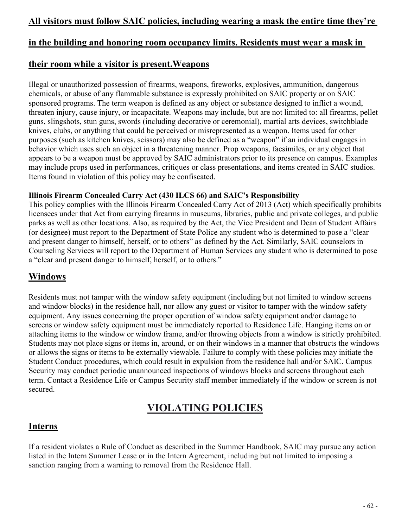### **in the building and honoring room occupancy limits. Residents must wear a mask in**

### <span id="page-61-0"></span>**their room while a visitor is present.Weapons**

Illegal or unauthorized possession of firearms, weapons, fireworks, explosives, ammunition, dangerous chemicals, or abuse of any flammable substance is expressly prohibited on SAIC property or on SAIC sponsored programs. The term weapon is defined as any object or substance designed to inflict a wound, threaten injury, cause injury, or incapacitate. Weapons may include, but are not limited to: all firearms, pellet guns, slingshots, stun guns, swords (including decorative or ceremonial), martial arts devices, switchblade knives, clubs, or anything that could be perceived or misrepresented as a weapon. Items used for other purposes (such as kitchen knives, scissors) may also be defined as a "weapon" if an individual engages in behavior which uses such an object in a threatening manner. Prop weapons, facsimiles, or any object that appears to be a weapon must be approved by SAIC administrators prior to its presence on campus. Examples may include props used in performances, critiques or class presentations, and items created in SAIC studios. Items found in violation of this policy may be confiscated.

#### **Illinois Firearm Concealed Carry Act (430 ILCS 66) and SAIC's Responsibility**

This policy complies with the Illinois Firearm Concealed Carry Act of 2013 (Act) which specifically prohibits licensees under that Act from carrying firearms in museums, libraries, public and private colleges, and public parks as well as other locations. Also, as required by the Act, the Vice President and Dean of Student Affairs (or designee) must report to the Department of State Police any student who is determined to pose a "clear and present danger to himself, herself, or to others" as defined by the Act. Similarly, SAIC counselors in Counseling Services will report to the Department of Human Services any student who is determined to pose a "clear and present danger to himself, herself, or to others."

# <span id="page-61-1"></span>**Windows**

Residents must not tamper with the window safety equipment (including but not limited to window screens and window blocks) in the residence hall, nor allow any guest or visitor to tamper with the window safety equipment. Any issues concerning the proper operation of window safety equipment and/or damage to screens or window safety equipment must be immediately reported to Residence Life. Hanging items on or attaching items to the window or window frame, and/or throwing objects from a window is strictly prohibited. Students may not place signs or items in, around, or on their windows in a manner that obstructs the windows or allows the signs or items to be externally viewable. Failure to comply with these policies may initiate the Student Conduct procedures, which could result in expulsion from the residence hall and/or SAIC. Campus Security may conduct periodic unannounced inspections of windows blocks and screens throughout each term. Contact a Residence Life or Campus Security staff member immediately if the window or screen is not secured.

# **VIOLATING POLICIES**

#### <span id="page-61-3"></span><span id="page-61-2"></span>**Interns**

If a resident violates a Rule of Conduct as described in the Summer Handbook, SAIC may pursue any action listed in the Intern Summer Lease or in the Intern Agreement, including but not limited to imposing a sanction ranging from a warning to removal from the Residence Hall.